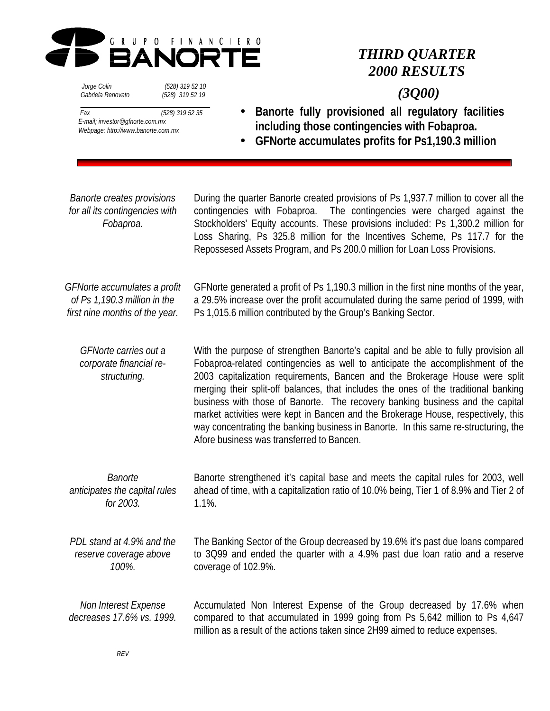

# *THIRD QUARTER 2000 RESULTS*

# *Gabriela Renovato (528) 319 52 19*

 *Jorge Colin (528) 319 52 10*

# *(3Q00)*

- *Fax (528) 319 52 35 E-mail; investor@gfnorte.com.mx Webpage: http://www.banorte.com.mx*
- **Banorte fully provisioned all regulatory facilities including those contingencies with Fobaproa.**
- **GFNorte accumulates profits for Ps1,190.3 million**

*Banorte creates provisions for all its contingencies with Fobaproa.*

During the quarter Banorte created provisions of Ps 1,937.7 million to cover all the contingencies with Fobaproa. The contingencies were charged against the Stockholders' Equity accounts. These provisions included: Ps 1,300.2 million for Loss Sharing, Ps 325.8 million for the Incentives Scheme, Ps 117.7 for the Repossesed Assets Program, and Ps 200.0 million for Loan Loss Provisions.

*GFNorte accumulates a profit of Ps 1,190.3 million in the first nine months of the year.*

GFNorte generated a profit of Ps 1,190.3 million in the first nine months of the year, a 29.5% increase over the profit accumulated during the same period of 1999, with Ps 1,015.6 million contributed by the Group's Banking Sector.

*GFNorte carries out a corporate financial restructuring.* With the purpose of strengthen Banorte's capital and be able to fully provision all Fobaproa-related contingencies as well to anticipate the accomplishment of the 2003 capitalization requirements, Bancen and the Brokerage House were split merging their split-off balances, that includes the ones of the traditional banking business with those of Banorte. The recovery banking business and the capital market activities were kept in Bancen and the Brokerage House, respectively, this way concentrating the banking business in Banorte. In this same re-structuring, the Afore business was transferred to Bancen.

*Banorte anticipates the capital rules for 2003.* Banorte strengthened it's capital base and meets the capital rules for 2003, well ahead of time, with a capitalization ratio of 10.0% being, Tier 1 of 8.9% and Tier 2 of 1.1%.

*PDL stand at 4.9% and the reserve coverage above 100%.* The Banking Sector of the Group decreased by 19.6% it's past due loans compared to 3Q99 and ended the quarter with a 4.9% past due loan ratio and a reserve coverage of 102.9%.

*Non Interest Expense decreases 17.6% vs. 1999.* Accumulated Non Interest Expense of the Group decreased by 17.6% when compared to that accumulated in 1999 going from Ps 5,642 million to Ps 4,647 million as a result of the actions taken since 2H99 aimed to reduce expenses.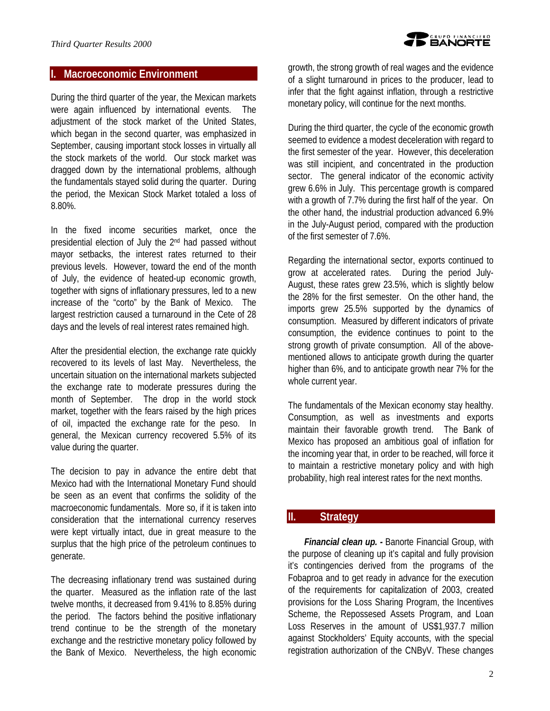# **I. Macroeconomic Environment**

During the third quarter of the year, the Mexican markets were again influenced by international events. The adjustment of the stock market of the United States, which began in the second quarter, was emphasized in September, causing important stock losses in virtually all the stock markets of the world. Our stock market was dragged down by the international problems, although the fundamentals stayed solid during the quarter. During the period, the Mexican Stock Market totaled a loss of 8.80%.

In the fixed income securities market, once the presidential election of July the 2nd had passed without mayor setbacks, the interest rates returned to their previous levels. However, toward the end of the month of July, the evidence of heated-up economic growth, together with signs of inflationary pressures, led to a new increase of the "corto" by the Bank of Mexico. The largest restriction caused a turnaround in the Cete of 28 days and the levels of real interest rates remained high.

After the presidential election, the exchange rate quickly recovered to its levels of last May. Nevertheless, the uncertain situation on the international markets subjected the exchange rate to moderate pressures during the month of September. The drop in the world stock market, together with the fears raised by the high prices of oil, impacted the exchange rate for the peso. In general, the Mexican currency recovered 5.5% of its value during the quarter.

The decision to pay in advance the entire debt that Mexico had with the International Monetary Fund should be seen as an event that confirms the solidity of the macroeconomic fundamentals. More so, if it is taken into consideration that the international currency reserves were kept virtually intact, due in great measure to the surplus that the high price of the petroleum continues to generate.

The decreasing inflationary trend was sustained during the quarter. Measured as the inflation rate of the last twelve months, it decreased from 9.41% to 8.85% during the period. The factors behind the positive inflationary trend continue to be the strength of the monetary exchange and the restrictive monetary policy followed by the Bank of Mexico. Nevertheless, the high economic

growth, the strong growth of real wages and the evidence of a slight turnaround in prices to the producer, lead to infer that the fight against inflation, through a restrictive monetary policy, will continue for the next months.

During the third quarter, the cycle of the economic growth seemed to evidence a modest deceleration with regard to the first semester of the year. However, this deceleration was still incipient, and concentrated in the production sector. The general indicator of the economic activity grew 6.6% in July. This percentage growth is compared with a growth of 7.7% during the first half of the year. On the other hand, the industrial production advanced 6.9% in the July-August period, compared with the production of the first semester of 7.6%.

Regarding the international sector, exports continued to grow at accelerated rates. During the period July-August, these rates grew 23.5%, which is slightly below the 28% for the first semester. On the other hand, the imports grew 25.5% supported by the dynamics of consumption. Measured by different indicators of private consumption, the evidence continues to point to the strong growth of private consumption. All of the abovementioned allows to anticipate growth during the quarter higher than 6%, and to anticipate growth near 7% for the whole current year.

The fundamentals of the Mexican economy stay healthy. Consumption, as well as investments and exports maintain their favorable growth trend. The Bank of Mexico has proposed an ambitious goal of inflation for the incoming year that, in order to be reached, will force it to maintain a restrictive monetary policy and with high probability, high real interest rates for the next months.

# **II. Strategy**

*Financial clean up. - Banorte Financial Group, with* the purpose of cleaning up it's capital and fully provision it's contingencies derived from the programs of the Fobaproa and to get ready in advance for the execution of the requirements for capitalization of 2003, created provisions for the Loss Sharing Program, the Incentives Scheme, the Repossesed Assets Program, and Loan Loss Reserves in the amount of US\$1,937.7 million against Stockholders' Equity accounts, with the special registration authorization of the CNByV. These changes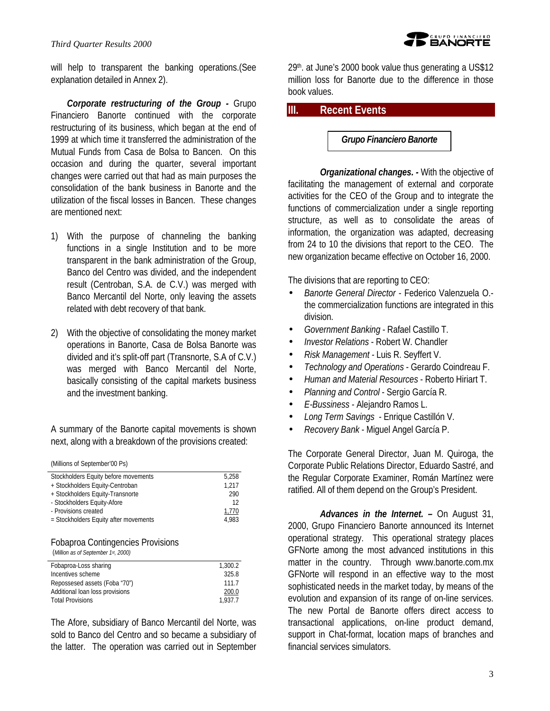#### *Third Quarter Results 2000*



will help to transparent the banking operations. (See explanation detailed in Annex 2).

*Corporate restructuring of the Group -* Grupo Financiero Banorte continued with the corporate restructuring of its business, which began at the end of 1999 at which time it transferred the administration of the Mutual Funds from Casa de Bolsa to Bancen. On this occasion and during the quarter, several important changes were carried out that had as main purposes the consolidation of the bank business in Banorte and the utilization of the fiscal losses in Bancen. These changes are mentioned next:

- 1) With the purpose of channeling the banking functions in a single Institution and to be more transparent in the bank administration of the Group, Banco del Centro was divided, and the independent result (Centroban, S.A. de C.V.) was merged with Banco Mercantil del Norte, only leaving the assets related with debt recovery of that bank.
- 2) With the objective of consolidating the money market operations in Banorte, Casa de Bolsa Banorte was divided and it's split-off part (Transnorte, S.A of C.V.) was merged with Banco Mercantil del Norte, basically consisting of the capital markets business and the investment banking.

A summary of the Banorte capital movements is shown next, along with a breakdown of the provisions created:

|  | (Millions of September'00 Ps) |  |  |
|--|-------------------------------|--|--|
|  |                               |  |  |

| 5.258 |
|-------|
| 1.217 |
| 290   |
| 12    |
| 1.770 |
| 4.983 |
|       |

#### Fobaproa Contingencies Provisions

(*Million as of September 1st, 2000)*

| Fobaproa-Loss sharing           | 1.300.2 |
|---------------------------------|---------|
| Incentives scheme               | 325.8   |
| Repossesed assets (Foba "70")   | 1117    |
| Additional loan loss provisions | 200.0   |
| <b>Total Provisions</b>         | 1.937.7 |

The Afore, subsidiary of Banco Mercantil del Norte, was sold to Banco del Centro and so became a subsidiary of the latter. The operation was carried out in September

29th. at June's 2000 book value thus generating a US\$12 million loss for Banorte due to the difference in those book values.

# **III. Recent Events**

*Grupo Financiero Banorte* 

*Organizational changes. -* With the objective of facilitating the management of external and corporate activities for the CEO of the Group and to integrate the functions of commercialization under a single reporting structure, as well as to consolidate the areas of information, the organization was adapted, decreasing from 24 to 10 the divisions that report to the CEO. The new organization became effective on October 16, 2000.

The divisions that are reporting to CEO:

- *Banorte General Director* Federico Valenzuela O. the commercialization functions are integrated in this division.
- *Government Banking* Rafael Castillo T.
- *Investor Relations* Robert W. Chandler
- *Risk Management -* Luis R. Seyffert V.
- *Technology and Operations* Gerardo Coindreau F.
- *Human and Material Resources*  Roberto Hiriart T.
- *Planning and Control*  Sergio García R.
- *E-Bussiness* Alejandro Ramos L.
- *Long Term Savings*  Enrique Castillón V.
- *Recovery Bank* Miguel Angel García P.

The Corporate General Director, Juan M. Quiroga, the Corporate Public Relations Director, Eduardo Sastré, and the Regular Corporate Examiner, Román Martínez were ratified. All of them depend on the Group's President.

*Advances in the Internet. –* On August 31, 2000, Grupo Financiero Banorte announced its Internet operational strategy. This operational strategy places GFNorte among the most advanced institutions in this matter in the country. Through www.banorte.com.mx GFNorte will respond in an effective way to the most sophisticated needs in the market today, by means of the evolution and expansion of its range of on-line services. The new Portal de Banorte offers direct access to transactional applications, on-line product demand, support in Chat-format, location maps of branches and financial services simulators.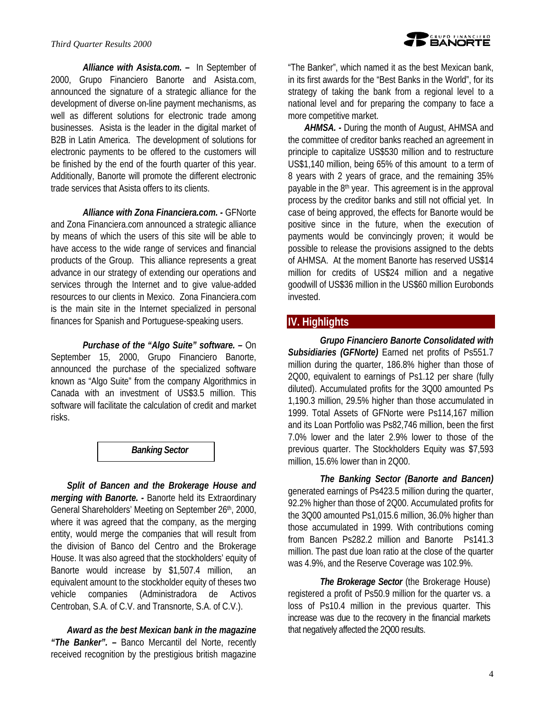*Alliance with Asista.com. –* In September of 2000, Grupo Financiero Banorte and Asista.com, announced the signature of a strategic alliance for the development of diverse on-line payment mechanisms, as well as different solutions for electronic trade among businesses. Asista is the leader in the digital market of B2B in Latin America. The development of solutions for electronic payments to be offered to the customers will be finished by the end of the fourth quarter of this year. Additionally, Banorte will promote the different electronic trade services that Asista offers to its clients.

*Alliance with Zona Financiera.com. -* GFNorte and Zona Financiera.com announced a strategic alliance by means of which the users of this site will be able to have access to the wide range of services and financial products of the Group. This alliance represents a great advance in our strategy of extending our operations and services through the Internet and to give value-added resources to our clients in Mexico. Zona Financiera.com is the main site in the Internet specialized in personal finances for Spanish and Portuguese-speaking users.

*Purchase of the "Algo Suite" software. –* On

September 15, 2000, Grupo Financiero Banorte, announced the purchase of the specialized software known as "Algo Suite" from the company Algorithmics in Canada with an investment of US\$3.5 million. This software will facilitate the calculation of credit and market risks.



*Split of Bancen and the Brokerage House and merging with Banorte. -* Banorte held its Extraordinary General Shareholders' Meeting on September 26<sup>th</sup>, 2000, where it was agreed that the company, as the merging entity, would merge the companies that will result from the division of Banco del Centro and the Brokerage House. It was also agreed that the stockholders' equity of Banorte would increase by \$1,507.4 million, an equivalent amount to the stockholder equity of theses two vehicle companies (Administradora de Activos Centroban, S.A. of C.V. and Transnorte, S.A. of C.V.).

*Award as the best Mexican bank in the magazine "The Banker". –* Banco Mercantil del Norte, recently received recognition by the prestigious british magazine

"The Banker", which named it as the best Mexican bank, in its first awards for the "Best Banks in the World", for its strategy of taking the bank from a regional level to a national level and for preparing the company to face a more competitive market.

*AHMSA. -* During the month of August, AHMSA and the committee of creditor banks reached an agreement in principle to capitalize US\$530 million and to restructure US\$1,140 million, being 65% of this amount to a term of 8 years with 2 years of grace, and the remaining 35% payable in the 8<sup>th</sup> year. This agreement is in the approval process by the creditor banks and still not official yet. In case of being approved, the effects for Banorte would be positive since in the future, when the execution of payments would be convincingly proven; it would be possible to release the provisions assigned to the debts of AHMSA. At the moment Banorte has reserved US\$14 million for credits of US\$24 million and a negative goodwill of US\$36 million in the US\$60 million Eurobonds invested.

# **IV. Highlights**

*Grupo Financiero Banorte Consolidated with Subsidiaries (GFNorte)* Earned net profits of Ps551.7 million during the quarter, 186.8% higher than those of 2Q00, equivalent to earnings of Ps1.12 per share (fully diluted). Accumulated profits for the 3Q00 amounted Ps 1,190.3 million, 29.5% higher than those accumulated in 1999. Total Assets of GFNorte were Ps114,167 million and its Loan Portfolio was Ps82,746 million, been the first 7.0% lower and the later 2.9% lower to those of the previous quarter. The Stockholders Equity was \$7,593 million, 15.6% lower than in 2Q00.

*The Banking Sector (Banorte and Bancen)* generated earnings of Ps423.5 million during the quarter, 92.2% higher than those of 2Q00. Accumulated profits for the 3Q00 amounted Ps1,015.6 million, 36.0% higher than those accumulated in 1999. With contributions coming from Bancen Ps282.2 million and Banorte Ps141.3 million. The past due loan ratio at the close of the quarter was 4.9%, and the Reserve Coverage was 102.9%.

*The Brokerage Sector* (the Brokerage House) registered a profit of Ps50.9 million for the quarter vs. a loss of Ps10.4 million in the previous quarter. This increase was due to the recovery in the financial markets that negatively affected the 2Q00 results.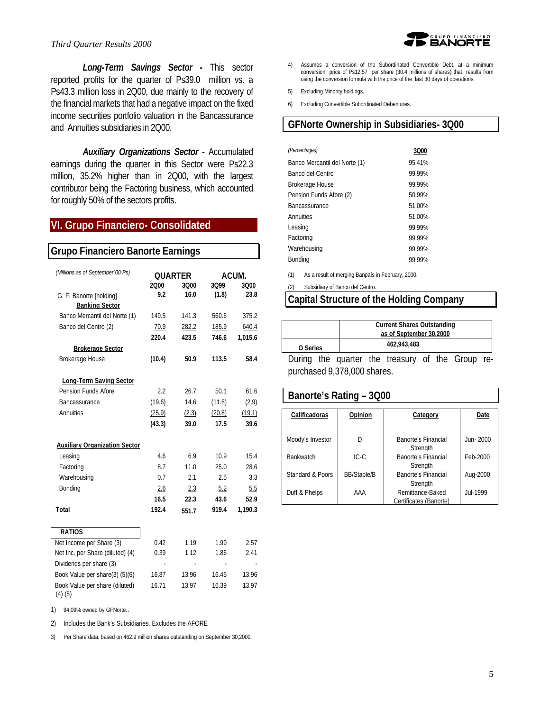#### *Third Quarter Results 2000*

*Long-Term Savings Sector -* This sector reported profits for the quarter of Ps39.0 million vs. a Ps43.3 million loss in 2Q00, due mainly to the recovery of the financial markets that had a negative impact on the fixed income securities portfolio valuation in the Bancassurance and Annuities subsidiaries in 2Q00.

*Auxiliary Organizations Sector -* Accumulated earnings during the quarter in this Sector were Ps22.3 million, 35.2% higher than in 2Q00, with the largest contributor being the Factoring business, which accounted for roughly 50% of the sectors profits.

# **VI. Grupo Financiero- Consolidated**

| <b>Grupo Financiero Banorte Earnings</b> |                |       |        |         |  |  |
|------------------------------------------|----------------|-------|--------|---------|--|--|
| (Millions as of September '00 Ps)        | <b>QUARTER</b> | ACUM. |        |         |  |  |
|                                          | 2Q00           | 3Q00  | 3Q99   | 3Q00    |  |  |
| G. F. Banorte [holding]                  | 9.2            | 16.0  | (1.8)  | 23.8    |  |  |
| <b>Banking Sector</b>                    |                |       |        |         |  |  |
| Banco Mercantil del Norte (1)            | 149.5          | 141.3 | 560.6  | 375.2   |  |  |
| Banco del Centro (2)                     | 70.9           | 282.2 | 185.9  | 640.4   |  |  |
|                                          | 220.4          | 423.5 | 746.6  | 1,015.6 |  |  |
| <b>Brokerage Sector</b>                  |                |       |        |         |  |  |
| Brokerage House                          | (10.4)         | 50.9  | 113.5  | 58.4    |  |  |
|                                          |                |       |        |         |  |  |
| <b>Long-Term Saving Sector</b>           |                |       |        |         |  |  |
| Pension Funds Afore                      | 2.2            | 26.7  | 50.1   | 61.6    |  |  |
| Bancassurance                            | (19.6)         | 14.6  | (11.8) | (2.9)   |  |  |
| Annuities                                | (25.9)         | (2.3) | (20.8) | (19.1)  |  |  |
|                                          | (43.3)         | 39.0  | 17.5   | 39.6    |  |  |
| <b>Auxiliary Organization Sector</b>     |                |       |        |         |  |  |
| Leasing                                  | 4.6            | 6.9   | 10.9   | 15.4    |  |  |
| Factoring                                | 8.7            | 11.0  | 25.0   | 28.6    |  |  |
| Warehousing                              | 0.7            | 2.1   | 2.5    | 3.3     |  |  |
| Bonding                                  | 2.6            | 2.3   | 5.2    | 5.5     |  |  |
|                                          | 16.5           | 22.3  | 43.6   | 52.9    |  |  |
| <b>Total</b>                             | 192.4          | 551.7 | 919.4  | 1,190.3 |  |  |
|                                          |                |       |        |         |  |  |
| <b>RATIOS</b>                            |                |       |        |         |  |  |
| Net Income per Share (3)                 | 0.42           | 1.19  | 1.99   | 2.57    |  |  |
| Net Inc. per Share (diluted) (4)         | 0.39           | 1.12  | 1.86   | 2.41    |  |  |
| Dividends per share (3)                  |                |       |        |         |  |  |
| Book Value per share(3) (5)(6)           | 16.87          | 13.96 | 16.45  | 13.96   |  |  |
| Book Value per share (diluted)           | 16.71          | 13.97 | 16.39  | 13.97   |  |  |
| (4)(5)                                   |                |       |        |         |  |  |



- 4) Assumes a conversion of the Subordinated Convertible Debt. at a minimum conversion price of Ps12.57 per share (30.4 millions of shares) that results from using the conversion formula with the price of the last 30 days of operations.
- 5) Excluding Minority holdings.
- 6) Excluding Convertible Subordinated Debentures.

# **GFNorte Ownership in Subsidiaries- 3Q00**

| 3000   |
|--------|
| 95 41% |
| 99.99% |
| 99.99% |
| 50 99% |
| 51.00% |
| 51.00% |
| 99.99% |
| 99 99% |
| 99.99% |
| 99.99% |
|        |

(1) As a result of merging Banpaís in February, 2000.

(2) Subsidiary of Banco del Centro.

# **Capital Structure of the Holding Company**

|          |  | <b>Current Shares Outstanding</b><br>as of September 30,2000 |                                                  |  |  |  |  |
|----------|--|--------------------------------------------------------------|--------------------------------------------------|--|--|--|--|
| O Series |  |                                                              | 462.943.483                                      |  |  |  |  |
|          |  |                                                              | During the quarter the treasury of the Group re- |  |  |  |  |

purchased 9,378,000 shares.

#### **Banorte's Rating – 3Q00**

| Calificadoras    | Opinion            | Category                                   | Date            |
|------------------|--------------------|--------------------------------------------|-----------------|
| Moody's Investor | D                  | Banorte's Financial<br>Strength            | Jun-2000        |
| <b>Bankwatch</b> | $IC-C$             | Banorte's Financial<br>Strenath            | Feb-2000        |
| Standard & Poors | <b>BB/Stable/B</b> | Banorte's Financial<br>Strength            | Aug-2000        |
| Duff & Phelps    | AAA                | Remittance-Baked<br>Certificates (Banorte) | <b>Jul-1999</b> |

1) 94.09% owned by GFNorte..

2) Includes the Bank's Subsidiaries. Excludes the AFORE

3) Per Share data, based on 462.9 million shares outstanding on September 30,2000.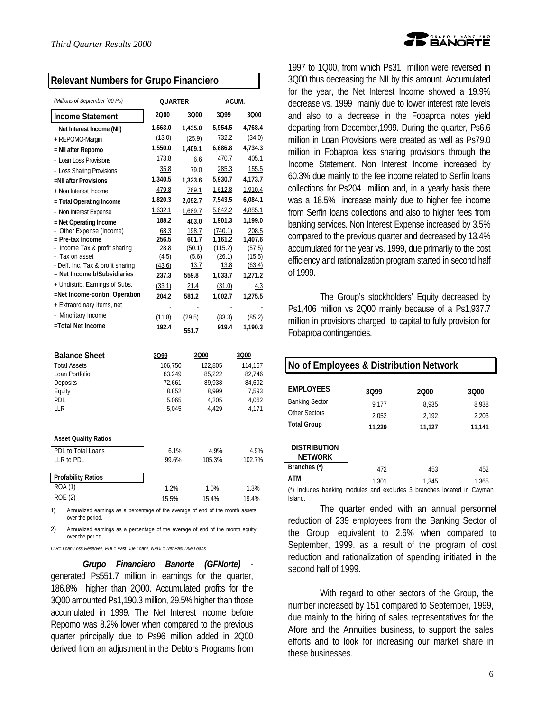#### **Relevant Numbers for Grupo Financiero**

| (Millions of September '00 Ps)    | <b>OUARTER</b> |         | ACUM.   |         |
|-----------------------------------|----------------|---------|---------|---------|
| <b>Income Statement</b>           | 2000           | 3Q00    | 3Q99    | 3Q00    |
| Net Interest Income (NII)         | 1,563.0        | 1.435.0 | 5,954.5 | 4,768.4 |
| + REPOMO-Margin                   | (13.0)         | (25.9)  | 732.2   | (34.0)  |
| = NII after Repomo                | 1,550.0        | 1,409.1 | 6,686.8 | 4,734.3 |
| - Loan Loss Provisions            | 173.8          | 6.6     | 470.7   | 405.1   |
| - Loss Sharing Provisions         | 35.8           | 79.0    | 285.3   | 155.5   |
| =NII after Provisions             | 1,340.5        | 1.323.6 | 5,930.7 | 4,173.7 |
| + Non Interest Income             | 479.8          | 769.1   | 1,612.8 | 1,910.4 |
| = Total Operating Income          | 1,820.3        | 2,092.7 | 7,543.5 | 6,084.1 |
| - Non Interest Expense            | 1,632.1        | 1,689.7 | 5,642.2 | 4,885.1 |
| = Net Operating Income            | 188.2          | 403.0   | 1,901.3 | 1,199.0 |
| Other Expense (Income)            | 68.3           | 198.7   | (740.1) | 208.5   |
| $=$ Pre-tax Income                | 256.5          | 601.7   | 1,161.2 | 1,407.6 |
| - Income Tax & profit sharing     | 28.8           | (50.1)  | (115.2) | (57.5)  |
| - Tax on asset                    | (4.5)          | (5.6)   | (26.1)  | (15.5)  |
| - Deff. Inc. Tax & profit sharing | (43.6)         | 13.7    | 13.8    | (63.4)  |
| = Net Income b/Subsidiaries       | 237.3          | 559.8   | 1,033.7 | 1,271.2 |
| + Undistrib. Earnings of Subs.    | (33.1)         | 21.4    | (31.0)  | 4.3     |
| =Net Income-contin. Operation     | 204.2          | 581.2   | 1,002.7 | 1,275.5 |
| + Extraordinary Items, net        |                |         |         |         |
| - Minoritary Income               | (11.8)         | (29.5)  | (83.3)  | (85.2)  |
| =Total Net Income                 | 192.4          | 551.7   | 919.4   | 1.190.3 |

| <b>Balance Sheet</b>        | 3Q99    | 2000    | 3Q00    |
|-----------------------------|---------|---------|---------|
|                             |         |         |         |
| <b>Total Assets</b>         | 106.750 | 122,805 | 114.167 |
| Loan Portfolio              | 83.249  | 85.222  | 82.746  |
| Deposits                    | 72.661  | 89.938  | 84.692  |
| Equity                      | 8.852   | 8.999   | 7.593   |
| PDL                         | 5.065   | 4.205   | 4.062   |
| LLR                         | 5.045   | 4.429   | 4.171   |
|                             |         |         |         |
| <b>Asset Quality Ratios</b> |         |         |         |
|                             |         |         |         |
| PDL to Total Loans          | 6.1%    | 4.9%    | 4.9%    |
| LLR to PDL                  | 99.6%   | 105.3%  | 102.7%  |
| <b>Profability Ratios</b>   |         |         |         |
| ROA (1)                     |         |         |         |
|                             | 1.2%    | 1.0%    | 1.3%    |
| ROE (2)                     | 15.5%   | 15.4%   | 19.4%   |
|                             |         |         |         |

1) Annualized earnings as a percentage of the average of end of the month assets over the period.

2) Annualized earnings as a percentage of the average of end of the month equity over the period.

*LLR= Loan Loss Reserves, PDL= Past Due Loans, NPDL= Net Past Due Loans*

*Grupo Financiero Banorte (GFNorte)*  generated Ps551.7 million in earnings for the quarter, 186.8% higher than 2Q00. Accumulated profits for the 3Q00 amounted Ps1,190.3 million, 29.5% higher than those accumulated in 1999. The Net Interest Income before Repomo was 8.2% lower when compared to the previous quarter principally due to Ps96 million added in 2Q00 derived from an adjustment in the Debtors Programs from



1997 to 1Q00, from which Ps31 million were reversed in 3Q00 thus decreasing the NII by this amount. Accumulated for the year, the Net Interest Income showed a 19.9% decrease vs. 1999 mainly due to lower interest rate levels and also to a decrease in the Fobaproa notes yield departing from December,1999. During the quarter, Ps6.6 million in Loan Provisions were created as well as Ps79.0 million in Fobaproa loss sharing provisions through the Income Statement. Non Interest Income increased by 60.3% due mainly to the fee income related to Serfín loans collections for Ps204 million and, in a yearly basis there was a 18.5% increase mainly due to higher fee income from Serfin loans collections and also to higher fees from banking services. Non Interest Expense increased by 3.5% compared to the previous quarter and decreased by 13.4% accumulated for the year vs. 1999, due primarily to the cost efficiency and rationalization program started in second half of 1999.

The Group's stockholders' Equity decreased by Ps1,406 million vs 2Q00 mainly because of a Ps1,937.7 million in provisions charged to capital to fully provision for Fobaproa contingencies.

| No of Employees & Distribution Network |                                                                    |        |        |  |  |  |  |
|----------------------------------------|--------------------------------------------------------------------|--------|--------|--|--|--|--|
| <b>FMPI OYFFS</b>                      | 3099                                                               | 2000   | 3Q00   |  |  |  |  |
| <b>Banking Sector</b>                  | 9.177                                                              | 8,935  | 8,938  |  |  |  |  |
| Other Sectors                          | 2,052                                                              | 2,192  | 2,203  |  |  |  |  |
| <b>Total Group</b>                     | 11,229                                                             | 11,127 | 11.141 |  |  |  |  |
| <b>DISTRIBUTION</b><br><b>NETWORK</b>  |                                                                    |        |        |  |  |  |  |
| Branches (*)                           | 472                                                                | 453    | 452    |  |  |  |  |
| ATM                                    | 1.301                                                              | 1.345  | 1.365  |  |  |  |  |
|                                        | Includes banking modules and excludes 3 branches located in Cayman |        |        |  |  |  |  |

Island.

The quarter ended with an annual personnel reduction of 239 employees from the Banking Sector of the Group, equivalent to 2.6% when compared to September, 1999, as a result of the program of cost reduction and rationalization of spending initiated in the second half of 1999.

With regard to other sectors of the Group, the number increased by 151 compared to September, 1999, due mainly to the hiring of sales representatives for the Afore and the Annuities business, to support the sales efforts and to look for increasing our market share in these businesses.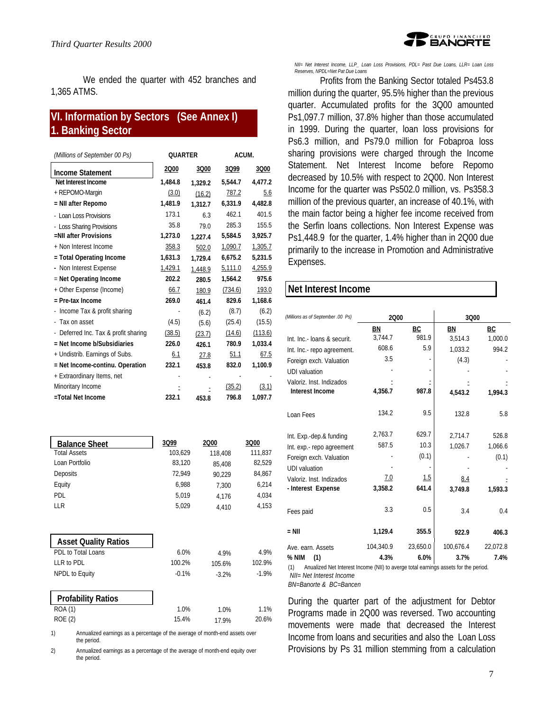D<sup>GRUPO FINANCIERO</sup><br>D**EANORTE** 

We ended the quarter with 452 branches and 1,365 ATMS.

# **VI. Information by Sectors (See Annex I) 1. Banking Sector**

| (Millions of September 00 Ps)        |         | <b>OUARTER</b> |         | ACUM.   |  |
|--------------------------------------|---------|----------------|---------|---------|--|
| <b>Income Statement</b>              | 2Q00    | 3Q00           | 3Q99    | 3Q00    |  |
| Net Interest Income                  | 1,484.8 | 1,329.2        | 5,544.7 | 4,477.2 |  |
| + REPOMO-Margin                      | (3.0)   | (16.2)         | 787.2   | 5.6     |  |
| = NII after Repomo                   | 1,481.9 | 1,312.7        | 6,331.9 | 4,482.8 |  |
| - Loan Loss Provisions               | 173.1   | 6.3            | 462.1   | 401.5   |  |
| - Loss Sharing Provisions            | 35.8    | 79.0           | 285.3   | 155.5   |  |
| =NII after Provisions                | 1,273.0 | 1.227.4        | 5,584.5 | 3,925.7 |  |
| + Non Interest Income                | 358.3   | 502.0          | 1,090.7 | 1,305.7 |  |
| = Total Operating Income             | 1,631.3 | 1,729.4        | 6,675.2 | 5,231.5 |  |
| - Non Interest Expense               | 1,429.1 | 1,448.9        | 5,111.0 | 4,255.9 |  |
| $=$ Net Operating Income             | 202.2   | 280.5          | 1,564.2 | 975.6   |  |
| + Other Expense (Income)             | 66.7    | 180.9          | (734.6) | 193.0   |  |
| = Pre-tax Income                     | 269.0   | 461.4          | 829.6   | 1,168.6 |  |
| - Income Tax & profit sharing        |         | (6.2)          | (8.7)   | (6.2)   |  |
| - Tax on asset                       | (4.5)   | (5.6)          | (25.4)  | (15.5)  |  |
| - Deferred Inc. Tax & profit sharing | (38.5)  | (23.7)         | (14.6)  | (113.6) |  |
| = Net Income b/Subsidiaries          | 226.0   | 426.1          | 780.9   | 1,033.4 |  |
| + Undistrib. Earnings of Subs.       | 6.1     | 27.8           | 51.1    | 67.5    |  |
| = Net Income-continu. Operation      | 232.1   | 453.8          | 832.0   | 1,100.9 |  |
| + Extraordinary Items, net           |         |                |         |         |  |
| Minoritary Income                    |         |                | (35.2)  | (3.1)   |  |
| =Total Net Income                    | 232.1   | 453.8          | 796.8   | 1,097.7 |  |

| <b>Balance Sheet</b>                                                              | 3Q99    | 2000    | 3Q00    |
|-----------------------------------------------------------------------------------|---------|---------|---------|
| <b>Total Assets</b>                                                               | 103,629 | 118,408 | 111,837 |
| Loan Portfolio                                                                    | 83,120  | 85,408  | 82,529  |
| Deposits                                                                          | 72,949  | 90.229  | 84,867  |
| Equity                                                                            | 6,988   | 7,300   | 6,214   |
| <b>PDL</b>                                                                        | 5,019   | 4,176   | 4,034   |
| LLR                                                                               | 5,029   | 4,410   | 4,153   |
| <b>Asset Quality Ratios</b>                                                       |         |         |         |
| PDL to Total Loans                                                                | 6.0%    | 4.9%    | 4.9%    |
| LLR to PDL                                                                        | 100.2%  | 105.6%  | 102.9%  |
| NPDL to Equity                                                                    | $-0.1%$ | $-3.2%$ | $-1.9%$ |
| <b>Profability Ratios</b>                                                         |         |         |         |
| <b>ROA (1)</b>                                                                    | 1.0%    | 1.0%    | 1.1%    |
| ROE (2)                                                                           | 15.4%   | 17.9%   | 20.6%   |
| 1)<br>Annualized earnings as a percentage of the average of month-end assets over |         |         |         |

the period.

2) Annualized earnings as a percentage of the average of month-end equity over the period.

*NII= Net Interest Income, LLP\_ Loan Loss Provisions, PDL= Past Due Loans, LLR= Loan Loss Reserves, NPDL=Net Pat Due Loans*

Profits from the Banking Sector totaled Ps453.8 million during the quarter, 95.5% higher than the previous quarter. Accumulated profits for the 3Q00 amounted Ps1,097.7 million, 37.8% higher than those accumulated in 1999. During the quarter, loan loss provisions for Ps6.3 million, and Ps79.0 million for Fobaproa loss sharing provisions were charged through the Income Statement. Net Interest Income before Repomo decreased by 10.5% with respect to 2Q00. Non Interest Income for the quarter was Ps502.0 million, vs. Ps358.3 million of the previous quarter, an increase of 40.1%, with the main factor being a higher fee income received from the Serfin loans collections. Non Interest Expense was Ps1,448.9 for the quarter, 1.4% higher than in 2Q00 due primarily to the increase in Promotion and Administrative Expenses.

#### **Net Interest Income**

| (Millions as of September .00 Ps) | 2000      |          | 3Q00      |          |  |
|-----------------------------------|-----------|----------|-----------|----------|--|
|                                   | ΒN        | ВC       | ΒN        | ВC       |  |
| Int. Inc.- Ioans & securit.       | 3,744.7   | 981.9    | 3,514.3   | 1,000.0  |  |
| Int. Inc.- repo agreement.        | 608.6     | 5.9      | 1,033.2   | 994.2    |  |
| Foreign exch. Valuation           | 3.5       |          | (4.3)     |          |  |
| <b>UDI</b> valuation              |           |          |           |          |  |
| Valoriz, Inst. Indizados          |           |          |           |          |  |
| Interest Income                   | 4,356.7   | 987.8    | 4,543.2   | 1,994.3  |  |
| Loan Fees                         | 134.2     | 9.5      | 132.8     | 5.8      |  |
| Int. Exp.-dep.& funding           | 2,763.7   | 629.7    | 2,714.7   | 526.8    |  |
| Int. exp.- repo agreement         | 587.5     | 10.3     | 1.026.7   | 1.066.6  |  |
| Foreign exch. Valuation           |           | (0.1)    |           | (0.1)    |  |
| <b>UDI</b> valuation              |           |          |           |          |  |
| Valoriz. Inst. Indizados          | 7.0       | 1.5      | 8.4       |          |  |
| - Interest Expense                | 3,358.2   | 641.4    | 3,749.8   | 1,593.3  |  |
| Fees paid                         | 3.3       | 0.5      | 3.4       | 0.4      |  |
| $=$ NII                           | 1,129.4   | 355.5    | 922.9     | 406.3    |  |
| Ave. earn. Assets                 | 104,340.9 | 23,650.0 | 100,676.4 | 22,072.8 |  |
| % NIM<br>(1)                      | 4.3%      | 6.0%     | 3.7%      | 7.4%     |  |

(1) Anualized Net Interest Income (NII) to averge total earnings assets for the period.  *NII= Net Interest Income*

*BN=Banorte & BC=Bancen*

During the quarter part of the adjustment for Debtor Programs made in 2Q00 was reversed. Two accounting movements were made that decreased the Interest Income from loans and securities and also the Loan Loss Provisions by Ps 31 million stemming from a calculation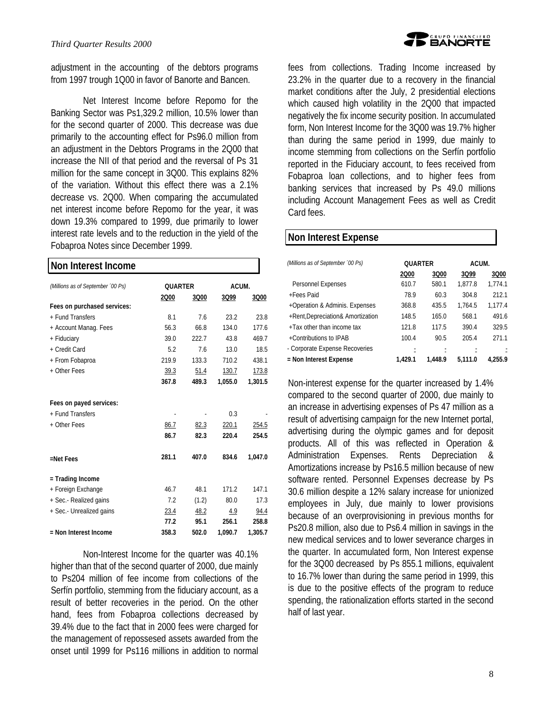

adjustment in the accounting of the debtors programs from 1997 trough 1Q00 in favor of Banorte and Bancen.

Net Interest Income before Repomo for the Banking Sector was Ps1,329.2 million, 10.5% lower than for the second quarter of 2000. This decrease was due primarily to the accounting effect for Ps96.0 million from an adjustment in the Debtors Programs in the 2Q00 that increase the NII of that period and the reversal of Ps 31 million for the same concept in 3Q00. This explains 82% of the variation. Without this effect there was a 2.1% decrease vs. 2Q00. When comparing the accumulated net interest income before Repomo for the year, it was down 19.3% compared to 1999, due primarily to lower interest rate levels and to the reduction in the yield of the Fobaproa Notes since December 1999.

# **Non Interest Income**

| (Millions as of September '00 Ps) | QUARTER |       |         | ACUM.   |  |
|-----------------------------------|---------|-------|---------|---------|--|
|                                   | 2000    | 3Q00  | 3Q99    | 3Q00    |  |
| Fees on purchased services:       |         |       |         |         |  |
| + Fund Transfers                  | 8.1     | 7.6   | 23.2    | 23.8    |  |
| + Account Manag. Fees             | 56.3    | 66.8  | 134.0   | 177.6   |  |
| + Fiduciary                       | 39.0    | 222.7 | 43.8    | 469.7   |  |
| + Credit Card                     | 5.2     | 7.6   | 13.0    | 18.5    |  |
| + From Fobaproa                   | 219.9   | 133.3 | 710.2   | 438.1   |  |
| + Other Fees                      | 39.3    | 51.4  | 130.7   | 173.8   |  |
|                                   | 367.8   | 489.3 | 1,055.0 | 1,301.5 |  |
|                                   |         |       |         |         |  |
| Fees on payed services:           |         |       |         |         |  |
| + Fund Transfers                  |         |       | 0.3     |         |  |
| + Other Fees                      | 86.7    | 82.3  | 220.1   | 254.5   |  |
|                                   | 86.7    | 82.3  | 220.4   | 254.5   |  |
| =Net Fees                         | 281.1   | 407.0 | 834.6   | 1,047.0 |  |
| = Trading Income                  |         |       |         |         |  |
| + Foreign Exchange                | 46.7    | 48.1  | 171.2   | 147.1   |  |
| + Sec.- Realized gains            | 7.2     | (1.2) | 80.0    | 17.3    |  |
| + Sec.- Unrealized gains          | 23.4    | 48.2  | 4.9     | 94.4    |  |
|                                   | 77.2    | 95.1  | 256.1   | 258.8   |  |
| = Non Interest Income             | 358.3   | 502.0 | 1.090.7 | 1,305.7 |  |

Non-Interest Income for the quarter was 40.1% higher than that of the second quarter of 2000, due mainly to Ps204 million of fee income from collections of the Serfín portfolio, stemming from the fiduciary account, as a result of better recoveries in the period. On the other hand, fees from Fobaproa collections decreased by 39.4% due to the fact that in 2000 fees were charged for the management of repossesed assets awarded from the onset until 1999 for Ps116 millions in addition to normal fees from collections. Trading Income increased by 23.2% in the quarter due to a recovery in the financial market conditions after the July, 2 presidential elections which caused high volatility in the 2Q00 that impacted negatively the fix income security position. In accumulated form, Non Interest Income for the 3Q00 was 19.7% higher than during the same period in 1999, due mainly to income stemming from collections on the Serfín portfolio reported in the Fiduciary account, to fees received from Fobaproa loan collections, and to higher fees from banking services that increased by Ps 49.0 millions including Account Management Fees as well as Credit Card fees.

# **Non Interest Expense**

| (Millions as of September '00 Ps) |         | <b>QUARTER</b> |         | ACUM.   |  |
|-----------------------------------|---------|----------------|---------|---------|--|
|                                   | 2000    | 3Q00           | 3Q99    | 3Q00    |  |
| Personnel Expenses                | 610.7   | 580.1          | 1.877.8 | 1,774.1 |  |
| +Fees Paid                        | 78.9    | 60.3           | 304.8   | 212.1   |  |
| +Operation & Adminis. Expenses    | 368.8   | 435.5          | 1.764.5 | 1.177.4 |  |
| +Rent, Depreciation& Amortization | 148.5   | 165.0          | 568.1   | 491.6   |  |
| +Tax other than income tax        | 121.8   | 117.5          | 390.4   | 329.5   |  |
| +Contributions to IPAB            | 100.4   | 90.5           | 205.4   | 271.1   |  |
| - Corporate Expense Recoveries    |         |                |         |         |  |
| = Non Interest Expense            | 1.429.1 | 1.448.9        | 5.111.0 | 4.255.9 |  |
|                                   |         |                |         |         |  |

Non-interest expense for the quarter increased by 1.4% compared to the second quarter of 2000, due mainly to an increase in advertising expenses of Ps 47 million as a result of advertising campaign for the new Internet portal, advertising during the olympic games and for deposit products. All of this was reflected in Operation & Administration Expenses. Rents Depreciation & Amortizations increase by Ps16.5 million because of new software rented. Personnel Expenses decrease by Ps 30.6 million despite a 12% salary increase for unionized employees in July, due mainly to lower provisions because of an overprovisioning in previous months for Ps20.8 million, also due to Ps6.4 million in savings in the new medical services and to lower severance charges in the quarter. In accumulated form, Non Interest expense for the 3Q00 decreased by Ps 855.1 millions, equivalent to 16.7% lower than during the same period in 1999, this is due to the positive effects of the program to reduce spending, the rationalization efforts started in the second half of last year.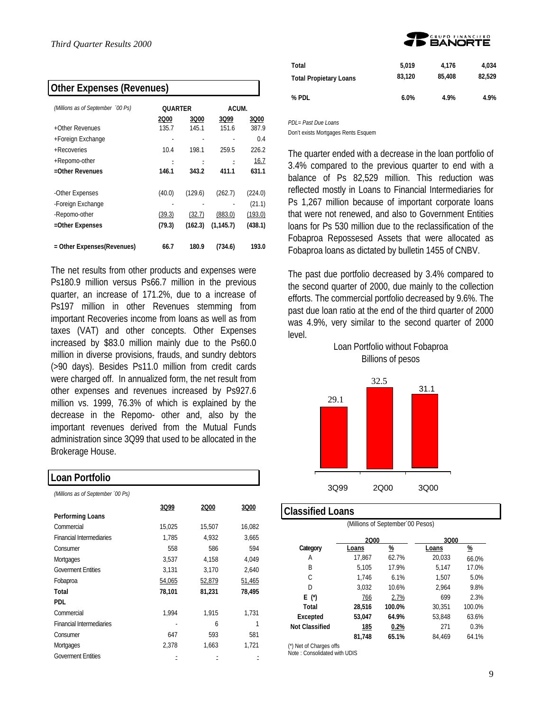| <b>Other Expenses (Revenues)</b>  |                |         |            |         |  |  |
|-----------------------------------|----------------|---------|------------|---------|--|--|
| (Millions as of September '00 Ps) | <b>QUARTER</b> |         | ACUM.      |         |  |  |
|                                   | 2000           | 3Q00    | 3Q99       | 3Q00    |  |  |
| +Other Revenues                   | 135.7          | 145.1   | 151.6      | 387.9   |  |  |
| +Foreign Exchange                 |                |         |            | 0.4     |  |  |
| +Recoveries                       | 10.4           | 198.1   | 259.5      | 226.2   |  |  |
| +Repomo-other                     |                |         |            | 16.7    |  |  |
| =Other Revenues                   | 146.1          | 343.2   | 411.1      | 631.1   |  |  |
| -Other Expenses                   | (40.0)         | (129.6) | (262.7)    | (224.0) |  |  |
| -Foreign Exchange                 |                |         |            | (21.1)  |  |  |
| -Repomo-other                     | (39.3)         | (32.7)  | (883.0)    | (193.0) |  |  |
| =Other Expenses                   | (79.3)         | (162.3) | (1, 145.7) | (438.1) |  |  |
| = Other Expenses(Revenues)        | 66.7           | 180.9   | (734.6)    | 193.0   |  |  |

The net results from other products and expenses were Ps180.9 million versus Ps66.7 million in the previous quarter, an increase of 171.2%, due to a increase of Ps197 million in other Revenues stemming from important Recoveries income from loans as well as from taxes (VAT) and other concepts. Other Expenses increased by \$83.0 million mainly due to the Ps60.0 million in diverse provisions, frauds, and sundry debtors (>90 days). Besides Ps11.0 million from credit cards were charged off. In annualized form, the net result from other expenses and revenues increased by Ps927.6 million vs. 1999, 76.3% of which is explained by the decrease in the Repomo- other and, also by the important revenues derived from the Mutual Funds administration since 3Q99 that used to be allocated in the Brokerage House.

| LOAN PORNOIIO                     |        |        |        |  |  |  |
|-----------------------------------|--------|--------|--------|--|--|--|
| (Millions as of September '00 Ps) |        |        |        |  |  |  |
|                                   | 3Q99   | 2000   | 3Q00   |  |  |  |
| Performing Loans                  |        |        |        |  |  |  |
| Commercial                        | 15,025 | 15,507 | 16,082 |  |  |  |
| <b>Financial Intermediaries</b>   | 1,785  | 4,932  | 3,665  |  |  |  |
| Consumer                          | 558    | 586    | 594    |  |  |  |
| Mortgages                         | 3,537  | 4,158  | 4,049  |  |  |  |
| <b>Goverment Entities</b>         | 3,131  | 3,170  | 2,640  |  |  |  |
| Fobaproa                          | 54,065 | 52,879 | 51,465 |  |  |  |
| Total                             | 78,101 | 81,231 | 78,495 |  |  |  |
| PDL                               |        |        |        |  |  |  |
| Commercial                        | 1,994  | 1,915  | 1,731  |  |  |  |
| <b>Financial Intermediaries</b>   |        | 6      |        |  |  |  |
| Consumer                          | 647    | 593    | 581    |  |  |  |
| Mortgages                         | 2,378  | 1,663  | 1,721  |  |  |  |
| <b>Goverment Entities</b>         |        |        |        |  |  |  |

**Loan Portfolio**



| Total                         | 5.019  | 4.176  | 4.034  |
|-------------------------------|--------|--------|--------|
| <b>Total Propietary Loans</b> | 83.120 | 85,408 | 82.529 |
|                               |        |        |        |
| % PDL                         | 6.0%   | 4.9%   | 4.9%   |

*PDL= Past Due Loans*

Don't exists Mortgages Rents Esquem

The quarter ended with a decrease in the loan portfolio of 3.4% compared to the previous quarter to end with a balance of Ps 82,529 million. This reduction was reflected mostly in Loans to Financial Intermediaries for Ps 1,267 million because of important corporate loans that were not renewed, and also to Government Entities loans for Ps 530 million due to the reclassification of the Fobaproa Repossesed Assets that were allocated as Fobaproa loans as dictated by bulletin 1455 of CNBV.

The past due portfolio decreased by 3.4% compared to the second quarter of 2000, due mainly to the collection efforts. The commercial portfolio decreased by 9.6%. The past due loan ratio at the end of the third quarter of 2000 was 4.9%, very similar to the second quarter of 2000 level.

Loan Portfolio without Fobaproa



#### **Classified Loans**

ו

(Millions of September´00 Pesos) **2000 3000 3000 3000 3000 Category Loans % Loans %** A 17,867 62.7% 20,033 66.0% B 5,105 17.9% 5,147 17.0% C 1,746 6.1% 1,507 5.0% D 3,032 10.6% 2,964 9.8% **E (\*)** 766 2.7% 699 2.3% **Total 28,516 100.0%** 30,351 100.0% **Excepted 53,047 64.9%** 53,848 63.6% **Not Classified 185 0.2%** 271 0.3% **81,748 65.1%** 84,469 64.1%

(\*) Net of Charges offs

Note : Consolidated with UDIS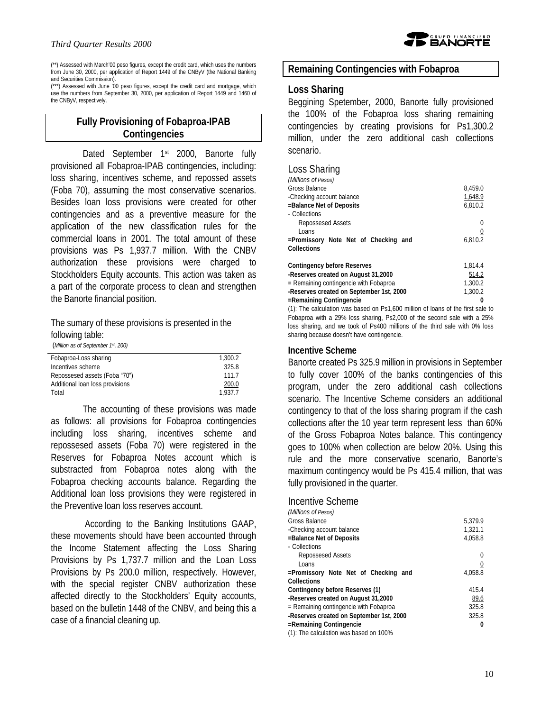

(\*\*) Assessed with March'00 peso figures, except the credit card, which uses the numbers from June 30, 2000, per application of Report 1449 of the CNByV (the National Banking and Securities Commission).

(\*\*\*) Assessed with June '00 peso figures, except the credit card and mortgage, which use the numbers from September 30, 2000, per application of Report 1449 and 1460 of the CNByV, respectively.

# **Fully Provisioning of Fobaproa-IPAB Contingencies**

Dated September 1<sup>st</sup> 2000, Banorte fully provisioned all Fobaproa-IPAB contingencies, including: loss sharing, incentives scheme, and repossed assets (Foba 70), assuming the most conservative scenarios. Besides loan loss provisions were created for other contingencies and as a preventive measure for the application of the new classification rules for the commercial loans in 2001. The total amount of these provisions was Ps 1,937.7 million. With the CNBV authorization these provisions were charged to Stockholders Equity accounts. This action was taken as a part of the corporate process to clean and strengthen the Banorte financial position.

The sumary of these provisions is presented in the following table:

(*Million as of September 1st, 200)*

| Fobaproa-Loss sharing           | 1.300.2 |
|---------------------------------|---------|
| Incentives scheme               | 325.8   |
| Repossesed assets (Foba "70")   | 1117    |
| Additional loan loss provisions | 200.0   |
| Total                           | 1.937.7 |

The accounting of these provisions was made as follows: all provisions for Fobaproa contingencies including loss sharing, incentives scheme and repossesed assets (Foba 70) were registered in the Reserves for Fobaproa Notes account which is substracted from Fobaproa notes along with the Fobaproa checking accounts balance. Regarding the Additional loan loss provisions they were registered in the Preventive loan loss reserves account.

 According to the Banking Institutions GAAP, these movements should have been accounted through the Income Statement affecting the Loss Sharing Provisions by Ps 1,737.7 million and the Loan Loss Provisions by Ps 200.0 million, respectively. However, with the special register CNBV authorization these affected directly to the Stockholders' Equity accounts, based on the bulletin 1448 of the CNBV, and being this a case of a financial cleaning up.

# **Remaining Contingencies with Fobaproa**

#### **Loss Sharing**

Beggining Spetember, 2000, Banorte fully provisioned the 100% of the Fobaproa loss sharing remaining contingencies by creating provisions for Ps1,300.2 million, under the zero additional cash collections scenario.

#### Loss Sharing

| (Millions of Pesos)                      |         |
|------------------------------------------|---------|
| Gross Balance                            | 8.459.0 |
| -Checking account balance                | 1.648.9 |
| -Balance Net of Deposits                 | 6,810.2 |
| - Collections                            |         |
| Repossesed Assets                        | 0       |
| Loans                                    |         |
| =Promissory Note Net of Checking and     | 6,810.2 |
| Collections                              |         |
| Contingency before Reserves              | 1.814.4 |
| Reserves created on August 31,2000       | 514.2   |
| = Remaining contingencie with Fobaproa   | 1,300.2 |
| -Reserves created on September 1st, 2000 | 1.300.2 |
| =Remaining Contingencie                  | 0       |
|                                          |         |

(1): The calculation was based on Ps1,600 million of loans of the first sale to Fobaproa with a 29% loss sharing, Ps2,000 of the second sale with a 25% loss sharing, and we took of Ps400 millions of the third sale with 0% loss sharing because doesn't have contingencie.

#### **Incentive Scheme**

Banorte created Ps 325.9 million in provisions in September to fully cover 100% of the banks contingencies of this program, under the zero additional cash collections scenario. The Incentive Scheme considers an additional contingency to that of the loss sharing program if the cash collections after the 10 year term represent less than 60% of the Gross Fobaproa Notes balance. This contingency goes to 100% when collection are below 20%. Using this rule and the more conservative scenario, Banorte's maximum contingency would be Ps 415.4 million, that was fully provisioned in the quarter.

#### Incentive Scheme

| (Millions of Pesos)                      |         |
|------------------------------------------|---------|
| Gross Balance                            | 5,379.9 |
| -Checking account balance                | 1,321.1 |
| =Balance Net of Deposits                 | 4.058.8 |
| - Collections                            |         |
| Repossesed Assets                        | 0       |
| Loans                                    |         |
| =Promissory Note Net of Checking and     | 4.058.8 |
| Collections                              |         |
| Contingency before Reserves (1)          | 415.4   |
| -Reserves created on August 31,2000      | 89.6    |
| = Remaining contingencie with Fobaproa   | 325.8   |
| -Reserves created on September 1st, 2000 | 325.8   |
| =Remaining Contingencie                  | 0       |
| rt)، The calculation was hased on 100%   |         |

(1): The calculation was based on 100%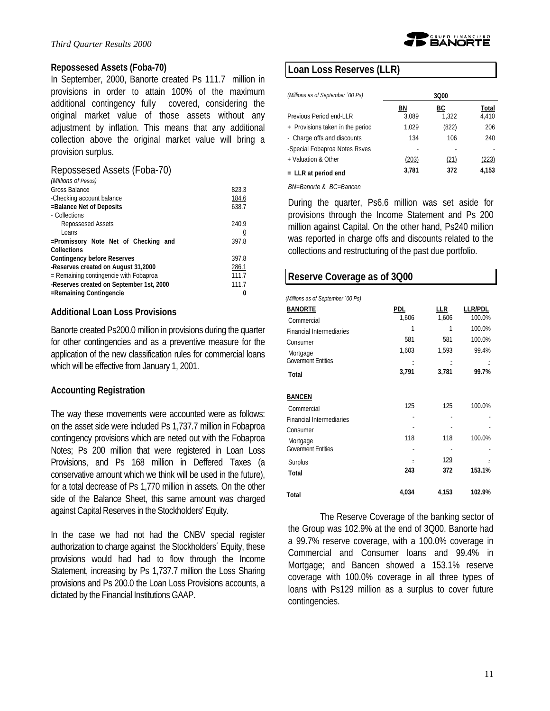

#### **Repossesed Assets (Foba-70)**

In September, 2000, Banorte created Ps 111.7 million in provisions in order to attain 100% of the maximum additional contingency fully covered, considering the original market value of those assets without any adjustment by inflation. This means that any additional collection above the original market value will bring a provision surplus.

#### Repossesed Assets (Foba-70)

| 823.3 |
|-------|
| 184.6 |
| 638.7 |
|       |
| 240.9 |
| 0     |
| 397.8 |
|       |
| 397.8 |
| 286.1 |
| 111.7 |
| 111.7 |
|       |
|       |

#### **Additional Loan Loss Provisions**

Banorte created Ps200.0 million in provisions during the quarter for other contingencies and as a preventive measure for the application of the new classification rules for commercial loans which will be effective from January 1, 2001.

#### **Accounting Registration**

The way these movements were accounted were as follows: on the asset side were included Ps 1,737.7 million in Fobaproa contingency provisions which are neted out with the Fobaproa Notes; Ps 200 million that were registered in Loan Loss Provisions, and Ps 168 million in Deffered Taxes (a conservative amount which we think will be used in the future), for a total decrease of Ps 1,770 million in assets. On the other side of the Balance Sheet, this same amount was charged against Capital Reserves in the Stockholders' Equity.

In the case we had not had the CNBV special register authorization to charge against the Stockholders´ Equity, these provisions would had had to flow through the Income Statement, increasing by Ps 1,737.7 million the Loss Sharing provisions and Ps 200.0 the Loan Loss Provisions accounts, a dictated by the Financial Institutions GAAP.

# **Loan Loss Reserves (LLR)**

| (Millions as of September '00 Ps) | 3000  |       |       |
|-----------------------------------|-------|-------|-------|
|                                   | BN    | ВC    | Total |
| Previous Period end-LLR           | 3.089 | 1.322 | 4,410 |
| + Provisions taken in the period  | 1.029 | (822) | 206   |
| - Charge offs and discounts       | 134   | 106   | 240   |
| -Special Fobaproa Notes Rsves     |       |       |       |
| + Valuation & Other               | (203) | (21)  | (223) |
| $=$ LLR at period end             | 3,781 | 372   | 4.153 |
|                                   |       |       |       |

*BN=Banorte & BC=Bancen*

During the quarter, Ps6.6 million was set aside for provisions through the Income Statement and Ps 200 million against Capital. On the other hand, Ps240 million was reported in charge offs and discounts related to the collections and restructuring of the past due portfolio.

#### **Reserve Coverage as of 3Q00**

| (Millions as of September '00 Ps) |  |  |  |
|-----------------------------------|--|--|--|
|                                   |  |  |  |

| <b>BANORTE</b>                  | <b>PDL</b> | LLR        | <b>LLR/PDL</b> |
|---------------------------------|------------|------------|----------------|
| Commercial                      | 1,606      | 1,606      | 100.0%         |
| <b>Financial Intermediaries</b> | 1          | 1          | 100.0%         |
| Consumer                        | 581        | 581        | 100.0%         |
| Mortgage                        | 1,603      | 1,593      | 99.4%          |
| <b>Goverment Entities</b>       |            |            |                |
| Total                           | 3,791      | 3,781      | 99.7%          |
| <b>BANCEN</b>                   |            |            |                |
| Commercial                      | 125        | 125        | 100.0%         |
| <b>Financial Intermediaries</b> |            |            |                |
| Consumer                        |            |            |                |
| Mortgage                        | 118        | 118        | 100.0%         |
| <b>Goverment Entities</b>       |            |            |                |
| Surplus                         |            | <u>129</u> |                |
| Total                           | 243        | 372        | 153.1%         |
| Total                           | 4,034      | 4,153      | 102.9%         |

The Reserve Coverage of the banking sector of the Group was 102.9% at the end of 3Q00. Banorte had a 99.7% reserve coverage, with a 100.0% coverage in Commercial and Consumer loans and 99.4% in Mortgage; and Bancen showed a 153.1% reserve coverage with 100.0% coverage in all three types of loans with Ps129 million as a surplus to cover future contingencies.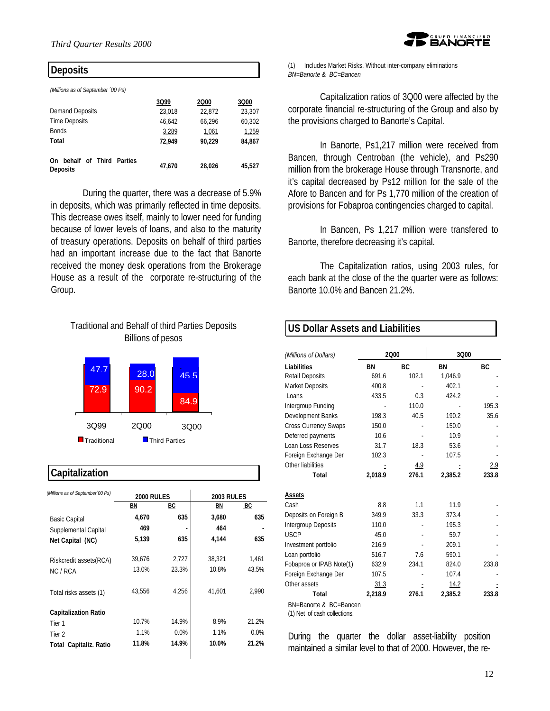

#### **Deposits**

*(Millions as of September ´00 Ps)*

| 3Q99   | 2000   | 3Q00   |
|--------|--------|--------|
| 23,018 | 22,872 | 23,307 |
| 46.642 | 66.296 | 60,302 |
| 3,289  | 1,061  | 1,259  |
| 72.949 | 90.229 | 84.867 |
|        |        |        |
| 47.670 | 28.026 | 45,527 |
|        |        |        |

During the quarter, there was a decrease of 5.9% in deposits, which was primarily reflected in time deposits. This decrease owes itself, mainly to lower need for funding because of lower levels of loans, and also to the maturity of treasury operations. Deposits on behalf of third parties had an important increase due to the fact that Banorte received the money desk operations from the Brokerage House as a result of the corporate re-structuring of the Group.

# Traditional and Behalf of third Parties Deposits Billions of pesos



# **Capitalization**

| (Millions as of September '00 Ps) |                   |       |                   |       |  |
|-----------------------------------|-------------------|-------|-------------------|-------|--|
|                                   | <b>2000 RULES</b> |       | <b>2003 RULES</b> |       |  |
|                                   | ΒN                | ВC    | BN                | BC    |  |
| <b>Basic Capital</b>              | 4,670             | 635   | 3,680             | 635   |  |
| Supplemental Capital              | 469               |       | 464               |       |  |
| Net Capital (NC)                  | 5,139             | 635   | 4,144             | 635   |  |
| Riskcredit assets (RCA)           | 39,676            | 2.727 | 38,321            | 1.461 |  |
| NC / RCA                          | 13.0%             | 23.3% | 10.8%             | 43.5% |  |
| Total risks assets (1)            | 43.556            | 4,256 | 41.601            | 2.990 |  |
| <b>Capitalization Ratio</b>       |                   |       |                   |       |  |
| Tier 1                            | 10.7%             | 14.9% | 8.9%              | 21.2% |  |
| Tier 2                            | 1.1%              | 0.0%  | 1.1%              | 0.0%  |  |
| <b>Total Capitaliz. Ratio</b>     | 11.8%             | 14.9% | 10.0%             | 21.2% |  |

(1) Includes Market Risks. Without inter-company eliminations *BN=Banorte & BC=Bancen*

Capitalization ratios of 3Q00 were affected by the corporate financial re-structuring of the Group and also by the provisions charged to Banorte's Capital.

In Banorte, Ps1,217 million were received from Bancen, through Centroban (the vehicle), and Ps290 million from the brokerage House through Transnorte, and it's capital decreased by Ps12 million for the sale of the Afore to Bancen and for Ps 1,770 million of the creation of provisions for Fobaproa contingencies charged to capital.

In Bancen, Ps 1,217 million were transfered to Banorte, therefore decreasing it's capital.

The Capitalization ratios, using 2003 rules, for each bank at the close of the the quarter were as follows: Banorte 10.0% and Bancen 21.2%.

# **US Dollar Assets and Liabilities**

| (Millions of Dollars)       | 2000    |       | 3Q00    |       |
|-----------------------------|---------|-------|---------|-------|
| Liabilities                 | ΒN      | ВC    | ΒN      | ВC    |
| <b>Retail Deposits</b>      | 691.6   | 102.1 | 1.046.9 |       |
| <b>Market Deposits</b>      | 400.8   |       | 402.1   |       |
| Loans                       | 433.5   | 0.3   | 424.2   |       |
| Intergroup Funding          |         | 110.0 |         | 195.3 |
| Development Banks           | 198.3   | 40.5  | 190.2   | 35.6  |
| <b>Cross Currency Swaps</b> | 150.0   |       | 150.0   |       |
| Deferred payments           | 10.6    |       | 10.9    |       |
| Loan Loss Reserves          | 31.7    | 18.3  | 53.6    |       |
| Foreign Exchange Der        | 102.3   |       | 107.5   |       |
| Other liabilities           |         | 4.9   |         | 2.9   |
| Total                       | 2,018.9 | 276.1 | 2,385.2 | 233.8 |
| Assets                      |         |       |         |       |
| Cash                        | 8.8     | 1.1   | 11.9    |       |
| Deposits on Foreign B       | 349.9   | 33.3  | 373.4   |       |
| Intergroup Deposits         | 110.0   |       | 195.3   |       |
| <b>USCP</b>                 | 45.0    |       | 59.7    |       |
| Investment portfolio        | 216.9   |       | 209.1   |       |
| Loan portfolio              | 516.7   | 76    | 590.1   |       |
| Fobaproa or IPAB Note(1)    | 632.9   | 234.1 | 824.0   | 233.8 |
| Foreign Exchange Der        | 107.5   |       | 107.4   |       |
| Other assets                | 31.3    |       | 14.2    |       |
| Total                       | 2.218.9 | 276.1 | 2.385.2 | 233.8 |
| BN=Banorte & BC=Bancen      |         |       |         |       |

(1) Net of cash collections.

During the quarter the dollar asset-liability position maintained a similar level to that of 2000. However, the re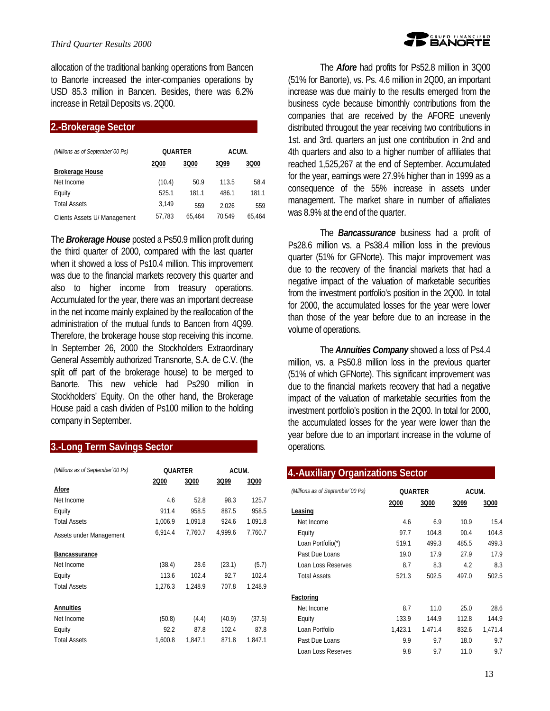allocation of the traditional banking operations from Bancen to Banorte increased the inter-companies operations by USD 85.3 million in Bancen. Besides, there was 6.2% increase in Retail Deposits vs. 2Q00.

#### **2.-Brokerage Sector**

| (Millions as of September 00 Ps) | <b>OUARTER</b> |        | ACUM.  |        |
|----------------------------------|----------------|--------|--------|--------|
| <b>Brokerage House</b>           | 2000           | 3Q00   | 3Q99   | 3Q00   |
| Net Income                       | (10.4)         | 50.9   | 113.5  | 58.4   |
| Equity                           | 525.1          | 181.1  | 486.1  | 181.1  |
| <b>Total Assets</b>              | 3.149          | 559    | 2.026  | 559    |
| Clients Assets U/ Management     | 57,783         | 65.464 | 70.549 | 65.464 |

The *Brokerage House* posted a Ps50.9 million profit during the third quarter of 2000, compared with the last quarter when it showed a loss of Ps10.4 million. This improvement was due to the financial markets recovery this quarter and also to higher income from treasury operations. Accumulated for the year, there was an important decrease in the net income mainly explained by the reallocation of the administration of the mutual funds to Bancen from 4Q99. Therefore, the brokerage house stop receiving this income. In September 26, 2000 the Stockholders Extraordinary General Assembly authorized Transnorte, S.A. de C.V. (the split off part of the brokerage house) to be merged to Banorte. This new vehicle had Ps290 million in Stockholders' Equity. On the other hand, the Brokerage House paid a cash dividen of Ps100 million to the holding company in September.

# **3.-Long Term Savings Sector**

| (Millions as of September '00 Ps) | <b>OUARTER</b> |         | ACUM.   |         |
|-----------------------------------|----------------|---------|---------|---------|
|                                   | 2000           | 3Q00    | 3Q99    | 3Q00    |
| Afore                             |                |         |         |         |
| Net Income                        | 4.6            | 52.8    | 98.3    | 125.7   |
| Equity                            | 911.4          | 958.5   | 887.5   | 958.5   |
| <b>Total Assets</b>               | 1,006.9        | 1.091.8 | 924.6   | 1,091.8 |
| Assets under Management           | 6,914.4        | 7.760.7 | 4.999.6 | 7.760.7 |
| <b>Bancassurance</b>              |                |         |         |         |
| Net Income                        | (38.4)         | 28.6    | (23.1)  | (5.7)   |
| Equity                            | 113.6          | 102.4   | 92.7    | 102.4   |
| <b>Total Assets</b>               | 1.276.3        | 1.248.9 | 707.8   | 1.248.9 |
| <b>Annuities</b>                  |                |         |         |         |
| Net Income                        | (50.8)         | (4.4)   | (40.9)  | (37.5)  |
| Equity                            | 92.2           | 87.8    | 102.4   | 87.8    |
| <b>Total Assets</b>               | 1,600.8        | 1,847.1 | 871.8   | 1,847.1 |

The *Afore* had profits for Ps52.8 million in 3Q00 (51% for Banorte), vs. Ps. 4.6 million in 2Q00, an important increase was due mainly to the results emerged from the business cycle because bimonthly contributions from the companies that are received by the AFORE unevenly distributed througout the year receiving two contributions in 1st. and 3rd. quarters an just one contribution in 2nd and 4th quarters and also to a higher number of affiliates that reached 1,525,267 at the end of September. Accumulated for the year, earnings were 27.9% higher than in 1999 as a consequence of the 55% increase in assets under management. The market share in number of affialiates was 8.9% at the end of the quarter.

The *Bancassurance* business had a profit of Ps28.6 million vs. a Ps38.4 million loss in the previous quarter (51% for GFNorte). This major improvement was due to the recovery of the financial markets that had a negative impact of the valuation of marketable securities from the investment portfolio's position in the 2Q00. In total for 2000, the accumulated losses for the year were lower than those of the year before due to an increase in the volume of operations.

The *Annuities Company* showed a loss of Ps4.4 million, vs. a Ps50.8 million loss in the previous quarter (51% of which GFNorte). This significant improvement was due to the financial markets recovery that had a negative impact of the valuation of marketable securities from the investment portfolio's position in the 2Q00. In total for 2000, the accumulated losses for the year were lower than the year before due to an important increase in the volume of operations.

#### **4.-Auxiliary Organizations Sector**

| (Millions as of September '00 Ps) | <b>OUARTER</b> |         | ACUM. |         |
|-----------------------------------|----------------|---------|-------|---------|
|                                   | 2Q00           | 3Q00    | 3Q99  | 3Q00    |
| <b>Leasing</b>                    |                |         |       |         |
| Net Income                        | 4.6            | 6.9     | 10.9  | 15.4    |
| Equity                            | 97.7           | 104.8   | 90.4  | 104.8   |
| Loan Portfolio(*)                 | 519.1          | 499.3   | 485.5 | 499.3   |
| Past Due Loans                    | 19.0           | 179     | 27.9  | 17.9    |
| Loan Loss Reserves                | 8.7            | 8.3     | 4.2   | 8.3     |
| <b>Total Assets</b>               | 521.3          | 502.5   | 497.0 | 502.5   |
| <b>Factoring</b>                  |                |         |       |         |
| Net Income                        | 8.7            | 11.0    | 25.0  | 28.6    |
| Equity                            | 133.9          | 144.9   | 112.8 | 144.9   |
| Loan Portfolio                    | 1,423.1        | 1,471.4 | 832.6 | 1.471.4 |
| Past Due Loans                    | 9.9            | 9.7     | 18.0  | 9.7     |
| Loan Loss Reserves                | 9.8            | 9.7     | 110   | 9.7     |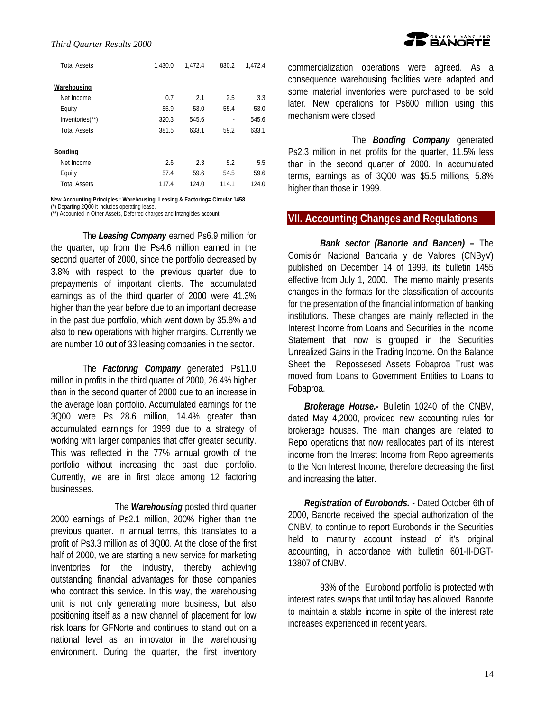| <b>Total Assets</b>         | 1.430.0 | 1.472.4 | 830.2 | 1.472.4 |
|-----------------------------|---------|---------|-------|---------|
| Warehousing                 |         |         |       |         |
| Net Income                  | 0.7     | 2.1     | 2.5   | 3.3     |
| Equity                      | 55.9    | 53.0    | 55.4  | 53.0    |
| Inventories <sup>(**)</sup> | 320.3   | 545.6   | ٠     | 545.6   |
| <b>Total Assets</b>         | 381.5   | 633.1   | 59.2  | 633.1   |
| <b>Bonding</b>              |         |         |       |         |
| Net Income                  | 2.6     | 2.3     | 5.2   | 5.5     |
| Equity                      | 57.4    | 59.6    | 54.5  | 59.6    |
| <b>Total Assets</b>         | 117.4   | 124.0   | 114.1 | 124.0   |

#### **New Accounting Principles : Warehousing, Leasing & Factoring= Circular 1458**

(\*) Departing 2Q00 it includes operating lease.

(\*\*) Accounted in Other Assets, Deferred charges and Intangibles account.

The *Leasing Company* earned Ps6.9 million for the quarter, up from the Ps4.6 million earned in the second quarter of 2000, since the portfolio decreased by 3.8% with respect to the previous quarter due to prepayments of important clients. The accumulated earnings as of the third quarter of 2000 were 41.3% higher than the year before due to an important decrease in the past due portfolio, which went down by 35.8% and also to new operations with higher margins. Currently we are number 10 out of 33 leasing companies in the sector.

The *Factoring Company* generated Ps11.0 million in profits in the third quarter of 2000, 26.4% higher than in the second quarter of 2000 due to an increase in the average loan portfolio. Accumulated earnings for the 3Q00 were Ps 28.6 million, 14.4% greater than accumulated earnings for 1999 due to a strategy of working with larger companies that offer greater security. This was reflected in the 77% annual growth of the portfolio without increasing the past due portfolio. Currently, we are in first place among 12 factoring businesses.

The *Warehousing* posted third quarter 2000 earnings of Ps2.1 million, 200% higher than the previous quarter. In annual terms, this translates to a profit of Ps3.3 million as of 3Q00. At the close of the first half of 2000, we are starting a new service for marketing inventories for the industry, thereby achieving outstanding financial advantages for those companies who contract this service. In this way, the warehousing unit is not only generating more business, but also positioning itself as a new channel of placement for low risk loans for GFNorte and continues to stand out on a national level as an innovator in the warehousing environment. During the quarter, the first inventory



commercialization operations were agreed. As a consequence warehousing facilities were adapted and some material inventories were purchased to be sold later. New operations for Ps600 million using this mechanism were closed.

The *Bonding Company* generated Ps2.3 million in net profits for the quarter, 11.5% less than in the second quarter of 2000. In accumulated terms, earnings as of 3Q00 was \$5.5 millions, 5.8% higher than those in 1999.

#### **VII. Accounting Changes and Regulations**

*Bank sector (Banorte and Bancen) –* The Comisión Nacional Bancaria y de Valores (CNByV) published on December 14 of 1999, its bulletin 1455 effective from July 1, 2000. The memo mainly presents changes in the formats for the classification of accounts for the presentation of the financial information of banking institutions. These changes are mainly reflected in the Interest Income from Loans and Securities in the Income Statement that now is grouped in the Securities Unrealized Gains in the Trading Income. On the Balance Sheet the Repossesed Assets Fobaproa Trust was moved from Loans to Government Entities to Loans to Fobaproa.

*Brokerage House.***-** Bulletin 10240 of the CNBV, dated May 4,2000, provided new accounting rules for brokerage houses. The main changes are related to Repo operations that now reallocates part of its interest income from the Interest Income from Repo agreements to the Non Interest Income, therefore decreasing the first and increasing the latter.

*Registration of Eurobonds. -* Dated October 6th of 2000, Banorte received the special authorization of the CNBV, to continue to report Eurobonds in the Securities held to maturity account instead of it's original accounting, in accordance with bulletin 601-II-DGT-13807 of CNBV.

93% of the Eurobond portfolio is protected with interest rates swaps that until today has allowed Banorte to maintain a stable income in spite of the interest rate increases experienced in recent years.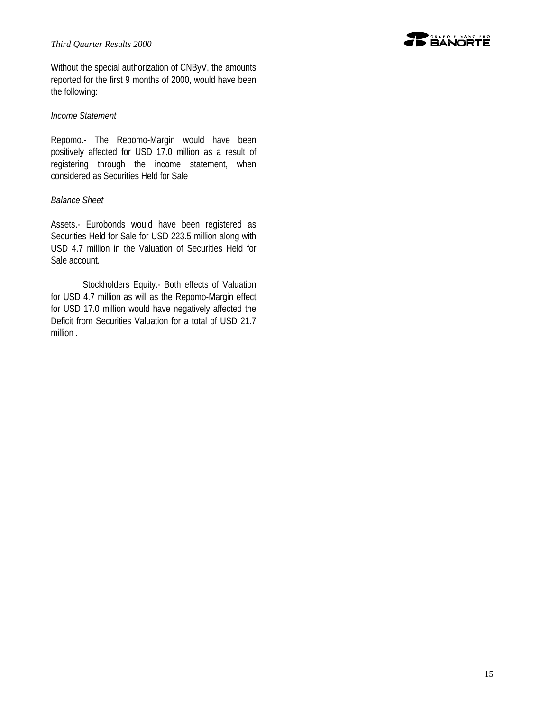#### *Third Quarter Results 2000*

**TO GRUPO FINANCIERO** 

Without the special authorization of CNByV, the amounts reported for the first 9 months of 2000, would have been the following:

#### *Income Statement*

Repomo.- The Repomo-Margin would have been positively affected for USD 17.0 million as a result of registering through the income statement, when considered as Securities Held for Sale

#### *Balance Sheet*

Assets.- Eurobonds would have been registered as Securities Held for Sale for USD 223.5 million along with USD 4.7 million in the Valuation of Securities Held for Sale account.

Stockholders Equity.- Both effects of Valuation for USD 4.7 million as will as the Repomo-Margin effect for USD 17.0 million would have negatively affected the Deficit from Securities Valuation for a total of USD 21.7 million .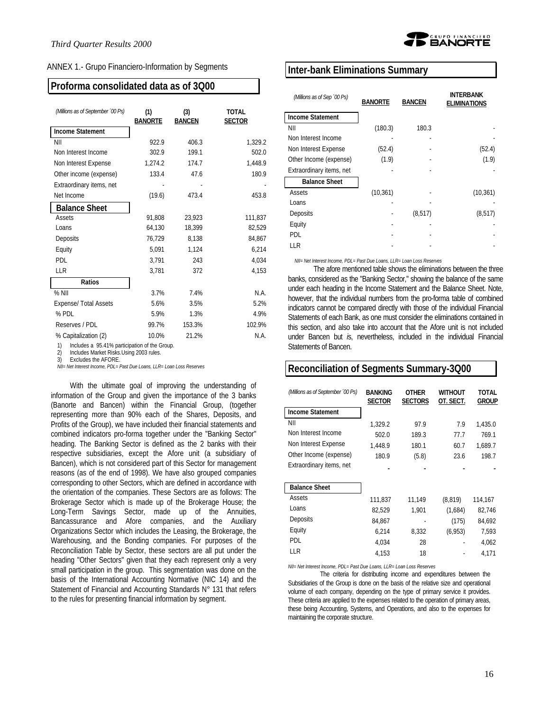| ANNEX 1.- Grupo Financiero-Information by Segments |  |
|----------------------------------------------------|--|
|                                                    |  |

# **Proforma consolidated data as of 3Q00**

| (Millions as of September '00 Ps) | (1)<br><b>BANORTE</b> | (3)<br><b>BANCEN</b> | <b>TOTAL</b><br><b>SECTOR</b> |
|-----------------------------------|-----------------------|----------------------|-------------------------------|
| <b>Income Statement</b>           |                       |                      |                               |
| NII                               | 922.9                 | 406.3                | 1,329.2                       |
| Non Interest Income               | 302.9                 | 199.1                | 502.0                         |
| Non Interest Expense              | 1,274.2               | 174.7                | 1,448.9                       |
| Other income (expense)            | 133.4                 | 47.6                 | 180.9                         |
| Extraordinary items, net          |                       |                      |                               |
| Net Income                        | (19.6)                | 473.4                | 453.8                         |
| <b>Balance Sheet</b>              |                       |                      |                               |
| Assets                            | 91,808                | 23.923               | 111,837                       |
| Loans                             | 64,130                | 18.399               | 82,529                        |
| Deposits                          | 76,729                | 8,138                | 84,867                        |
| Equity                            | 5,091                 | 1,124                | 6,214                         |
| <b>PDL</b>                        | 3,791                 | 243                  | 4,034                         |
| LLR                               | 3,781                 | 372                  | 4,153                         |
| <b>Ratios</b>                     |                       |                      |                               |
| $%$ NII                           | 3.7%                  | 7.4%                 | N.A.                          |
| <b>Expense/ Total Assets</b>      | 5.6%                  | 3.5%                 | 5.2%                          |
| $%$ PDL                           | 5.9%                  | 1.3%                 | 4.9%                          |
| Reserves / PDL                    | 99.7%                 | 153.3%               | 102.9%                        |
| % Capitalization (2)              | 10.0%                 | 21.2%                | N.A.                          |

1) Includes a 95.41% participation of the Group.

2) Includes Market Risks.Using 2003 rules. 3) Excludes the AFORE.

*NII= Net Interest Income, PDL= Past Due Loans, LLR= Loan Loss Reserves*

With the ultimate goal of improving the understanding of information of the Group and given the importance of the 3 banks (Banorte and Bancen) within the Financial Group, (together representing more than 90% each of the Shares, Deposits, and Profits of the Group), we have included their financial statements and combined indicators pro-forma together under the "Banking Sector" heading. The Banking Sector is defined as the 2 banks with their respective subsidiaries, except the Afore unit (a subsidiary of Bancen), which is not considered part of this Sector for management reasons (as of the end of 1998). We have also grouped companies corresponding to other Sectors, which are defined in accordance with the orientation of the companies. These Sectors are as follows: The Brokerage Sector which is made up of the Brokerage House; the Long-Term Savings Sector, made up of the Annuities, Bancassurance and Afore companies, and the Auxiliary Organizations Sector which includes the Leasing, the Brokerage, the Warehousing, and the Bonding companies. For purposes of the Reconciliation Table by Sector, these sectors are all put under the heading "Other Sectors" given that they each represent only a very small participation in the group. This segmentation was done on the basis of the International Accounting Normative (NIC 14) and the Statement of Financial and Accounting Standards N° 131 that refers to the rules for presenting financial information by segment.



#### **Inter-bank Eliminations Summary**

| (Millions as of Sep '00 Ps) | <b>BANORTE</b> | <b>BANCEN</b> | INTERBANK<br><b>ELIMINATIONS</b> |
|-----------------------------|----------------|---------------|----------------------------------|
| <b>Income Statement</b>     |                |               |                                  |
| ΝIΙ                         | (180.3)        | 180.3         |                                  |
| Non Interest Income         |                |               |                                  |
| Non Interest Expense        | (52.4)         |               | (52.4)                           |
| Other Income (expense)      | (1.9)          |               | (1.9)                            |
| Extraordinary items, net    |                |               |                                  |
| <b>Balance Sheet</b>        |                |               |                                  |
| Assets                      | (10, 361)      |               | (10, 361)                        |
| Loans                       |                |               |                                  |
| Deposits                    |                | (8, 517)      | (8, 517)                         |
| Equity                      |                |               |                                  |
| PDL.                        |                |               |                                  |
| LLR                         |                |               |                                  |

*NII= Net Interest Income, PDL= Past Due Loans, LLR= Loan Loss Reserves*

The afore mentioned table shows the eliminations between the three banks, considered as the "Banking Sector," showing the balance of the same under each heading in the Income Statement and the Balance Sheet. Note, however, that the individual numbers from the pro-forma table of combined indicators cannot be compared directly with those of the individual Financial Statements of each Bank, as one must consider the eliminations contained in this section, and also take into account that the Afore unit is not included under Bancen but *i*s, nevertheless, included in the individual Financial Statements of Bancen.

# **Reconciliation of Segments Summary-3Q00**

| (Millions as of September '00 Ps) | <b>BANKING</b><br><b>SECTOR</b> | OTHER<br><b>SECTORS</b> | <b>WITHOUT</b><br>OT. SECT. | TOTAL<br>Group |
|-----------------------------------|---------------------------------|-------------------------|-----------------------------|----------------|
| <b>Income Statement</b>           |                                 |                         |                             |                |
| ΝIΙ                               | 1.329.2                         | 97.9                    | 7.9                         | 1.435.0        |
| Non Interest Income               | 502.0                           | 189.3                   | 77.7                        | 769.1          |
| Non Interest Expense              | 1.448.9                         | 180.1                   | 60.7                        | 1,689.7        |
| Other Income (expense)            | 180.9                           | (5.8)                   | 23.6                        | 198.7          |
| Extraordinary items, net          |                                 |                         |                             |                |
|                                   |                                 |                         |                             |                |
| <b>Balance Sheet</b>              |                                 |                         |                             |                |
| Assets                            | 111,837                         | 11,149                  | (8, 819)                    | 114,167        |
| Loans                             | 82,529                          | 1,901                   | (1,684)                     | 82,746         |
| Deposits                          | 84.867                          |                         | (175)                       | 84,692         |
| Equity                            | 6,214                           | 8,332                   | (6,953)                     | 7,593          |
| PDL                               | 4,034                           | 28                      |                             | 4,062          |
| LLR                               | 4.153                           | 18                      |                             | 4,171          |

*NII= Net Interest Income, PDL= Past Due Loans, LLR= Loan Loss Reserves*

The criteria for distributing income and expenditures between the Subsidiaries of the Group is done on the basis of the relative size and operational volume of each company, depending on the type of primary service it provides. These criteria are applied to the expenses related to the operation of primary areas, these being Accounting, Systems, and Operations, and also to the expenses for maintaining the corporate structure.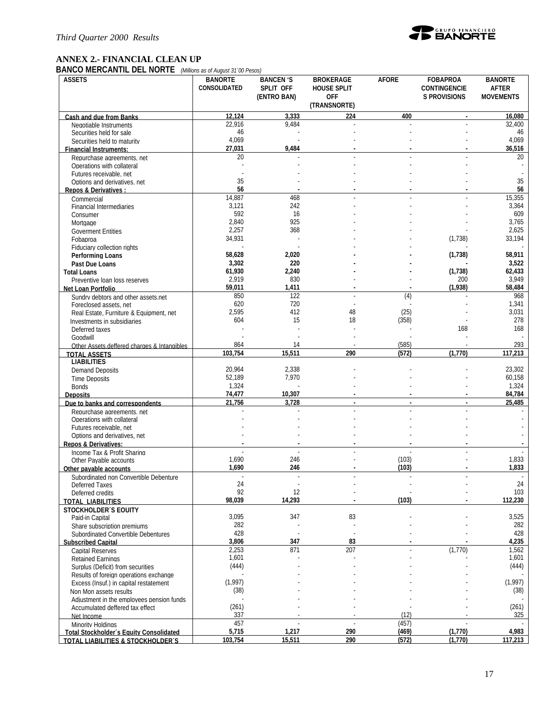

# **ANNEX 2.- FINANCIAL CLEAN UP**

**BANCO MERCANTIL DEL NORTE** *(Millions as of August 31´00 Pesos)*

| <b>ASSETS</b>                                                | <b>BANORTE</b> | <b>BANCEN 'S</b> | <b>BROKERAGE</b>   | <b>AFORE</b> | <b>FOBAPROA</b>     | <b>BANORTE</b>   |
|--------------------------------------------------------------|----------------|------------------|--------------------|--------------|---------------------|------------------|
|                                                              | CONSOLIDATED   | SPLIT OFF        | <b>HOUSE SPLIT</b> |              | <b>CONTINGENCIE</b> | <b>AFTER</b>     |
|                                                              |                | (ENTRO BAN)      | <b>OFF</b>         |              | <b>S PROVISIONS</b> | <b>MOVEMENTS</b> |
|                                                              |                |                  | (TRANSNORTE)       |              |                     |                  |
| Cash and due from Banks                                      | 12.124         | 3.333            | 224                | 400          | $\mathbf{L}$        | 16.080           |
| Negotiable Instruments                                       | 22.916<br>46   | 9,484            |                    |              |                     | 32,400<br>46     |
| Securities held for sale                                     | 4,069          |                  |                    |              |                     | 4,069            |
| Securities held to maturity<br><b>Financial Instruments:</b> | 27,031         | 9,484            |                    |              |                     | 36,516           |
| Repurchase agreements, net                                   | 20             |                  |                    |              |                     | 20               |
| Operations with collateral                                   |                |                  |                    |              |                     |                  |
| Futures receivable, net                                      |                |                  |                    |              |                     |                  |
| Options and derivatives, net                                 | 35             |                  |                    |              |                     | 35               |
| Repos & Derivatives:                                         | 56             |                  |                    |              |                     | 56               |
| Commercial                                                   | 14,887         | 468              |                    |              |                     | 15,355           |
| <b>Financial Intermediaries</b>                              | 3,121<br>592   | 242<br>16        |                    |              |                     | 3,364<br>609     |
| Consumer                                                     | 2,840          | 925              |                    |              |                     | 3,765            |
| Mortgage<br><b>Goverment Entities</b>                        | 2,257          | 368              |                    |              |                     | 2,625            |
| Fobaproa                                                     | 34,931         |                  |                    |              | (1,738)             | 33,194           |
| Fiduciary collection rights                                  |                |                  |                    |              |                     |                  |
| Performing Loans                                             | 58,628         | 2,020            |                    |              | (1,738)             | 58,911           |
| Past Due Loans                                               | 3,302          | 220              |                    |              |                     | 3,522            |
| <b>Total Loans</b>                                           | 61,930         | 2,240            |                    |              | (1,738)             | 62,433           |
| Preventive Ioan loss reserves                                | 2,919          | 830              |                    |              | 200                 | 3,949            |
| Net Loan Portfolio                                           | 59,011         | 1,411            |                    |              | (1,938)             | 58,484           |
| Sundry debtors and other assets.net                          | 850            | 122              |                    | (4)          |                     | 968              |
| Foreclosed assets, net                                       | 620<br>2,595   | 720<br>412       | 48                 | (25)         |                     | 1,341<br>3,031   |
| Real Estate, Furniture & Equipment, net                      | 604            | 15               | 18                 | (358)        |                     | 278              |
| Investments in subsidiaries<br>Deferred taxes                |                |                  |                    |              | 168                 | 168              |
| Goodwill                                                     |                |                  |                    |              |                     |                  |
| Other Assets deffered charges & Intangibles                  | 864            | 14               |                    | (585)        |                     | 293              |
| <b>TOTAL ASSETS</b>                                          | 103.754        | 15,511           | 290                | (572)        | (1,770)             | 117.213          |
| <b>LIABILITIES</b>                                           |                |                  |                    |              |                     |                  |
| <b>Demand Deposits</b>                                       | 20,964         | 2,338            |                    |              |                     | 23,302           |
| <b>Time Deposits</b>                                         | 52,189         | 7,970            |                    |              |                     | 60,158           |
| <b>Bonds</b>                                                 | 1,324          |                  |                    |              |                     | 1,324            |
| <b>Deposits</b>                                              | 74,477         | 10,307           |                    |              |                     | 84,784           |
| Due to banks and correspondents                              | 21.756         | 3.728            |                    |              |                     | 25,485           |
| Repurchase agreements, net<br>Operations with collateral     |                |                  |                    |              |                     |                  |
| Futures receivable, net                                      |                |                  |                    |              |                     |                  |
| Options and derivatives, net                                 |                |                  |                    |              |                     |                  |
| <b>Repos &amp; Derivatives:</b>                              |                |                  |                    |              |                     |                  |
| Income Tax & Profit Sharing                                  |                |                  |                    |              |                     |                  |
| Other Payable accounts                                       | 1,690          | 246              |                    | (103)        |                     | 1,833            |
| Other pavable accounts                                       | 1,690          | 246              |                    | (103)        |                     | 1,833            |
| Subordinated non Convertible Debenture                       |                |                  |                    |              |                     |                  |
| Deferred Taxes                                               | 24<br>92       | 12               |                    |              |                     | 24<br>103        |
| Deferred credits                                             | 98,039         | 14,293           |                    | (103)        |                     | 112,230          |
| <b>TOTAL LIABILITIES</b>                                     |                |                  |                    |              |                     |                  |
| <b>STOCKHOLDER'S EQUITY</b><br>Paid-in Capital               | 3,095          | 347              | 83                 |              |                     | 3,525            |
| Share subscription premiums                                  | 282            |                  |                    |              |                     | 282              |
| Subordinated Convertible Debentures                          | 428            |                  |                    |              |                     | 428              |
| <b>Subscribed Capital</b>                                    | 3,806          | 347              | 83                 |              |                     | 4,235            |
| <b>Capital Reserves</b>                                      | 2,253          | 871              | 207                |              | (1,770)             | 1,562            |
| <b>Retained Earnings</b>                                     | 1,601          |                  |                    |              |                     | 1,601            |
| Surplus (Deficit) from securities                            | (444)          |                  |                    |              |                     | (444)            |
| Results of foreign operations exchange                       |                |                  |                    |              |                     |                  |
| Excess (Insuf.) in capital restatement                       | (1,997)        |                  |                    |              |                     | (1,997)          |
| Non Mon assets results                                       | (38)           |                  |                    |              |                     | (38)             |
| Adjustment in the employees pension funds                    | (261)          |                  |                    |              |                     | (261)            |
| Accumulated deffered tax effect<br>Net Income                | 337            |                  |                    | (12)         |                     | 325              |
| <b>Minority Holdings</b>                                     | 457            |                  |                    | (457)        |                     |                  |
| Total Stockholder's Equity Consolidated                      | 5,715          | 1,217            | 290                | (469)        | (1,770)             | 4,983            |
| TOTAL LIABILITIES & STOCKHOLDER'S                            | 103,754        | 15,511           | 290                | (572)        | (1,770)             | 117,213          |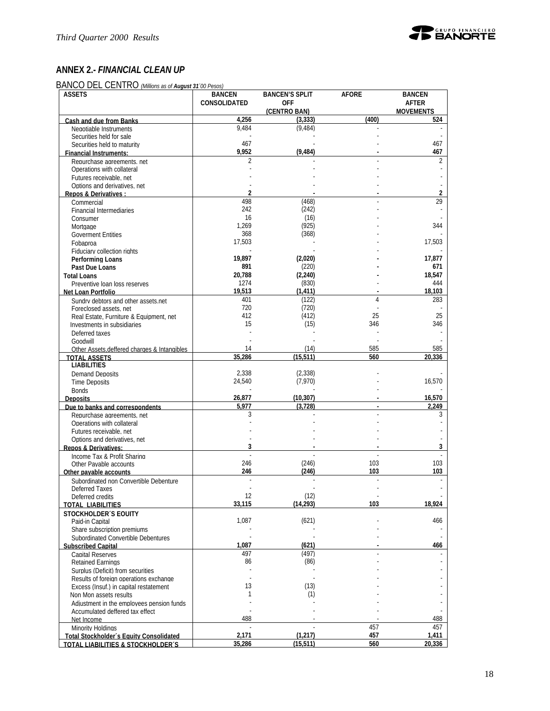

# **ANNEX 2.-** *FINANCIAL CLEAN UP*

BANCO DEL CENTRO *(Millions as of August 31´00 Pesos)*

| CONSOLIDATED<br><b>OFF</b><br><b>AFTER</b><br>(CENTRO BAN)<br><b>MOVEMENTS</b><br>(400)<br>4,256<br>(3,333)<br>524<br>Cash and due from Banks<br>9,484<br>(9, 484)<br>Negotiable Instruments<br>Securities held for sale<br>467<br>467<br>Securities held to maturity<br>9,952<br>(9, 484)<br>467<br><b>Financial Instruments:</b><br>2<br>Repurchase agreements, net<br>Operations with collateral<br>Futures receivable, net<br>Options and derivatives, net<br>2<br>$\overline{2}$<br>Repos & Derivatives :<br>498<br>29<br>(468)<br>Commercial<br>242<br>(242)<br><b>Financial Intermediaries</b><br>16<br>(16)<br>Consumer<br>(925)<br>1,269<br>344<br>Mortgage<br>368<br>(368)<br><b>Goverment Entities</b><br>17,503<br>17,503<br>Fobaproa<br>Fiduciary collection rights<br>19,897<br>17,877<br>(2,020)<br>Performing Loans<br>891<br>(220)<br>671<br>Past Due Loans<br>20,788<br>(2, 240)<br>18,547<br><b>Total Loans</b><br>1274<br>(830)<br>444<br>Preventive Ioan loss reserves<br>19,513<br>(1, 411)<br>18,103<br>Net Loan Portfolio<br>401<br>(122)<br>4<br>283<br>Sundry debtors and other assets net<br>720<br>(720)<br>Foreclosed assets, net<br>412<br>(412)<br>25<br>25<br>Real Estate, Furniture & Equipment, net<br>15<br>(15)<br>346<br>346<br>Investments in subsidiaries<br>Deferred taxes<br>Goodwill<br>585<br>585<br>14<br>(14)<br>Other Assets deffered charges & Intangibles<br>35,286<br>(15.511)<br>560<br>20,336<br><b>TOTAL ASSETS</b><br><b>LIABILITIES</b><br>2,338<br>(2, 338)<br><b>Demand Deposits</b><br>(7,970)<br>16,570<br>24,540<br><b>Time Deposits</b><br><b>Bonds</b><br>26,877<br>16,570<br>(10, 307)<br><b>Deposits</b><br>5,977<br>(3, 728)<br>2,249<br>Due to banks and correspondents<br>3<br>3<br>Repurchase agreements, net<br>Operations with collateral<br>Futures receivable, net<br>Options and derivatives, net<br>3<br>3<br><b>Repos &amp; Derivatives:</b><br>Income Tax & Profit Sharing<br>246<br>(246)<br>103<br>103<br>Other Payable accounts<br>246<br>(246)<br>103<br>103<br>Other pavable accounts<br>Subordinated non Convertible Debenture<br>Deferred Taxes<br>12<br>(12)<br>Deferred credits<br>18,924<br>(14, 293)<br>103<br>33,115<br>TOTAL LIABILITIES<br><b>STOCKHOLDER'S EQUITY</b><br>1,087<br>(621)<br>466<br>Paid-in Capital<br>Share subscription premiums<br>Subordinated Convertible Debentures<br>1,087<br>(621)<br>466<br><b>Subscribed Capital</b><br>497<br>(497)<br><b>Capital Reserves</b><br>86<br>(86)<br><b>Retained Earnings</b><br>Surplus (Deficit) from securities<br>Results of foreign operations exchange<br>13<br>(13)<br>Excess (Insuf.) in capital restatement<br>(1)<br>1<br>Non Mon assets results<br>Adjustment in the employees pension funds<br>Accumulated deffered tax effect<br>488<br>488<br>Net Income<br>457<br>457<br>Minority Holdinas<br>2,171<br>(1, 217)<br>457<br>1,411<br>Total Stockholder's Equity Consolidated<br>(15, 511)<br>560<br>20,336<br>35,286<br>TOTAL LIABILITIES & STOCKHOLDER'S | <b>ASSETS</b> | <b>BANCEN</b> | <b>BANCEN'S SPLIT</b> | <b>AFORE</b> | <b>BANCEN</b> |
|-----------------------------------------------------------------------------------------------------------------------------------------------------------------------------------------------------------------------------------------------------------------------------------------------------------------------------------------------------------------------------------------------------------------------------------------------------------------------------------------------------------------------------------------------------------------------------------------------------------------------------------------------------------------------------------------------------------------------------------------------------------------------------------------------------------------------------------------------------------------------------------------------------------------------------------------------------------------------------------------------------------------------------------------------------------------------------------------------------------------------------------------------------------------------------------------------------------------------------------------------------------------------------------------------------------------------------------------------------------------------------------------------------------------------------------------------------------------------------------------------------------------------------------------------------------------------------------------------------------------------------------------------------------------------------------------------------------------------------------------------------------------------------------------------------------------------------------------------------------------------------------------------------------------------------------------------------------------------------------------------------------------------------------------------------------------------------------------------------------------------------------------------------------------------------------------------------------------------------------------------------------------------------------------------------------------------------------------------------------------------------------------------------------------------------------------------------------------------------------------------------------------------------------------------------------------------------------------------------------------------------------------------------------------------------------------------------------------------------------------------------------------------------------------------------------------------------------------------------------------------------------------------------------------------------------------------------------------------------------------------------------------------|---------------|---------------|-----------------------|--------------|---------------|
|                                                                                                                                                                                                                                                                                                                                                                                                                                                                                                                                                                                                                                                                                                                                                                                                                                                                                                                                                                                                                                                                                                                                                                                                                                                                                                                                                                                                                                                                                                                                                                                                                                                                                                                                                                                                                                                                                                                                                                                                                                                                                                                                                                                                                                                                                                                                                                                                                                                                                                                                                                                                                                                                                                                                                                                                                                                                                                                                                                                                                       |               |               |                       |              |               |
|                                                                                                                                                                                                                                                                                                                                                                                                                                                                                                                                                                                                                                                                                                                                                                                                                                                                                                                                                                                                                                                                                                                                                                                                                                                                                                                                                                                                                                                                                                                                                                                                                                                                                                                                                                                                                                                                                                                                                                                                                                                                                                                                                                                                                                                                                                                                                                                                                                                                                                                                                                                                                                                                                                                                                                                                                                                                                                                                                                                                                       |               |               |                       |              |               |
|                                                                                                                                                                                                                                                                                                                                                                                                                                                                                                                                                                                                                                                                                                                                                                                                                                                                                                                                                                                                                                                                                                                                                                                                                                                                                                                                                                                                                                                                                                                                                                                                                                                                                                                                                                                                                                                                                                                                                                                                                                                                                                                                                                                                                                                                                                                                                                                                                                                                                                                                                                                                                                                                                                                                                                                                                                                                                                                                                                                                                       |               |               |                       |              |               |
|                                                                                                                                                                                                                                                                                                                                                                                                                                                                                                                                                                                                                                                                                                                                                                                                                                                                                                                                                                                                                                                                                                                                                                                                                                                                                                                                                                                                                                                                                                                                                                                                                                                                                                                                                                                                                                                                                                                                                                                                                                                                                                                                                                                                                                                                                                                                                                                                                                                                                                                                                                                                                                                                                                                                                                                                                                                                                                                                                                                                                       |               |               |                       |              |               |
|                                                                                                                                                                                                                                                                                                                                                                                                                                                                                                                                                                                                                                                                                                                                                                                                                                                                                                                                                                                                                                                                                                                                                                                                                                                                                                                                                                                                                                                                                                                                                                                                                                                                                                                                                                                                                                                                                                                                                                                                                                                                                                                                                                                                                                                                                                                                                                                                                                                                                                                                                                                                                                                                                                                                                                                                                                                                                                                                                                                                                       |               |               |                       |              |               |
|                                                                                                                                                                                                                                                                                                                                                                                                                                                                                                                                                                                                                                                                                                                                                                                                                                                                                                                                                                                                                                                                                                                                                                                                                                                                                                                                                                                                                                                                                                                                                                                                                                                                                                                                                                                                                                                                                                                                                                                                                                                                                                                                                                                                                                                                                                                                                                                                                                                                                                                                                                                                                                                                                                                                                                                                                                                                                                                                                                                                                       |               |               |                       |              |               |
|                                                                                                                                                                                                                                                                                                                                                                                                                                                                                                                                                                                                                                                                                                                                                                                                                                                                                                                                                                                                                                                                                                                                                                                                                                                                                                                                                                                                                                                                                                                                                                                                                                                                                                                                                                                                                                                                                                                                                                                                                                                                                                                                                                                                                                                                                                                                                                                                                                                                                                                                                                                                                                                                                                                                                                                                                                                                                                                                                                                                                       |               |               |                       |              |               |
|                                                                                                                                                                                                                                                                                                                                                                                                                                                                                                                                                                                                                                                                                                                                                                                                                                                                                                                                                                                                                                                                                                                                                                                                                                                                                                                                                                                                                                                                                                                                                                                                                                                                                                                                                                                                                                                                                                                                                                                                                                                                                                                                                                                                                                                                                                                                                                                                                                                                                                                                                                                                                                                                                                                                                                                                                                                                                                                                                                                                                       |               |               |                       |              |               |
|                                                                                                                                                                                                                                                                                                                                                                                                                                                                                                                                                                                                                                                                                                                                                                                                                                                                                                                                                                                                                                                                                                                                                                                                                                                                                                                                                                                                                                                                                                                                                                                                                                                                                                                                                                                                                                                                                                                                                                                                                                                                                                                                                                                                                                                                                                                                                                                                                                                                                                                                                                                                                                                                                                                                                                                                                                                                                                                                                                                                                       |               |               |                       |              |               |
|                                                                                                                                                                                                                                                                                                                                                                                                                                                                                                                                                                                                                                                                                                                                                                                                                                                                                                                                                                                                                                                                                                                                                                                                                                                                                                                                                                                                                                                                                                                                                                                                                                                                                                                                                                                                                                                                                                                                                                                                                                                                                                                                                                                                                                                                                                                                                                                                                                                                                                                                                                                                                                                                                                                                                                                                                                                                                                                                                                                                                       |               |               |                       |              |               |
|                                                                                                                                                                                                                                                                                                                                                                                                                                                                                                                                                                                                                                                                                                                                                                                                                                                                                                                                                                                                                                                                                                                                                                                                                                                                                                                                                                                                                                                                                                                                                                                                                                                                                                                                                                                                                                                                                                                                                                                                                                                                                                                                                                                                                                                                                                                                                                                                                                                                                                                                                                                                                                                                                                                                                                                                                                                                                                                                                                                                                       |               |               |                       |              |               |
|                                                                                                                                                                                                                                                                                                                                                                                                                                                                                                                                                                                                                                                                                                                                                                                                                                                                                                                                                                                                                                                                                                                                                                                                                                                                                                                                                                                                                                                                                                                                                                                                                                                                                                                                                                                                                                                                                                                                                                                                                                                                                                                                                                                                                                                                                                                                                                                                                                                                                                                                                                                                                                                                                                                                                                                                                                                                                                                                                                                                                       |               |               |                       |              |               |
|                                                                                                                                                                                                                                                                                                                                                                                                                                                                                                                                                                                                                                                                                                                                                                                                                                                                                                                                                                                                                                                                                                                                                                                                                                                                                                                                                                                                                                                                                                                                                                                                                                                                                                                                                                                                                                                                                                                                                                                                                                                                                                                                                                                                                                                                                                                                                                                                                                                                                                                                                                                                                                                                                                                                                                                                                                                                                                                                                                                                                       |               |               |                       |              |               |
|                                                                                                                                                                                                                                                                                                                                                                                                                                                                                                                                                                                                                                                                                                                                                                                                                                                                                                                                                                                                                                                                                                                                                                                                                                                                                                                                                                                                                                                                                                                                                                                                                                                                                                                                                                                                                                                                                                                                                                                                                                                                                                                                                                                                                                                                                                                                                                                                                                                                                                                                                                                                                                                                                                                                                                                                                                                                                                                                                                                                                       |               |               |                       |              |               |
|                                                                                                                                                                                                                                                                                                                                                                                                                                                                                                                                                                                                                                                                                                                                                                                                                                                                                                                                                                                                                                                                                                                                                                                                                                                                                                                                                                                                                                                                                                                                                                                                                                                                                                                                                                                                                                                                                                                                                                                                                                                                                                                                                                                                                                                                                                                                                                                                                                                                                                                                                                                                                                                                                                                                                                                                                                                                                                                                                                                                                       |               |               |                       |              |               |
|                                                                                                                                                                                                                                                                                                                                                                                                                                                                                                                                                                                                                                                                                                                                                                                                                                                                                                                                                                                                                                                                                                                                                                                                                                                                                                                                                                                                                                                                                                                                                                                                                                                                                                                                                                                                                                                                                                                                                                                                                                                                                                                                                                                                                                                                                                                                                                                                                                                                                                                                                                                                                                                                                                                                                                                                                                                                                                                                                                                                                       |               |               |                       |              |               |
|                                                                                                                                                                                                                                                                                                                                                                                                                                                                                                                                                                                                                                                                                                                                                                                                                                                                                                                                                                                                                                                                                                                                                                                                                                                                                                                                                                                                                                                                                                                                                                                                                                                                                                                                                                                                                                                                                                                                                                                                                                                                                                                                                                                                                                                                                                                                                                                                                                                                                                                                                                                                                                                                                                                                                                                                                                                                                                                                                                                                                       |               |               |                       |              |               |
|                                                                                                                                                                                                                                                                                                                                                                                                                                                                                                                                                                                                                                                                                                                                                                                                                                                                                                                                                                                                                                                                                                                                                                                                                                                                                                                                                                                                                                                                                                                                                                                                                                                                                                                                                                                                                                                                                                                                                                                                                                                                                                                                                                                                                                                                                                                                                                                                                                                                                                                                                                                                                                                                                                                                                                                                                                                                                                                                                                                                                       |               |               |                       |              |               |
|                                                                                                                                                                                                                                                                                                                                                                                                                                                                                                                                                                                                                                                                                                                                                                                                                                                                                                                                                                                                                                                                                                                                                                                                                                                                                                                                                                                                                                                                                                                                                                                                                                                                                                                                                                                                                                                                                                                                                                                                                                                                                                                                                                                                                                                                                                                                                                                                                                                                                                                                                                                                                                                                                                                                                                                                                                                                                                                                                                                                                       |               |               |                       |              |               |
|                                                                                                                                                                                                                                                                                                                                                                                                                                                                                                                                                                                                                                                                                                                                                                                                                                                                                                                                                                                                                                                                                                                                                                                                                                                                                                                                                                                                                                                                                                                                                                                                                                                                                                                                                                                                                                                                                                                                                                                                                                                                                                                                                                                                                                                                                                                                                                                                                                                                                                                                                                                                                                                                                                                                                                                                                                                                                                                                                                                                                       |               |               |                       |              |               |
|                                                                                                                                                                                                                                                                                                                                                                                                                                                                                                                                                                                                                                                                                                                                                                                                                                                                                                                                                                                                                                                                                                                                                                                                                                                                                                                                                                                                                                                                                                                                                                                                                                                                                                                                                                                                                                                                                                                                                                                                                                                                                                                                                                                                                                                                                                                                                                                                                                                                                                                                                                                                                                                                                                                                                                                                                                                                                                                                                                                                                       |               |               |                       |              |               |
|                                                                                                                                                                                                                                                                                                                                                                                                                                                                                                                                                                                                                                                                                                                                                                                                                                                                                                                                                                                                                                                                                                                                                                                                                                                                                                                                                                                                                                                                                                                                                                                                                                                                                                                                                                                                                                                                                                                                                                                                                                                                                                                                                                                                                                                                                                                                                                                                                                                                                                                                                                                                                                                                                                                                                                                                                                                                                                                                                                                                                       |               |               |                       |              |               |
|                                                                                                                                                                                                                                                                                                                                                                                                                                                                                                                                                                                                                                                                                                                                                                                                                                                                                                                                                                                                                                                                                                                                                                                                                                                                                                                                                                                                                                                                                                                                                                                                                                                                                                                                                                                                                                                                                                                                                                                                                                                                                                                                                                                                                                                                                                                                                                                                                                                                                                                                                                                                                                                                                                                                                                                                                                                                                                                                                                                                                       |               |               |                       |              |               |
|                                                                                                                                                                                                                                                                                                                                                                                                                                                                                                                                                                                                                                                                                                                                                                                                                                                                                                                                                                                                                                                                                                                                                                                                                                                                                                                                                                                                                                                                                                                                                                                                                                                                                                                                                                                                                                                                                                                                                                                                                                                                                                                                                                                                                                                                                                                                                                                                                                                                                                                                                                                                                                                                                                                                                                                                                                                                                                                                                                                                                       |               |               |                       |              |               |
|                                                                                                                                                                                                                                                                                                                                                                                                                                                                                                                                                                                                                                                                                                                                                                                                                                                                                                                                                                                                                                                                                                                                                                                                                                                                                                                                                                                                                                                                                                                                                                                                                                                                                                                                                                                                                                                                                                                                                                                                                                                                                                                                                                                                                                                                                                                                                                                                                                                                                                                                                                                                                                                                                                                                                                                                                                                                                                                                                                                                                       |               |               |                       |              |               |
|                                                                                                                                                                                                                                                                                                                                                                                                                                                                                                                                                                                                                                                                                                                                                                                                                                                                                                                                                                                                                                                                                                                                                                                                                                                                                                                                                                                                                                                                                                                                                                                                                                                                                                                                                                                                                                                                                                                                                                                                                                                                                                                                                                                                                                                                                                                                                                                                                                                                                                                                                                                                                                                                                                                                                                                                                                                                                                                                                                                                                       |               |               |                       |              |               |
|                                                                                                                                                                                                                                                                                                                                                                                                                                                                                                                                                                                                                                                                                                                                                                                                                                                                                                                                                                                                                                                                                                                                                                                                                                                                                                                                                                                                                                                                                                                                                                                                                                                                                                                                                                                                                                                                                                                                                                                                                                                                                                                                                                                                                                                                                                                                                                                                                                                                                                                                                                                                                                                                                                                                                                                                                                                                                                                                                                                                                       |               |               |                       |              |               |
|                                                                                                                                                                                                                                                                                                                                                                                                                                                                                                                                                                                                                                                                                                                                                                                                                                                                                                                                                                                                                                                                                                                                                                                                                                                                                                                                                                                                                                                                                                                                                                                                                                                                                                                                                                                                                                                                                                                                                                                                                                                                                                                                                                                                                                                                                                                                                                                                                                                                                                                                                                                                                                                                                                                                                                                                                                                                                                                                                                                                                       |               |               |                       |              |               |
|                                                                                                                                                                                                                                                                                                                                                                                                                                                                                                                                                                                                                                                                                                                                                                                                                                                                                                                                                                                                                                                                                                                                                                                                                                                                                                                                                                                                                                                                                                                                                                                                                                                                                                                                                                                                                                                                                                                                                                                                                                                                                                                                                                                                                                                                                                                                                                                                                                                                                                                                                                                                                                                                                                                                                                                                                                                                                                                                                                                                                       |               |               |                       |              |               |
|                                                                                                                                                                                                                                                                                                                                                                                                                                                                                                                                                                                                                                                                                                                                                                                                                                                                                                                                                                                                                                                                                                                                                                                                                                                                                                                                                                                                                                                                                                                                                                                                                                                                                                                                                                                                                                                                                                                                                                                                                                                                                                                                                                                                                                                                                                                                                                                                                                                                                                                                                                                                                                                                                                                                                                                                                                                                                                                                                                                                                       |               |               |                       |              |               |
|                                                                                                                                                                                                                                                                                                                                                                                                                                                                                                                                                                                                                                                                                                                                                                                                                                                                                                                                                                                                                                                                                                                                                                                                                                                                                                                                                                                                                                                                                                                                                                                                                                                                                                                                                                                                                                                                                                                                                                                                                                                                                                                                                                                                                                                                                                                                                                                                                                                                                                                                                                                                                                                                                                                                                                                                                                                                                                                                                                                                                       |               |               |                       |              |               |
|                                                                                                                                                                                                                                                                                                                                                                                                                                                                                                                                                                                                                                                                                                                                                                                                                                                                                                                                                                                                                                                                                                                                                                                                                                                                                                                                                                                                                                                                                                                                                                                                                                                                                                                                                                                                                                                                                                                                                                                                                                                                                                                                                                                                                                                                                                                                                                                                                                                                                                                                                                                                                                                                                                                                                                                                                                                                                                                                                                                                                       |               |               |                       |              |               |
|                                                                                                                                                                                                                                                                                                                                                                                                                                                                                                                                                                                                                                                                                                                                                                                                                                                                                                                                                                                                                                                                                                                                                                                                                                                                                                                                                                                                                                                                                                                                                                                                                                                                                                                                                                                                                                                                                                                                                                                                                                                                                                                                                                                                                                                                                                                                                                                                                                                                                                                                                                                                                                                                                                                                                                                                                                                                                                                                                                                                                       |               |               |                       |              |               |
|                                                                                                                                                                                                                                                                                                                                                                                                                                                                                                                                                                                                                                                                                                                                                                                                                                                                                                                                                                                                                                                                                                                                                                                                                                                                                                                                                                                                                                                                                                                                                                                                                                                                                                                                                                                                                                                                                                                                                                                                                                                                                                                                                                                                                                                                                                                                                                                                                                                                                                                                                                                                                                                                                                                                                                                                                                                                                                                                                                                                                       |               |               |                       |              |               |
|                                                                                                                                                                                                                                                                                                                                                                                                                                                                                                                                                                                                                                                                                                                                                                                                                                                                                                                                                                                                                                                                                                                                                                                                                                                                                                                                                                                                                                                                                                                                                                                                                                                                                                                                                                                                                                                                                                                                                                                                                                                                                                                                                                                                                                                                                                                                                                                                                                                                                                                                                                                                                                                                                                                                                                                                                                                                                                                                                                                                                       |               |               |                       |              |               |
|                                                                                                                                                                                                                                                                                                                                                                                                                                                                                                                                                                                                                                                                                                                                                                                                                                                                                                                                                                                                                                                                                                                                                                                                                                                                                                                                                                                                                                                                                                                                                                                                                                                                                                                                                                                                                                                                                                                                                                                                                                                                                                                                                                                                                                                                                                                                                                                                                                                                                                                                                                                                                                                                                                                                                                                                                                                                                                                                                                                                                       |               |               |                       |              |               |
|                                                                                                                                                                                                                                                                                                                                                                                                                                                                                                                                                                                                                                                                                                                                                                                                                                                                                                                                                                                                                                                                                                                                                                                                                                                                                                                                                                                                                                                                                                                                                                                                                                                                                                                                                                                                                                                                                                                                                                                                                                                                                                                                                                                                                                                                                                                                                                                                                                                                                                                                                                                                                                                                                                                                                                                                                                                                                                                                                                                                                       |               |               |                       |              |               |
|                                                                                                                                                                                                                                                                                                                                                                                                                                                                                                                                                                                                                                                                                                                                                                                                                                                                                                                                                                                                                                                                                                                                                                                                                                                                                                                                                                                                                                                                                                                                                                                                                                                                                                                                                                                                                                                                                                                                                                                                                                                                                                                                                                                                                                                                                                                                                                                                                                                                                                                                                                                                                                                                                                                                                                                                                                                                                                                                                                                                                       |               |               |                       |              |               |
|                                                                                                                                                                                                                                                                                                                                                                                                                                                                                                                                                                                                                                                                                                                                                                                                                                                                                                                                                                                                                                                                                                                                                                                                                                                                                                                                                                                                                                                                                                                                                                                                                                                                                                                                                                                                                                                                                                                                                                                                                                                                                                                                                                                                                                                                                                                                                                                                                                                                                                                                                                                                                                                                                                                                                                                                                                                                                                                                                                                                                       |               |               |                       |              |               |
|                                                                                                                                                                                                                                                                                                                                                                                                                                                                                                                                                                                                                                                                                                                                                                                                                                                                                                                                                                                                                                                                                                                                                                                                                                                                                                                                                                                                                                                                                                                                                                                                                                                                                                                                                                                                                                                                                                                                                                                                                                                                                                                                                                                                                                                                                                                                                                                                                                                                                                                                                                                                                                                                                                                                                                                                                                                                                                                                                                                                                       |               |               |                       |              |               |
|                                                                                                                                                                                                                                                                                                                                                                                                                                                                                                                                                                                                                                                                                                                                                                                                                                                                                                                                                                                                                                                                                                                                                                                                                                                                                                                                                                                                                                                                                                                                                                                                                                                                                                                                                                                                                                                                                                                                                                                                                                                                                                                                                                                                                                                                                                                                                                                                                                                                                                                                                                                                                                                                                                                                                                                                                                                                                                                                                                                                                       |               |               |                       |              |               |
|                                                                                                                                                                                                                                                                                                                                                                                                                                                                                                                                                                                                                                                                                                                                                                                                                                                                                                                                                                                                                                                                                                                                                                                                                                                                                                                                                                                                                                                                                                                                                                                                                                                                                                                                                                                                                                                                                                                                                                                                                                                                                                                                                                                                                                                                                                                                                                                                                                                                                                                                                                                                                                                                                                                                                                                                                                                                                                                                                                                                                       |               |               |                       |              |               |
|                                                                                                                                                                                                                                                                                                                                                                                                                                                                                                                                                                                                                                                                                                                                                                                                                                                                                                                                                                                                                                                                                                                                                                                                                                                                                                                                                                                                                                                                                                                                                                                                                                                                                                                                                                                                                                                                                                                                                                                                                                                                                                                                                                                                                                                                                                                                                                                                                                                                                                                                                                                                                                                                                                                                                                                                                                                                                                                                                                                                                       |               |               |                       |              |               |
|                                                                                                                                                                                                                                                                                                                                                                                                                                                                                                                                                                                                                                                                                                                                                                                                                                                                                                                                                                                                                                                                                                                                                                                                                                                                                                                                                                                                                                                                                                                                                                                                                                                                                                                                                                                                                                                                                                                                                                                                                                                                                                                                                                                                                                                                                                                                                                                                                                                                                                                                                                                                                                                                                                                                                                                                                                                                                                                                                                                                                       |               |               |                       |              |               |
|                                                                                                                                                                                                                                                                                                                                                                                                                                                                                                                                                                                                                                                                                                                                                                                                                                                                                                                                                                                                                                                                                                                                                                                                                                                                                                                                                                                                                                                                                                                                                                                                                                                                                                                                                                                                                                                                                                                                                                                                                                                                                                                                                                                                                                                                                                                                                                                                                                                                                                                                                                                                                                                                                                                                                                                                                                                                                                                                                                                                                       |               |               |                       |              |               |
|                                                                                                                                                                                                                                                                                                                                                                                                                                                                                                                                                                                                                                                                                                                                                                                                                                                                                                                                                                                                                                                                                                                                                                                                                                                                                                                                                                                                                                                                                                                                                                                                                                                                                                                                                                                                                                                                                                                                                                                                                                                                                                                                                                                                                                                                                                                                                                                                                                                                                                                                                                                                                                                                                                                                                                                                                                                                                                                                                                                                                       |               |               |                       |              |               |
|                                                                                                                                                                                                                                                                                                                                                                                                                                                                                                                                                                                                                                                                                                                                                                                                                                                                                                                                                                                                                                                                                                                                                                                                                                                                                                                                                                                                                                                                                                                                                                                                                                                                                                                                                                                                                                                                                                                                                                                                                                                                                                                                                                                                                                                                                                                                                                                                                                                                                                                                                                                                                                                                                                                                                                                                                                                                                                                                                                                                                       |               |               |                       |              |               |
|                                                                                                                                                                                                                                                                                                                                                                                                                                                                                                                                                                                                                                                                                                                                                                                                                                                                                                                                                                                                                                                                                                                                                                                                                                                                                                                                                                                                                                                                                                                                                                                                                                                                                                                                                                                                                                                                                                                                                                                                                                                                                                                                                                                                                                                                                                                                                                                                                                                                                                                                                                                                                                                                                                                                                                                                                                                                                                                                                                                                                       |               |               |                       |              |               |
|                                                                                                                                                                                                                                                                                                                                                                                                                                                                                                                                                                                                                                                                                                                                                                                                                                                                                                                                                                                                                                                                                                                                                                                                                                                                                                                                                                                                                                                                                                                                                                                                                                                                                                                                                                                                                                                                                                                                                                                                                                                                                                                                                                                                                                                                                                                                                                                                                                                                                                                                                                                                                                                                                                                                                                                                                                                                                                                                                                                                                       |               |               |                       |              |               |
|                                                                                                                                                                                                                                                                                                                                                                                                                                                                                                                                                                                                                                                                                                                                                                                                                                                                                                                                                                                                                                                                                                                                                                                                                                                                                                                                                                                                                                                                                                                                                                                                                                                                                                                                                                                                                                                                                                                                                                                                                                                                                                                                                                                                                                                                                                                                                                                                                                                                                                                                                                                                                                                                                                                                                                                                                                                                                                                                                                                                                       |               |               |                       |              |               |
|                                                                                                                                                                                                                                                                                                                                                                                                                                                                                                                                                                                                                                                                                                                                                                                                                                                                                                                                                                                                                                                                                                                                                                                                                                                                                                                                                                                                                                                                                                                                                                                                                                                                                                                                                                                                                                                                                                                                                                                                                                                                                                                                                                                                                                                                                                                                                                                                                                                                                                                                                                                                                                                                                                                                                                                                                                                                                                                                                                                                                       |               |               |                       |              |               |
|                                                                                                                                                                                                                                                                                                                                                                                                                                                                                                                                                                                                                                                                                                                                                                                                                                                                                                                                                                                                                                                                                                                                                                                                                                                                                                                                                                                                                                                                                                                                                                                                                                                                                                                                                                                                                                                                                                                                                                                                                                                                                                                                                                                                                                                                                                                                                                                                                                                                                                                                                                                                                                                                                                                                                                                                                                                                                                                                                                                                                       |               |               |                       |              |               |
|                                                                                                                                                                                                                                                                                                                                                                                                                                                                                                                                                                                                                                                                                                                                                                                                                                                                                                                                                                                                                                                                                                                                                                                                                                                                                                                                                                                                                                                                                                                                                                                                                                                                                                                                                                                                                                                                                                                                                                                                                                                                                                                                                                                                                                                                                                                                                                                                                                                                                                                                                                                                                                                                                                                                                                                                                                                                                                                                                                                                                       |               |               |                       |              |               |
|                                                                                                                                                                                                                                                                                                                                                                                                                                                                                                                                                                                                                                                                                                                                                                                                                                                                                                                                                                                                                                                                                                                                                                                                                                                                                                                                                                                                                                                                                                                                                                                                                                                                                                                                                                                                                                                                                                                                                                                                                                                                                                                                                                                                                                                                                                                                                                                                                                                                                                                                                                                                                                                                                                                                                                                                                                                                                                                                                                                                                       |               |               |                       |              |               |
|                                                                                                                                                                                                                                                                                                                                                                                                                                                                                                                                                                                                                                                                                                                                                                                                                                                                                                                                                                                                                                                                                                                                                                                                                                                                                                                                                                                                                                                                                                                                                                                                                                                                                                                                                                                                                                                                                                                                                                                                                                                                                                                                                                                                                                                                                                                                                                                                                                                                                                                                                                                                                                                                                                                                                                                                                                                                                                                                                                                                                       |               |               |                       |              |               |
|                                                                                                                                                                                                                                                                                                                                                                                                                                                                                                                                                                                                                                                                                                                                                                                                                                                                                                                                                                                                                                                                                                                                                                                                                                                                                                                                                                                                                                                                                                                                                                                                                                                                                                                                                                                                                                                                                                                                                                                                                                                                                                                                                                                                                                                                                                                                                                                                                                                                                                                                                                                                                                                                                                                                                                                                                                                                                                                                                                                                                       |               |               |                       |              |               |
|                                                                                                                                                                                                                                                                                                                                                                                                                                                                                                                                                                                                                                                                                                                                                                                                                                                                                                                                                                                                                                                                                                                                                                                                                                                                                                                                                                                                                                                                                                                                                                                                                                                                                                                                                                                                                                                                                                                                                                                                                                                                                                                                                                                                                                                                                                                                                                                                                                                                                                                                                                                                                                                                                                                                                                                                                                                                                                                                                                                                                       |               |               |                       |              |               |
|                                                                                                                                                                                                                                                                                                                                                                                                                                                                                                                                                                                                                                                                                                                                                                                                                                                                                                                                                                                                                                                                                                                                                                                                                                                                                                                                                                                                                                                                                                                                                                                                                                                                                                                                                                                                                                                                                                                                                                                                                                                                                                                                                                                                                                                                                                                                                                                                                                                                                                                                                                                                                                                                                                                                                                                                                                                                                                                                                                                                                       |               |               |                       |              |               |
|                                                                                                                                                                                                                                                                                                                                                                                                                                                                                                                                                                                                                                                                                                                                                                                                                                                                                                                                                                                                                                                                                                                                                                                                                                                                                                                                                                                                                                                                                                                                                                                                                                                                                                                                                                                                                                                                                                                                                                                                                                                                                                                                                                                                                                                                                                                                                                                                                                                                                                                                                                                                                                                                                                                                                                                                                                                                                                                                                                                                                       |               |               |                       |              |               |
|                                                                                                                                                                                                                                                                                                                                                                                                                                                                                                                                                                                                                                                                                                                                                                                                                                                                                                                                                                                                                                                                                                                                                                                                                                                                                                                                                                                                                                                                                                                                                                                                                                                                                                                                                                                                                                                                                                                                                                                                                                                                                                                                                                                                                                                                                                                                                                                                                                                                                                                                                                                                                                                                                                                                                                                                                                                                                                                                                                                                                       |               |               |                       |              |               |
|                                                                                                                                                                                                                                                                                                                                                                                                                                                                                                                                                                                                                                                                                                                                                                                                                                                                                                                                                                                                                                                                                                                                                                                                                                                                                                                                                                                                                                                                                                                                                                                                                                                                                                                                                                                                                                                                                                                                                                                                                                                                                                                                                                                                                                                                                                                                                                                                                                                                                                                                                                                                                                                                                                                                                                                                                                                                                                                                                                                                                       |               |               |                       |              |               |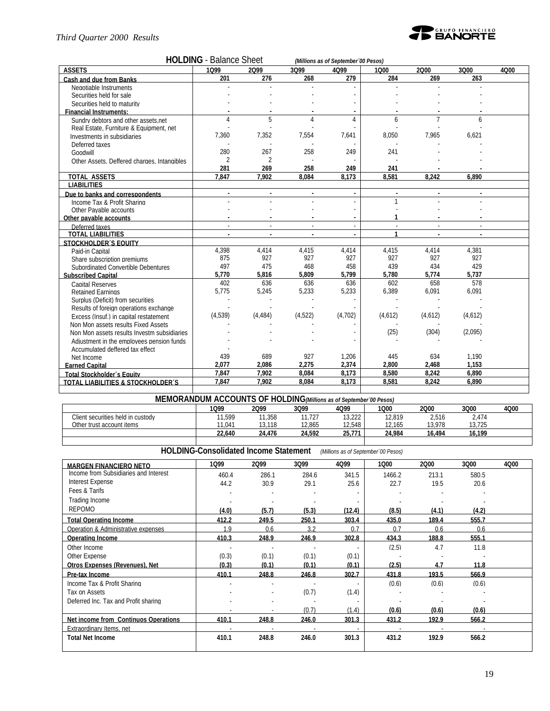#### *Third Quarter 2000 Results*



| <b>ASSETS</b><br>1099<br>3099<br>2000<br>3Q00<br>2099<br>4099<br>1000<br>4Q00<br>284<br>201<br>276<br>268<br>279<br>269<br>263<br>Cash and due from Banks<br>Negotiable Instruments<br>Securities held for sale<br>Securities held to maturity<br><b>Financial Instruments:</b><br>5<br>$\overline{7}$<br>Δ<br>Δ<br>4<br>6<br>6<br>Sundry debtors and other assets.net<br>Real Estate, Furniture & Equipment, net<br>7,360<br>7,352<br>7,554<br>7,641<br>8,050<br>7,965<br>6,621<br>Investments in subsidiaries<br>Deferred taxes<br>258<br>280<br>267<br>249<br>241<br>Goodwill<br>$\overline{\phantom{a}}$<br>$\mathfrak{D}$<br>Other Assets, Deffered charges, Intangibles<br>281<br>269<br>258<br>249<br>241<br><b>TOTAL ASSETS</b><br>7,847<br>7,902<br>8.084<br>8,173<br>8,581<br>8,242<br>6,890<br><b>LIABILITIES</b><br>Due to banks and correspondents<br>Income Tax & Profit Sharing<br>Other Pavable accounts<br>Other pavable accounts<br>Deferred taxes<br>$\sim$<br>$\overline{\phantom{a}}$<br><b>TOTAL LIABILITIES</b><br>1<br><b>STOCKHOLDER'S EQUITY</b><br>4,398<br>4,381<br>4,414<br>4,415<br>4,414<br>4,415<br>4,414<br>Paid-in Capital<br>875<br>927<br>927<br>927<br>927<br>927<br>927<br>Share subscription premiums<br>497<br>458<br>434<br>429<br>475<br>468<br>439<br>Subordinated Convertible Debentures<br>5,770<br>5,816<br>5.809<br>5,799<br>5,780<br>5,774<br>5,737<br><b>Subscribed Capital</b><br>402<br>636<br>636<br>636<br>602<br>658<br>578<br><b>Capital Reserves</b><br>5,775<br>5,245<br>5,233<br>5,233<br>6,389<br>6,091<br>6,091<br><b>Retained Earnings</b><br>Surplus (Deficit) from securities<br>Results of foreign operations exchange<br>(4,539)<br>(4,522)<br>(4, 484)<br>(4,702)<br>(4,612)<br>(4,612)<br>(4,612)<br>Excess (Insuf.) in capital restatement<br>Non Mon assets results Fixed Assets<br>(25)<br>(2,095)<br>(304)<br>Non Mon assets results Investm subsidiaries<br>Adjustment in the employees pension funds<br>Accumulated deffered tax effect<br>439<br>927<br>689<br>1,206<br>445<br>634<br>1,190<br>Net Income<br>2.077<br>2.086<br>2.275<br>2,374<br>2.800<br>2,468<br>1.153<br><b>Earned Capital</b><br>7.847<br>7.902<br>8.084<br>8.173<br>8,580<br>8.242<br>6.890<br><b>Total Stockholder's Equity</b><br>7.847<br>7.902<br>8.084<br>8.173<br>8.242<br>6.890 |                                   | <b>HOLDING</b> - Balance Sheet |  | (Millions as of September '00 Pesos) |       |  |  |
|---------------------------------------------------------------------------------------------------------------------------------------------------------------------------------------------------------------------------------------------------------------------------------------------------------------------------------------------------------------------------------------------------------------------------------------------------------------------------------------------------------------------------------------------------------------------------------------------------------------------------------------------------------------------------------------------------------------------------------------------------------------------------------------------------------------------------------------------------------------------------------------------------------------------------------------------------------------------------------------------------------------------------------------------------------------------------------------------------------------------------------------------------------------------------------------------------------------------------------------------------------------------------------------------------------------------------------------------------------------------------------------------------------------------------------------------------------------------------------------------------------------------------------------------------------------------------------------------------------------------------------------------------------------------------------------------------------------------------------------------------------------------------------------------------------------------------------------------------------------------------------------------------------------------------------------------------------------------------------------------------------------------------------------------------------------------------------------------------------------------------------------------------------------------------------------------------------------------------------------------------------------------------------------------------------------------------------------|-----------------------------------|--------------------------------|--|--------------------------------------|-------|--|--|
|                                                                                                                                                                                                                                                                                                                                                                                                                                                                                                                                                                                                                                                                                                                                                                                                                                                                                                                                                                                                                                                                                                                                                                                                                                                                                                                                                                                                                                                                                                                                                                                                                                                                                                                                                                                                                                                                                                                                                                                                                                                                                                                                                                                                                                                                                                                                       |                                   |                                |  |                                      |       |  |  |
|                                                                                                                                                                                                                                                                                                                                                                                                                                                                                                                                                                                                                                                                                                                                                                                                                                                                                                                                                                                                                                                                                                                                                                                                                                                                                                                                                                                                                                                                                                                                                                                                                                                                                                                                                                                                                                                                                                                                                                                                                                                                                                                                                                                                                                                                                                                                       |                                   |                                |  |                                      |       |  |  |
|                                                                                                                                                                                                                                                                                                                                                                                                                                                                                                                                                                                                                                                                                                                                                                                                                                                                                                                                                                                                                                                                                                                                                                                                                                                                                                                                                                                                                                                                                                                                                                                                                                                                                                                                                                                                                                                                                                                                                                                                                                                                                                                                                                                                                                                                                                                                       |                                   |                                |  |                                      |       |  |  |
|                                                                                                                                                                                                                                                                                                                                                                                                                                                                                                                                                                                                                                                                                                                                                                                                                                                                                                                                                                                                                                                                                                                                                                                                                                                                                                                                                                                                                                                                                                                                                                                                                                                                                                                                                                                                                                                                                                                                                                                                                                                                                                                                                                                                                                                                                                                                       |                                   |                                |  |                                      |       |  |  |
|                                                                                                                                                                                                                                                                                                                                                                                                                                                                                                                                                                                                                                                                                                                                                                                                                                                                                                                                                                                                                                                                                                                                                                                                                                                                                                                                                                                                                                                                                                                                                                                                                                                                                                                                                                                                                                                                                                                                                                                                                                                                                                                                                                                                                                                                                                                                       |                                   |                                |  |                                      |       |  |  |
|                                                                                                                                                                                                                                                                                                                                                                                                                                                                                                                                                                                                                                                                                                                                                                                                                                                                                                                                                                                                                                                                                                                                                                                                                                                                                                                                                                                                                                                                                                                                                                                                                                                                                                                                                                                                                                                                                                                                                                                                                                                                                                                                                                                                                                                                                                                                       |                                   |                                |  |                                      |       |  |  |
|                                                                                                                                                                                                                                                                                                                                                                                                                                                                                                                                                                                                                                                                                                                                                                                                                                                                                                                                                                                                                                                                                                                                                                                                                                                                                                                                                                                                                                                                                                                                                                                                                                                                                                                                                                                                                                                                                                                                                                                                                                                                                                                                                                                                                                                                                                                                       |                                   |                                |  |                                      |       |  |  |
|                                                                                                                                                                                                                                                                                                                                                                                                                                                                                                                                                                                                                                                                                                                                                                                                                                                                                                                                                                                                                                                                                                                                                                                                                                                                                                                                                                                                                                                                                                                                                                                                                                                                                                                                                                                                                                                                                                                                                                                                                                                                                                                                                                                                                                                                                                                                       |                                   |                                |  |                                      |       |  |  |
|                                                                                                                                                                                                                                                                                                                                                                                                                                                                                                                                                                                                                                                                                                                                                                                                                                                                                                                                                                                                                                                                                                                                                                                                                                                                                                                                                                                                                                                                                                                                                                                                                                                                                                                                                                                                                                                                                                                                                                                                                                                                                                                                                                                                                                                                                                                                       |                                   |                                |  |                                      |       |  |  |
|                                                                                                                                                                                                                                                                                                                                                                                                                                                                                                                                                                                                                                                                                                                                                                                                                                                                                                                                                                                                                                                                                                                                                                                                                                                                                                                                                                                                                                                                                                                                                                                                                                                                                                                                                                                                                                                                                                                                                                                                                                                                                                                                                                                                                                                                                                                                       |                                   |                                |  |                                      |       |  |  |
|                                                                                                                                                                                                                                                                                                                                                                                                                                                                                                                                                                                                                                                                                                                                                                                                                                                                                                                                                                                                                                                                                                                                                                                                                                                                                                                                                                                                                                                                                                                                                                                                                                                                                                                                                                                                                                                                                                                                                                                                                                                                                                                                                                                                                                                                                                                                       |                                   |                                |  |                                      |       |  |  |
|                                                                                                                                                                                                                                                                                                                                                                                                                                                                                                                                                                                                                                                                                                                                                                                                                                                                                                                                                                                                                                                                                                                                                                                                                                                                                                                                                                                                                                                                                                                                                                                                                                                                                                                                                                                                                                                                                                                                                                                                                                                                                                                                                                                                                                                                                                                                       |                                   |                                |  |                                      |       |  |  |
|                                                                                                                                                                                                                                                                                                                                                                                                                                                                                                                                                                                                                                                                                                                                                                                                                                                                                                                                                                                                                                                                                                                                                                                                                                                                                                                                                                                                                                                                                                                                                                                                                                                                                                                                                                                                                                                                                                                                                                                                                                                                                                                                                                                                                                                                                                                                       |                                   |                                |  |                                      |       |  |  |
|                                                                                                                                                                                                                                                                                                                                                                                                                                                                                                                                                                                                                                                                                                                                                                                                                                                                                                                                                                                                                                                                                                                                                                                                                                                                                                                                                                                                                                                                                                                                                                                                                                                                                                                                                                                                                                                                                                                                                                                                                                                                                                                                                                                                                                                                                                                                       |                                   |                                |  |                                      |       |  |  |
|                                                                                                                                                                                                                                                                                                                                                                                                                                                                                                                                                                                                                                                                                                                                                                                                                                                                                                                                                                                                                                                                                                                                                                                                                                                                                                                                                                                                                                                                                                                                                                                                                                                                                                                                                                                                                                                                                                                                                                                                                                                                                                                                                                                                                                                                                                                                       |                                   |                                |  |                                      |       |  |  |
|                                                                                                                                                                                                                                                                                                                                                                                                                                                                                                                                                                                                                                                                                                                                                                                                                                                                                                                                                                                                                                                                                                                                                                                                                                                                                                                                                                                                                                                                                                                                                                                                                                                                                                                                                                                                                                                                                                                                                                                                                                                                                                                                                                                                                                                                                                                                       |                                   |                                |  |                                      |       |  |  |
|                                                                                                                                                                                                                                                                                                                                                                                                                                                                                                                                                                                                                                                                                                                                                                                                                                                                                                                                                                                                                                                                                                                                                                                                                                                                                                                                                                                                                                                                                                                                                                                                                                                                                                                                                                                                                                                                                                                                                                                                                                                                                                                                                                                                                                                                                                                                       |                                   |                                |  |                                      |       |  |  |
|                                                                                                                                                                                                                                                                                                                                                                                                                                                                                                                                                                                                                                                                                                                                                                                                                                                                                                                                                                                                                                                                                                                                                                                                                                                                                                                                                                                                                                                                                                                                                                                                                                                                                                                                                                                                                                                                                                                                                                                                                                                                                                                                                                                                                                                                                                                                       |                                   |                                |  |                                      |       |  |  |
|                                                                                                                                                                                                                                                                                                                                                                                                                                                                                                                                                                                                                                                                                                                                                                                                                                                                                                                                                                                                                                                                                                                                                                                                                                                                                                                                                                                                                                                                                                                                                                                                                                                                                                                                                                                                                                                                                                                                                                                                                                                                                                                                                                                                                                                                                                                                       |                                   |                                |  |                                      |       |  |  |
|                                                                                                                                                                                                                                                                                                                                                                                                                                                                                                                                                                                                                                                                                                                                                                                                                                                                                                                                                                                                                                                                                                                                                                                                                                                                                                                                                                                                                                                                                                                                                                                                                                                                                                                                                                                                                                                                                                                                                                                                                                                                                                                                                                                                                                                                                                                                       |                                   |                                |  |                                      |       |  |  |
|                                                                                                                                                                                                                                                                                                                                                                                                                                                                                                                                                                                                                                                                                                                                                                                                                                                                                                                                                                                                                                                                                                                                                                                                                                                                                                                                                                                                                                                                                                                                                                                                                                                                                                                                                                                                                                                                                                                                                                                                                                                                                                                                                                                                                                                                                                                                       |                                   |                                |  |                                      |       |  |  |
|                                                                                                                                                                                                                                                                                                                                                                                                                                                                                                                                                                                                                                                                                                                                                                                                                                                                                                                                                                                                                                                                                                                                                                                                                                                                                                                                                                                                                                                                                                                                                                                                                                                                                                                                                                                                                                                                                                                                                                                                                                                                                                                                                                                                                                                                                                                                       |                                   |                                |  |                                      |       |  |  |
|                                                                                                                                                                                                                                                                                                                                                                                                                                                                                                                                                                                                                                                                                                                                                                                                                                                                                                                                                                                                                                                                                                                                                                                                                                                                                                                                                                                                                                                                                                                                                                                                                                                                                                                                                                                                                                                                                                                                                                                                                                                                                                                                                                                                                                                                                                                                       |                                   |                                |  |                                      |       |  |  |
|                                                                                                                                                                                                                                                                                                                                                                                                                                                                                                                                                                                                                                                                                                                                                                                                                                                                                                                                                                                                                                                                                                                                                                                                                                                                                                                                                                                                                                                                                                                                                                                                                                                                                                                                                                                                                                                                                                                                                                                                                                                                                                                                                                                                                                                                                                                                       |                                   |                                |  |                                      |       |  |  |
|                                                                                                                                                                                                                                                                                                                                                                                                                                                                                                                                                                                                                                                                                                                                                                                                                                                                                                                                                                                                                                                                                                                                                                                                                                                                                                                                                                                                                                                                                                                                                                                                                                                                                                                                                                                                                                                                                                                                                                                                                                                                                                                                                                                                                                                                                                                                       |                                   |                                |  |                                      |       |  |  |
|                                                                                                                                                                                                                                                                                                                                                                                                                                                                                                                                                                                                                                                                                                                                                                                                                                                                                                                                                                                                                                                                                                                                                                                                                                                                                                                                                                                                                                                                                                                                                                                                                                                                                                                                                                                                                                                                                                                                                                                                                                                                                                                                                                                                                                                                                                                                       |                                   |                                |  |                                      |       |  |  |
|                                                                                                                                                                                                                                                                                                                                                                                                                                                                                                                                                                                                                                                                                                                                                                                                                                                                                                                                                                                                                                                                                                                                                                                                                                                                                                                                                                                                                                                                                                                                                                                                                                                                                                                                                                                                                                                                                                                                                                                                                                                                                                                                                                                                                                                                                                                                       |                                   |                                |  |                                      |       |  |  |
|                                                                                                                                                                                                                                                                                                                                                                                                                                                                                                                                                                                                                                                                                                                                                                                                                                                                                                                                                                                                                                                                                                                                                                                                                                                                                                                                                                                                                                                                                                                                                                                                                                                                                                                                                                                                                                                                                                                                                                                                                                                                                                                                                                                                                                                                                                                                       |                                   |                                |  |                                      |       |  |  |
|                                                                                                                                                                                                                                                                                                                                                                                                                                                                                                                                                                                                                                                                                                                                                                                                                                                                                                                                                                                                                                                                                                                                                                                                                                                                                                                                                                                                                                                                                                                                                                                                                                                                                                                                                                                                                                                                                                                                                                                                                                                                                                                                                                                                                                                                                                                                       |                                   |                                |  |                                      |       |  |  |
|                                                                                                                                                                                                                                                                                                                                                                                                                                                                                                                                                                                                                                                                                                                                                                                                                                                                                                                                                                                                                                                                                                                                                                                                                                                                                                                                                                                                                                                                                                                                                                                                                                                                                                                                                                                                                                                                                                                                                                                                                                                                                                                                                                                                                                                                                                                                       |                                   |                                |  |                                      |       |  |  |
|                                                                                                                                                                                                                                                                                                                                                                                                                                                                                                                                                                                                                                                                                                                                                                                                                                                                                                                                                                                                                                                                                                                                                                                                                                                                                                                                                                                                                                                                                                                                                                                                                                                                                                                                                                                                                                                                                                                                                                                                                                                                                                                                                                                                                                                                                                                                       |                                   |                                |  |                                      |       |  |  |
|                                                                                                                                                                                                                                                                                                                                                                                                                                                                                                                                                                                                                                                                                                                                                                                                                                                                                                                                                                                                                                                                                                                                                                                                                                                                                                                                                                                                                                                                                                                                                                                                                                                                                                                                                                                                                                                                                                                                                                                                                                                                                                                                                                                                                                                                                                                                       |                                   |                                |  |                                      |       |  |  |
|                                                                                                                                                                                                                                                                                                                                                                                                                                                                                                                                                                                                                                                                                                                                                                                                                                                                                                                                                                                                                                                                                                                                                                                                                                                                                                                                                                                                                                                                                                                                                                                                                                                                                                                                                                                                                                                                                                                                                                                                                                                                                                                                                                                                                                                                                                                                       |                                   |                                |  |                                      |       |  |  |
|                                                                                                                                                                                                                                                                                                                                                                                                                                                                                                                                                                                                                                                                                                                                                                                                                                                                                                                                                                                                                                                                                                                                                                                                                                                                                                                                                                                                                                                                                                                                                                                                                                                                                                                                                                                                                                                                                                                                                                                                                                                                                                                                                                                                                                                                                                                                       |                                   |                                |  |                                      |       |  |  |
|                                                                                                                                                                                                                                                                                                                                                                                                                                                                                                                                                                                                                                                                                                                                                                                                                                                                                                                                                                                                                                                                                                                                                                                                                                                                                                                                                                                                                                                                                                                                                                                                                                                                                                                                                                                                                                                                                                                                                                                                                                                                                                                                                                                                                                                                                                                                       |                                   |                                |  |                                      |       |  |  |
|                                                                                                                                                                                                                                                                                                                                                                                                                                                                                                                                                                                                                                                                                                                                                                                                                                                                                                                                                                                                                                                                                                                                                                                                                                                                                                                                                                                                                                                                                                                                                                                                                                                                                                                                                                                                                                                                                                                                                                                                                                                                                                                                                                                                                                                                                                                                       |                                   |                                |  |                                      |       |  |  |
|                                                                                                                                                                                                                                                                                                                                                                                                                                                                                                                                                                                                                                                                                                                                                                                                                                                                                                                                                                                                                                                                                                                                                                                                                                                                                                                                                                                                                                                                                                                                                                                                                                                                                                                                                                                                                                                                                                                                                                                                                                                                                                                                                                                                                                                                                                                                       |                                   |                                |  |                                      |       |  |  |
|                                                                                                                                                                                                                                                                                                                                                                                                                                                                                                                                                                                                                                                                                                                                                                                                                                                                                                                                                                                                                                                                                                                                                                                                                                                                                                                                                                                                                                                                                                                                                                                                                                                                                                                                                                                                                                                                                                                                                                                                                                                                                                                                                                                                                                                                                                                                       |                                   |                                |  |                                      |       |  |  |
|                                                                                                                                                                                                                                                                                                                                                                                                                                                                                                                                                                                                                                                                                                                                                                                                                                                                                                                                                                                                                                                                                                                                                                                                                                                                                                                                                                                                                                                                                                                                                                                                                                                                                                                                                                                                                                                                                                                                                                                                                                                                                                                                                                                                                                                                                                                                       | TOTAL LIABILITIES & STOCKHOLDER'S |                                |  |                                      | 8,581 |  |  |

# **MEMORANDUM ACCOUNTS OF HOLDING***(Millions as of September´00 Pesos)*

|                                   | 1099   | 2Q99   | 3Q99   | 4Q99   | 1Q00   | 2000   | 3Q00            | 4Q00 |
|-----------------------------------|--------|--------|--------|--------|--------|--------|-----------------|------|
| Client securities held in custody | 1,599  | 1,358  | 11,727 | 13,222 | 12,819 | 2,516  | 2,474           |      |
| Other trust account items         | 11.041 | 3.118  | 12.865 | 12.548 | 12.165 | 13.978 | 10 705<br>3.IZ5 |      |
|                                   | 22.640 | 24.476 | 24.592 | 25.771 | 24.984 | 16.494 | 16.199          |      |
|                                   |        |        |        |        |        |        |                 |      |

**HOLDING-Consolidated Income Statement** *(Millions as of September´00 Pesos)*

| <b>MARGEN FINANCIERO NETO</b>         | 1099  | 2099           | 3Q99  | 4Q99   | 1000   | 2000           | 3Q00           | 4Q00 |
|---------------------------------------|-------|----------------|-------|--------|--------|----------------|----------------|------|
| Income from Subsidiaries and Interest | 460.4 | 286.1          | 284.6 | 341.5  | 1466.2 | 213.1          | 580.5          |      |
| Interest Expense                      | 44.2  | 30.9           | 29.1  | 25.6   | 22.7   | 19.5           | 20.6           |      |
| Fees & Tarifs                         |       |                |       |        |        |                |                |      |
| Trading Income                        |       |                |       |        |        |                |                |      |
| <b>REPOMO</b>                         | (4.0) | (5.7)          | (5.3) | (12.4) | (8.5)  | (4.1)          | (4.2)          |      |
| <b>Total Operating Income</b>         | 412.2 | 249.5          | 250.1 | 303.4  | 435.0  | 189.4          | 555.7          |      |
| Operation & Administrative expenses   | 19    | 0 <sub>6</sub> | 32    | 07     | 07     | 0 <sub>6</sub> | 0 <sub>6</sub> |      |
| Operating Income                      | 410.3 | 248.9          | 246.9 | 302.8  | 434.3  | 188.8          | 555.1          |      |
| Other Income                          |       |                |       | ٠      | (2.5)  | 4.7            | 11.8           |      |
| Other Expense                         | (0.3) | (0.1)          | (0.1) | (0.1)  |        |                |                |      |
| <b>Otros Expenses (Revenues), Net</b> | (0.3) | (0.1)          | (0.1) | (0.1)  | (2.5)  | 4.7            | 11.8           |      |
| Pre-tax Income                        | 410.1 | 248.8          | 246.8 | 302.7  | 431.8  | 193.5          | 566.9          |      |
| Income Tax & Profit Sharing           |       |                |       | ٠      | (0.6)  | (0.6)          | (0.6)          |      |
| Tax on Assets                         |       |                | (0.7) | (1.4)  |        |                |                |      |
| Deferred Inc. Tax and Profit sharing  |       |                |       |        |        |                |                |      |
|                                       |       |                | (0.7) | (1.4)  | (0.6)  | (0.6)          | (0.6)          |      |
| Net income from Continuos Operations  | 410.1 | 248.8          | 246.0 | 301.3  | 431.2  | 192.9          | 566.2          |      |
| Extraordinary Items, net              |       |                |       |        |        |                |                |      |
| <b>Total Net Income</b>               | 410.1 | 248.8          | 246.0 | 301.3  | 431.2  | 192.9          | 566.2          |      |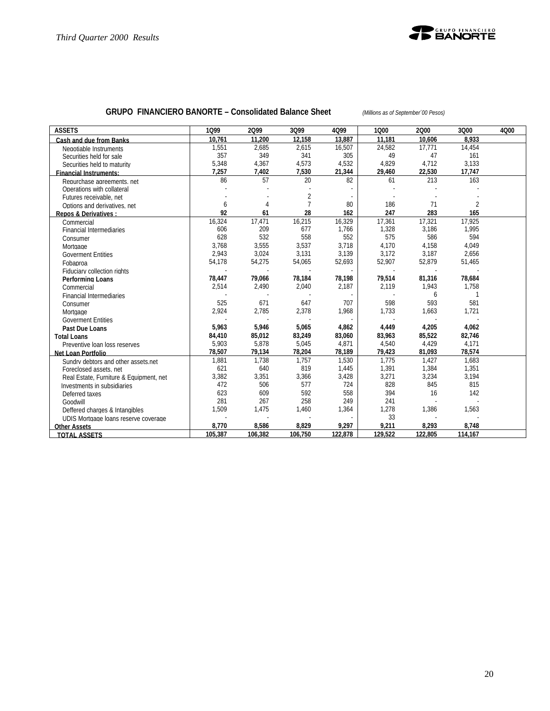

# **GRUPO FINANCIERO BANORTE – Consolidated Balance Sheet** *(Millions as of September´00 Pesos)*

| <b>ASSETS</b>                           | 1099    | 2099    | 3Q99    | 4Q99                     | 1000    | 2000    | 3Q00           | 4Q00 |
|-----------------------------------------|---------|---------|---------|--------------------------|---------|---------|----------------|------|
| Cash and due from Banks                 | 10.761  | 11,200  | 12.158  | 13.887                   | 11.181  | 10,606  | 8.933          |      |
| Negotiable Instruments                  | 1,551   | 2,685   | 2,615   | 16,507                   | 24,582  | 17.771  | 14,454         |      |
| Securities held for sale                | 357     | 349     | 341     | 305                      | 49      | 47      | 161            |      |
| Securities held to maturity             | 5,348   | 4,367   | 4,573   | 4,532                    | 4,829   | 4,712   | 3,133          |      |
| <b>Financial Instruments:</b>           | 7,257   | 7,402   | 7,530   | 21,344                   | 29,460  | 22,530  | 17,747         |      |
| Repurchase agreements, net              | 86      | 57      | 20      | 82                       | 61      | 213     | 163            |      |
| Operations with collateral              |         |         |         |                          |         |         |                |      |
| Futures receivable, net                 |         |         | 2       |                          |         |         |                |      |
| Options and derivatives, net            | 6       | 4       |         | 80                       | 186     | 71      | $\overline{2}$ |      |
| <b>Repos &amp; Derivatives:</b>         | 92      | 61      | 28      | 162                      | 247     | 283     | 165            |      |
| Commercial                              | 16,324  | 17,471  | 16,215  | 16,329                   | 17,361  | 17,321  | 17,925         |      |
| <b>Financial Intermediaries</b>         | 606     | 209     | 677     | 1,766                    | 1,328   | 3,186   | 1,995          |      |
| Consumer                                | 628     | 532     | 558     | 552                      | 575     | 586     | 594            |      |
| Mortgage                                | 3,768   | 3,555   | 3,537   | 3,718                    | 4,170   | 4,158   | 4,049          |      |
| <b>Goverment Entities</b>               | 2,943   | 3,024   | 3,131   | 3,139                    | 3,172   | 3,187   | 2,656          |      |
| Fobaproa                                | 54,178  | 54,275  | 54,065  | 52,693                   | 52,907  | 52,879  | 51,465         |      |
| Fiduciary collection rights             |         |         |         | $\overline{\phantom{a}}$ |         |         |                |      |
| <b>Performing Loans</b>                 | 78,447  | 79,066  | 78,184  | 78,198                   | 79,514  | 81,316  | 78,684         |      |
| Commercial                              | 2,514   | 2,490   | 2,040   | 2,187                    | 2,119   | 1,943   | 1,758          |      |
| <b>Financial Intermediaries</b>         |         |         |         |                          |         | 6       | $\mathbf{1}$   |      |
| Consumer                                | 525     | 671     | 647     | 707                      | 598     | 593     | 581            |      |
| Mortgage                                | 2,924   | 2,785   | 2,378   | 1,968                    | 1,733   | 1.663   | 1.721          |      |
| <b>Goverment Entities</b>               |         |         |         | $\sim$                   |         |         |                |      |
| Past Due Loans                          | 5,963   | 5,946   | 5,065   | 4,862                    | 4,449   | 4,205   | 4,062          |      |
| <b>Total Loans</b>                      | 84,410  | 85,012  | 83,249  | 83,060                   | 83,963  | 85,522  | 82,746         |      |
| Preventive loan loss reserves           | 5,903   | 5,878   | 5,045   | 4,871                    | 4,540   | 4,429   | 4,171          |      |
| Net Loan Portfolio                      | 78,507  | 79,134  | 78,204  | 78,189                   | 79,423  | 81,093  | 78,574         |      |
| Sundry debtors and other assets.net     | 1,881   | 1,738   | 1,757   | 1,530                    | 1,775   | 1,427   | 1,683          |      |
| Foreclosed assets, net                  | 621     | 640     | 819     | 1,445                    | 1,391   | 1,384   | 1,351          |      |
| Real Estate, Furniture & Equipment, net | 3,382   | 3,351   | 3,366   | 3,428                    | 3,271   | 3,234   | 3,194          |      |
| Investments in subsidiaries             | 472     | 506     | 577     | 724                      | 828     | 845     | 815            |      |
| Deferred taxes                          | 623     | 609     | 592     | 558                      | 394     | 16      | 142            |      |
| Goodwill                                | 281     | 267     | 258     | 249                      | 241     |         |                |      |
| Deffered charges & Intangibles          | 1,509   | 1,475   | 1,460   | 1,364                    | 1,278   | 1,386   | 1,563          |      |
| UDIS Mortgage loans reserve coverage    |         |         |         | $\sim$                   | 33      |         |                |      |
| <b>Other Assets</b>                     | 8,770   | 8,586   | 8,829   | 9,297                    | 9,211   | 8,293   | 8,748          |      |
| <b>TOTAL ASSETS</b>                     | 105,387 | 106,382 | 106,750 | 122,878                  | 129,522 | 122,805 | 114,167        |      |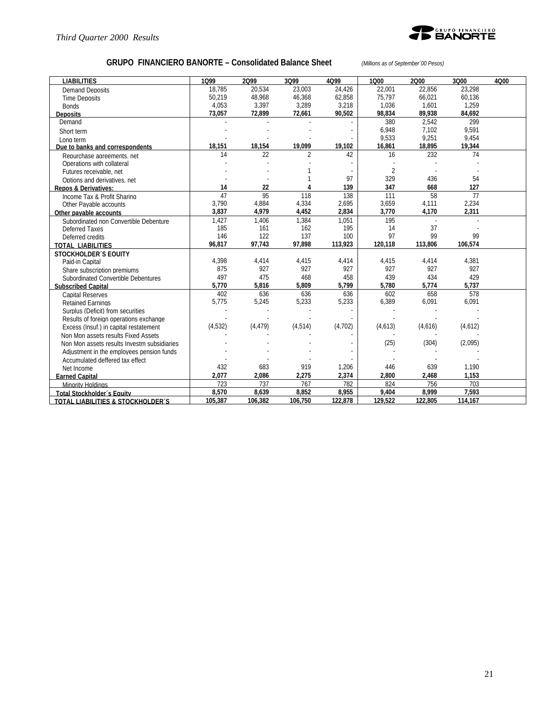

# **GRUPO FINANCIERO BANORTE – Consolidated Balance Sheet** *(Millions as of September´00 Pesos)*

| <b>LIABILITIES</b>                           | 1099    | 2099     | 3Q99     | 4Q99    | 1000           | 2000    | 3Q00    | 4000 |
|----------------------------------------------|---------|----------|----------|---------|----------------|---------|---------|------|
| <b>Demand Deposits</b>                       | 18.785  | 20.534   | 23.003   | 24.426  | 22.001         | 22.856  | 23.298  |      |
| <b>Time Deposits</b>                         | 50,219  | 48,968   | 46,368   | 62,858  | 75,797         | 66,021  | 60,136  |      |
| <b>Bonds</b>                                 | 4,053   | 3,397    | 3,289    | 3,218   | 1,036          | 1,601   | 1,259   |      |
| <b>Deposits</b>                              | 73,057  | 72,899   | 72,661   | 90,502  | 98,834         | 89.938  | 84,692  |      |
| Demand                                       |         |          |          |         | 380            | 2.542   | 299     |      |
| Short term                                   |         |          |          |         | 6,948          | 7.102   | 9.591   |      |
| Long term                                    |         |          |          |         | 9,533          | 9,251   | 9,454   |      |
| Due to banks and correspondents              | 18,151  | 18,154   | 19,099   | 19,102  | 16,861         | 18,895  | 19,344  |      |
| Repurchase agreements, net                   | 14      | 22       | 2        | 42      | 16             | 232     | 74      |      |
| Operations with collateral                   |         |          |          |         |                |         |         |      |
| Futures receivable, net                      |         |          |          |         | $\overline{2}$ |         |         |      |
| Options and derivatives, net                 |         |          |          | 97      | 329            | 436     | 54      |      |
| <b>Repos &amp; Derivatives:</b>              | 14      | 22       |          | 139     | 347            | 668     | 127     |      |
| Income Tax & Profit Sharing                  | 47      | 95       | 118      | 138     | 111            | 58      | 77      |      |
| Other Pavable accounts                       | 3,790   | 4,884    | 4,334    | 2,695   | 3,659          | 4,111   | 2,234   |      |
| Other payable accounts                       | 3,837   | 4,979    | 4,452    | 2,834   | 3,770          | 4,170   | 2,311   |      |
| Subordinated non Convertible Debenture       | 1,427   | 1,406    | 1,384    | 1.051   | 195            |         |         |      |
| Deferred Taxes                               | 185     | 161      | 162      | 195     | 14             | 37      |         |      |
| Deferred credits                             | 146     | 122      | 137      | 100     | 97             | 99      | 99      |      |
| <b>TOTAL LIABILITIES</b>                     | 96,817  | 97,743   | 97,898   | 113,923 | 120,118        | 113,806 | 106,574 |      |
| <b>STOCKHOLDER'S EQUITY</b>                  |         |          |          |         |                |         |         |      |
| Paid-in Capital                              | 4,398   | 4,414    | 4,415    | 4,414   | 4,415          | 4,414   | 4,381   |      |
| Share subscription premiums                  | 875     | 927      | 927      | 927     | 927            | 927     | 927     |      |
| Subordinated Convertible Debentures          | 497     | 475      | 468      | 458     | 439            | 434     | 429     |      |
| <b>Subscribed Capital</b>                    | 5,770   | 5,816    | 5,809    | 5,799   | 5,780          | 5,774   | 5,737   |      |
| <b>Capital Reserves</b>                      | 402     | 636      | 636      | 636     | 602            | 658     | 578     |      |
| <b>Retained Earnings</b>                     | 5,775   | 5,245    | 5,233    | 5,233   | 6,389          | 6,091   | 6,091   |      |
| Surplus (Deficit) from securities            |         |          |          |         |                |         |         |      |
| Results of foreign operations exchange       |         |          |          |         |                |         |         |      |
| Excess (Insuf.) in capital restatement       | (4,532) | (4, 479) | (4, 514) | (4,702) | (4,613)        | (4,616) | (4,612) |      |
| Non Mon assets results Fixed Assets          |         |          |          |         |                |         |         |      |
| Non Mon assets results Investm subsidiaries  |         |          |          |         | (25)           | (304)   | (2,095) |      |
| Adjustment in the employees pension funds    |         |          |          |         |                |         |         |      |
| Accumulated deffered tax effect              |         |          |          |         |                |         |         |      |
| Net Income                                   | 432     | 683      | 919      | 1,206   | 446            | 639     | 1.190   |      |
| <b>Earned Capital</b>                        | 2,077   | 2,086    | 2,275    | 2,374   | 2,800          | 2,468   | 1,153   |      |
| Minority Holdings                            | 723     | 737      | 767      | 782     | 824            | 756     | 703     |      |
| Total Stockholder's Equity                   | 8.570   | 8.639    | 8,852    | 8,955   | 9.404          | 8.999   | 7.593   |      |
| <b>TOTAL LIABILITIES &amp; STOCKHOLDER'S</b> | 105,387 | 106,382  | 106,750  | 122,878 | 129,522        | 122,805 | 114,167 |      |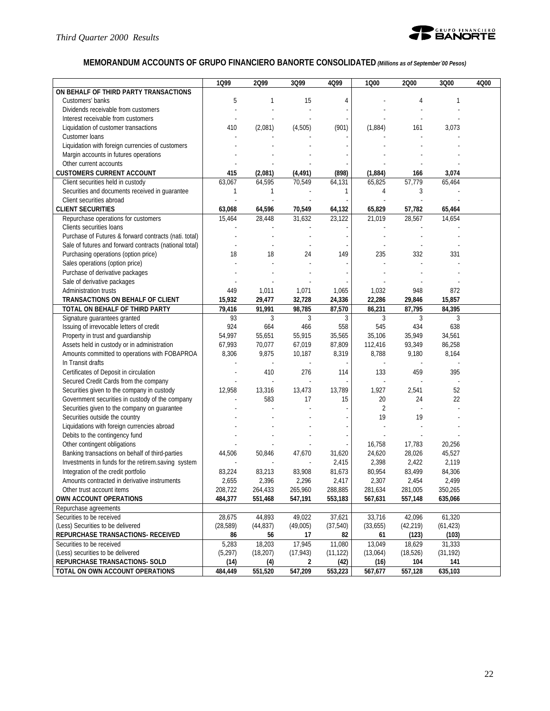

# **MEMORANDUM ACCOUNTS OF GRUPO FINANCIERO BANORTE CONSOLIDATED** *(Millions as of September´00 Pesos)*

|                                                        | 1Q99      | 2Q99      | 3Q99      | 4Q99      | 1000           | 2000           | 3Q00      | 4Q00 |
|--------------------------------------------------------|-----------|-----------|-----------|-----------|----------------|----------------|-----------|------|
| ON BEHALF OF THIRD PARTY TRANSACTIONS                  |           |           |           |           |                |                |           |      |
| Customers' banks                                       | 5         | 1         | 15        | 4         |                | $\overline{4}$ | 1         |      |
| Dividends receivable from customers                    |           |           |           |           |                |                |           |      |
| Interest receivable from customers                     |           |           |           |           |                |                |           |      |
| Liquidation of customer transactions                   | 410       | (2,081)   | (4,505)   | (901)     | (1,884)        | 161            | 3,073     |      |
| Customer loans                                         |           |           |           |           |                |                |           |      |
| Liquidation with foreign currencies of customers       |           |           |           |           |                |                |           |      |
| Margin accounts in futures operations                  |           |           |           |           |                |                |           |      |
| Other current accounts                                 |           |           |           |           |                |                |           |      |
| <b>CUSTOMERS CURRENT ACCOUNT</b>                       | 415       | (2,081)   | (4, 491)  | (898)     | (1,884)        | 166            | 3,074     |      |
| Client securities held in custody                      | 63,067    | 64,595    | 70,549    | 64,131    | 65,825         | 57.779         | 65,464    |      |
| Securities and documents received in guarantee         | 1         | 1         |           | 1         | 4              | 3              |           |      |
| Client securities abroad                               |           |           |           |           |                |                |           |      |
| <b>CLIENT SECURITIES</b>                               | 63,068    | 64,596    | 70,549    | 64,132    | 65,829         | 57,782         | 65,464    |      |
| Repurchase operations for customers                    | 15,464    | 28,448    | 31,632    | 23,122    | 21,019         | 28,567         | 14,654    |      |
| Clients securities loans                               |           |           |           |           |                |                |           |      |
| Purchase of Futures & forward contracts (nati. total)  |           |           |           |           |                |                |           |      |
| Sale of futures and forward contracts (national total) |           |           |           |           |                |                |           |      |
| Purchasing operations (option price)                   | 18        | 18        | 24        | 149       | 235            | 332            | 331       |      |
| Sales operations (option price)                        |           |           |           |           |                |                |           |      |
| Purchase of derivative packages                        |           |           |           |           |                |                |           |      |
| Sale of derivative packages                            |           |           |           |           |                |                |           |      |
| Administration trusts                                  | 449       | 1,011     | 1,071     | 1,065     | 1,032          | 948            | 872       |      |
| TRANSACTIONS ON BEHALF OF CLIENT                       | 15,932    | 29,477    | 32,728    | 24,336    | 22,286         | 29,846         | 15,857    |      |
| TOTAL ON BEHALF OF THIRD PARTY                         | 79,416    | 91,991    | 98,785    | 87,570    | 86,231         | 87,795         | 84,395    |      |
| Signature guarantees granted                           | 93        | 3         | 3         | 3         | 3              | 3              | 3         |      |
| Issuing of irrevocable letters of credit               | 924       | 664       | 466       | 558       | 545            | 434            | 638       |      |
| Property in trust and guardianship                     | 54,997    | 55,651    | 55,915    | 35,565    | 35,106         | 35,949         | 34,561    |      |
| Assets held in custody or in administration            | 67,993    | 70,077    | 67,019    | 87,809    | 112,416        | 93,349         | 86,258    |      |
| Amounts committed to operations with FOBAPROA          | 8,306     | 9,875     | 10,187    | 8,319     | 8,788          | 9,180          | 8,164     |      |
| In Transit drafts                                      |           |           |           |           |                |                |           |      |
| Certificates of Deposit in circulation                 |           | 410       | 276       | 114       | 133            | 459            | 395       |      |
| Secured Credit Cards from the company                  |           |           |           |           |                |                |           |      |
| Securities given to the company in custody             | 12,958    | 13,316    | 13,473    | 13,789    | 1,927          | 2,541          | 52        |      |
| Government securities in custody of the company        |           | 583       | 17        | 15        | 20             | 24             | 22        |      |
| Securities given to the company on guarantee           |           |           |           |           | $\overline{2}$ |                |           |      |
| Securities outside the country                         |           |           |           |           | 19             | 19             |           |      |
| Liquidations with foreign currencies abroad            |           |           |           |           |                |                |           |      |
| Debits to the contingency fund                         |           |           |           |           |                |                |           |      |
| Other contingent obligations                           |           |           |           |           | 16,758         | 17,783         | 20,256    |      |
| Banking transactions on behalf of third-parties        | 44,506    | 50,846    | 47,670    | 31,620    | 24,620         | 28,026         | 45,527    |      |
| Investments in funds for the retirem.saving system     |           |           |           | 2,415     | 2,398          | 2,422          | 2,119     |      |
| Integration of the credit portfolio                    | 83,224    | 83,213    | 83,908    | 81,673    | 80,954         | 83,499         | 84,306    |      |
| Amounts contracted in derivative instruments           | 2,655     | 2,396     | 2,296     | 2,417     | 2,307          | 2,454          | 2,499     |      |
| Other trust account items                              | 208,722   | 264,433   | 265,960   | 288,885   | 281,634        | 281,005        | 350,265   |      |
| OWN ACCOUNT OPERATIONS                                 | 484,377   | 551,468   | 547,191   | 553,183   | 567,631        | 557,148        | 635,066   |      |
| Repurchase agreements                                  |           |           |           |           |                |                |           |      |
| Securities to be received                              | 28,675    | 44,893    | 49,022    | 37,621    | 33,716         | 42,096         | 61,320    |      |
| (Less) Securities to be delivered                      | (28, 589) | (44, 837) | (49,005)  | (37,540)  | (33,655)       | (42, 219)      | (61, 423) |      |
| REPURCHASE TRANSACTIONS- RECEIVED                      | 86        | 56        | 17        | 82        | 61             | (123)          | (103)     |      |
| Securities to be received                              | 5,283     | 18,203    | 17,945    | 11,080    | 13,049         | 18,629         | 31,333    |      |
| (Less) securities to be delivered                      | (5, 297)  | (18, 207) | (17, 943) | (11, 122) | (13,064)       | (18, 526)      | (31, 192) |      |
| REPURCHASE TRANSACTIONS- SOLD                          | (14)      | (4)       | 2         | (42)      | (16)           | 104            | 141       |      |
| TOTAL ON OWN ACCOUNT OPERATIONS                        | 484,449   | 551,520   | 547,209   | 553,223   | 567,677        | 557,128        | 635,103   |      |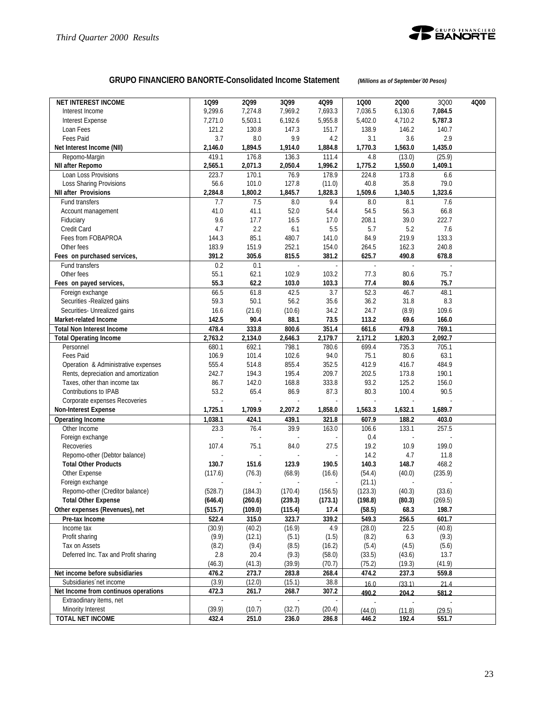

# **GRUPO FINANCIERO BANORTE-Consolidated Income Statement** *(Millions as of September´00 Pesos)*

| <b>NET INTEREST INCOME</b>           | 1099    | 2099     | 3Q99    | 4Q99    | 1000    | 2000    | 3000    | 4Q00 |
|--------------------------------------|---------|----------|---------|---------|---------|---------|---------|------|
| Interest Income                      | 9,299.6 | 7,274.8  | 7,969.2 | 7,693.3 | 7,036.5 | 6,130.6 | 7,084.5 |      |
| Interest Expense                     | 7,271.0 | 5,503.1  | 6,192.6 | 5,955.8 | 5,402.0 | 4,710.2 | 5,787.3 |      |
| Loan Fees                            | 121.2   | 130.8    | 147.3   | 151.7   | 138.9   | 146.2   | 140.7   |      |
| Fees Paid                            | 3.7     | 8.0      | 9.9     | 4.2     | 3.1     | 3.6     | 2.9     |      |
| Net Interest Income (NII)            | 2,146.0 | 1,894.5  | 1,914.0 | 1,884.8 | 1.770.3 | 1,563.0 | 1,435.0 |      |
| Repomo-Margin                        | 419.1   | 176.8    | 136.3   | 111.4   | 4.8     | (13.0)  | (25.9)  |      |
| NII after Repomo                     | 2,565.1 | 2,071.3  | 2,050.4 | 1,996.2 | 1,775.2 | 1,550.0 | 1,409.1 |      |
| Loan Loss Provisions                 | 223.7   | 170.1    | 76.9    | 178.9   | 224.8   | 173.8   | 6.6     |      |
| Loss Sharing Provisions              | 56.6    | 101.0    | 127.8   | (11.0)  | 40.8    | 35.8    | 79.0    |      |
| <b>NII after Provisions</b>          | 2,284.8 | 1,800.2  | 1,845.7 | 1,828.3 | 1,509.6 | 1,340.5 | 1,323.6 |      |
| Fund transfers                       | 7.7     | 7.5      | $8.0\,$ | 9.4     | 8.0     | 8.1     | 7.6     |      |
|                                      | 41.0    | 41.1     | 52.0    | 54.4    | 54.5    | 56.3    | 66.8    |      |
| Account management                   | 9.6     | 17.7     | 16.5    | 17.0    | 208.1   | 39.0    | 222.7   |      |
| Fiduciary<br>Credit Card             | 4.7     |          |         | 5.5     |         |         |         |      |
|                                      |         | 2.2      | 6.1     |         | 5.7     | 5.2     | 7.6     |      |
| Fees from FOBAPROA                   | 144.3   | 85.1     | 480.7   | 141.0   | 84.9    | 219.9   | 133.3   |      |
| Other fees                           | 183.9   | 151.9    | 252.1   | 154.0   | 264.5   | 162.3   | 240.8   |      |
| Fees on purchased services,          | 391.2   | 305.6    | 815.5   | 381.2   | 625.7   | 490.8   | 678.8   |      |
| Fund transfers                       | 0.2     | 0.1      |         |         |         | L.      |         |      |
| Other fees                           | 55.1    | 62.1     | 102.9   | 103.2   | 77.3    | 80.6    | 75.7    |      |
| Fees on payed services,              | 55.3    | 62.2     | 103.0   | 103.3   | 77.4    | 80.6    | 75.7    |      |
| Foreign exchange                     | 66.5    | 61.8     | 42.5    | 3.7     | 52.3    | 46.7    | 48.1    |      |
| Securities - Realized gains          | 59.3    | 50.1     | 56.2    | 35.6    | 36.2    | 31.8    | 8.3     |      |
| Securities- Unrealized gains         | 16.6    | (21.6)   | (10.6)  | 34.2    | 24.7    | (8.9)   | 109.6   |      |
| Market-related Income                | 142.5   | 90.4     | 88.1    | 73.5    | 113.2   | 69.6    | 166.0   |      |
| <b>Total Non Interest Income</b>     | 478.4   | 333.8    | 800.6   | 351.4   | 661.6   | 479.8   | 769.1   |      |
| <b>Total Operating Income</b>        | 2,763.2 | 2,134.0  | 2,646.3 | 2,179.7 | 2,171.2 | 1,820.3 | 2,092.7 |      |
| Personnel                            | 680.1   | 692.1    | 798.1   | 780.6   | 699.4   | 735.3   | 705.1   |      |
| Fees Paid                            | 106.9   | 101.4    | 102.6   | 94.0    | 75.1    | 80.6    | 63.1    |      |
| Operation & Administrative expenses  | 555.4   | 514.8    | 855.4   | 352.5   | 412.9   | 416.7   | 484.9   |      |
| Rents, depreciation and amortization | 242.7   | 194.3    | 195.4   | 209.7   | 202.5   | 173.8   | 190.1   |      |
| Taxes, other than income tax         | 86.7    | 142.0    | 168.8   | 333.8   | 93.2    | 125.2   | 156.0   |      |
| Contributions to IPAB                | 53.2    | 65.4     | 86.9    | 87.3    | 80.3    | 100.4   | 90.5    |      |
| Corporate expenses Recoveries        | ÷,      | ÷,       | ÷,      |         | ÷.      | ÷,      |         |      |
| <b>Non-Interest Expense</b>          | 1,725.1 | 1,709.9  | 2,207.2 | 1,858.0 | 1,563.3 | 1,632.1 | 1,689.7 |      |
| <b>Operating Income</b>              | 1,038.1 | 424.1    | 439.1   | 321.8   | 607.9   | 188.2   | 403.0   |      |
| Other Income                         | 23.3    | 76.4     | 39.9    | 163.0   | 106.6   | 133.1   | 257.5   |      |
| Foreign exchange                     |         |          |         |         | 0.4     |         |         |      |
| Recoveries                           | 107.4   | 75.1     | 84.0    | 27.5    | 19.2    | 10.9    | 199.0   |      |
| Repomo-other (Debtor balance)        |         |          |         |         | 14.2    | 4.7     | 11.8    |      |
| <b>Total Other Products</b>          | 130.7   | 151.6    | 123.9   | 190.5   | 140.3   | 148.7   | 468.2   |      |
| Other Expense                        | (117.6) | (76.3)   | (68.9)  | (16.6)  | (54.4)  | (40.0)  | (235.9) |      |
| Foreign exchange                     |         |          |         |         | (21.1)  |         |         |      |
| Repomo-other (Creditor balance)      | (528.7) | (184.3)  | (170.4) | (156.5) | (123.3) | (40.3)  | (33.6)  |      |
| <b>Total Other Expense</b>           | (646.4) | (260.6)  | (239.3) | (173.1) | (198.8) | (80.3)  | (269.5) |      |
| Other expenses (Revenues), net       | (515.7) | (109.0)  | (115.4) | 17.4    | (58.5)  | 68.3    | 198.7   |      |
| Pre-tax Income                       | 522.4   | 315.0    | 323.7   | 339.2   | 549.3   | 256.5   | 601.7   |      |
| Income tax                           | (30.9)  | (40.2)   | (16.9)  | 4.9     | (28.0)  | 22.5    | (40.8)  |      |
| Profit sharing                       | (9.9)   | (12.1)   | (5.1)   | (1.5)   | (8.2)   | 6.3     | (9.3)   |      |
| Tax on Assets                        | (8.2)   | (9.4)    | (8.5)   | (16.2)  | (5.4)   | (4.5)   | (5.6)   |      |
| Deferred Inc. Tax and Profit sharing | 2.8     | 20.4     | (9.3)   | (58.0)  | (33.5)  | (43.6)  | 13.7    |      |
|                                      | (46.3)  | (41.3)   | (39.9)  | (70.7)  | (75.2)  | (19.3)  | (41.9)  |      |
| Net income before subsidiaries       | 476.2   | 273.7    | 283.8   | 268.4   | 474.2   | 237.3   | 559.8   |      |
| Subsidiaries net income              | (3.9)   | (12.0)   | (15.1)  | 38.8    | 16.0    | (33.1)  | 21.4    |      |
| Net Income from continuos operations | 472.3   | 261.7    | 268.7   | 307.2   | 490.2   | 204.2   | 581.2   |      |
| Extraodinary items, net              | ä,      | $\omega$ |         | ä,      |         |         |         |      |
| Minority Interest                    | (39.9)  | (10.7)   | (32.7)  | (20.4)  | (44.0)  | (11.8)  | (29.5)  |      |
| <b>TOTAL NET INCOME</b>              | 432.4   | 251.0    | 236.0   | 286.8   | 446.2   | 192.4   | 551.7   |      |
|                                      |         |          |         |         |         |         |         |      |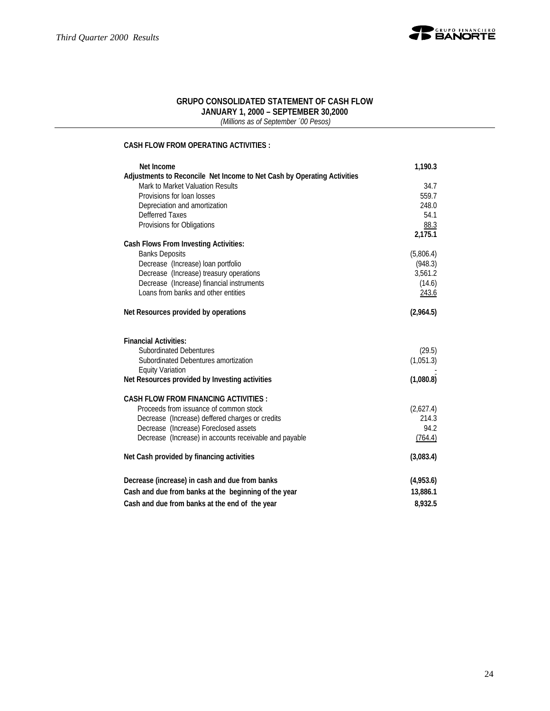

#### **GRUPO CONSOLIDATED STATEMENT OF CASH FLOW JANUARY 1, 2000 – SEPTEMBER 30,2000**

 *(Millions as of September ´00 Pesos)*

#### **CASH FLOW FROM OPERATING ACTIVITIES :**

| Net Income                                                              | 1,190.3   |
|-------------------------------------------------------------------------|-----------|
| Adjustments to Reconcile Net Income to Net Cash by Operating Activities |           |
| Mark to Market Valuation Results                                        | 34.7      |
| Provisions for loan losses                                              | 559.7     |
| Depreciation and amortization                                           | 248.0     |
| Defferred Taxes                                                         | 54.1      |
| Provisions for Obligations                                              | 88.3      |
|                                                                         | 2,175.1   |
| <b>Cash Flows From Investing Activities:</b>                            |           |
| <b>Banks Deposits</b>                                                   | (5,806.4) |
| Decrease (Increase) loan portfolio                                      | (948.3)   |
| Decrease (Increase) treasury operations                                 | 3,561.2   |
| Decrease (Increase) financial instruments                               | (14.6)    |
| Loans from banks and other entities                                     | 243.6     |
| Net Resources provided by operations                                    | (2,964.5) |
| <b>Financial Activities:</b>                                            |           |
| <b>Subordinated Debentures</b>                                          | (29.5)    |
| Subordinated Debentures amortization                                    | (1,051.3) |
| <b>Equity Variation</b>                                                 |           |
| Net Resources provided by Investing activities                          | (1,080.8) |
| <b>CASH FLOW FROM FINANCING ACTIVITIES:</b>                             |           |
| Proceeds from issuance of common stock                                  | (2,627.4) |
| Decrease (Increase) deffered charges or credits                         | 214.3     |
| Decrease (Increase) Foreclosed assets                                   | 94.2      |
| Decrease (Increase) in accounts receivable and payable                  | (764.4)   |
| Net Cash provided by financing activities                               | (3,083.4) |
| Decrease (increase) in cash and due from banks                          | (4,953.6) |
| Cash and due from banks at the beginning of the year                    | 13,886.1  |
| Cash and due from banks at the end of the year                          | 8,932.5   |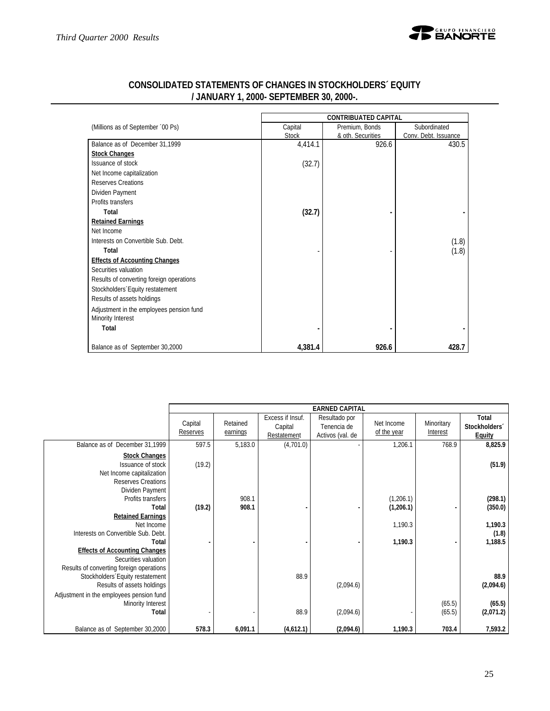

| CONSOLIDATED STATEMENTS OF CHANGES IN STOCKHOLDERS´ EQUITY |  |
|------------------------------------------------------------|--|
| / JANUARY 1, 2000- SEPTEMBER 30, 2000-.                    |  |

 $\sim$ 

|                                          | <b>CONTRIBUATED CAPITAL</b> |                   |                      |  |  |  |  |
|------------------------------------------|-----------------------------|-------------------|----------------------|--|--|--|--|
| (Millions as of September '00 Ps)        | Capital                     | Premium, Bonds    | Subordinated         |  |  |  |  |
|                                          | <b>Stock</b>                | & oth. Securities | Conv. Debt. Issuance |  |  |  |  |
| Balance as of December 31,1999           | 4,414.1                     | 926.6             | 430.5                |  |  |  |  |
| <b>Stock Changes</b>                     |                             |                   |                      |  |  |  |  |
| Issuance of stock                        | (32.7)                      |                   |                      |  |  |  |  |
| Net Income capitalization                |                             |                   |                      |  |  |  |  |
| Reserves Creations                       |                             |                   |                      |  |  |  |  |
| Dividen Payment                          |                             |                   |                      |  |  |  |  |
| Profits transfers                        |                             |                   |                      |  |  |  |  |
| Total                                    | (32.7)                      |                   |                      |  |  |  |  |
| <b>Retained Earnings</b>                 |                             |                   |                      |  |  |  |  |
| Net Income                               |                             |                   |                      |  |  |  |  |
| Interests on Convertible Sub. Debt.      |                             |                   | (1.8)                |  |  |  |  |
| Total                                    |                             |                   | (1.8)                |  |  |  |  |
| <b>Effects of Accounting Changes</b>     |                             |                   |                      |  |  |  |  |
| Securities valuation                     |                             |                   |                      |  |  |  |  |
| Results of converting foreign operations |                             |                   |                      |  |  |  |  |
| Stockholders Equity restatement          |                             |                   |                      |  |  |  |  |
| Results of assets holdings               |                             |                   |                      |  |  |  |  |
| Adjustment in the employees pension fund |                             |                   |                      |  |  |  |  |
| Minority Interest                        |                             |                   |                      |  |  |  |  |
| Total                                    |                             |                   |                      |  |  |  |  |
| Balance as of September 30,2000          | 4,381.4                     | 926.6             | 428.7                |  |  |  |  |

|                                                                                                                                                       |                     |                      |                                            | <b>EARNED CAPITAL</b>                            |                           |                        |                                         |
|-------------------------------------------------------------------------------------------------------------------------------------------------------|---------------------|----------------------|--------------------------------------------|--------------------------------------------------|---------------------------|------------------------|-----------------------------------------|
|                                                                                                                                                       | Capital<br>Reserves | Retained<br>earnings | Excess if Insuf.<br>Capital<br>Restatement | Resultado por<br>Tenencia de<br>Activos (val. de | Net Income<br>of the year | Minoritary<br>Interest | Total<br>Stockholders'<br><b>Equity</b> |
| Balance as of December 31,1999                                                                                                                        | 597.5               | 5,183.0              | (4,701.0)                                  |                                                  | 1,206.1                   | 768.9                  | 8,825.9                                 |
| <b>Stock Changes</b><br>Issuance of stock<br>Net Income capitalization<br><b>Reserves Creations</b>                                                   | (19.2)              |                      |                                            |                                                  |                           |                        | (51.9)                                  |
| Dividen Payment<br>Profits transfers<br>Total<br><b>Retained Earnings</b>                                                                             | (19.2)              | 908.1<br>908.1       |                                            |                                                  | (1,206.1)<br>(1,206.1)    |                        | (298.1)<br>(350.0)                      |
| Net Income                                                                                                                                            |                     |                      |                                            |                                                  | 1,190.3                   |                        | 1,190.3                                 |
| Interests on Convertible Sub. Debt.<br>Total<br><b>Effects of Accounting Changes</b><br>Securities valuation                                          |                     |                      |                                            |                                                  | 1,190.3                   |                        | (1.8)<br>1,188.5                        |
| Results of converting foreign operations<br>Stockholders Equity restatement<br>Results of assets holdings<br>Adjustment in the employees pension fund |                     |                      | 88.9                                       | (2,094.6)                                        |                           |                        | 88.9<br>(2,094.6)                       |
| Minority Interest<br>Total                                                                                                                            |                     |                      | 88.9                                       | (2,094.6)                                        |                           | (65.5)<br>(65.5)       | (65.5)<br>(2,071.2)                     |
| Balance as of September 30,2000                                                                                                                       | 578.3               | 6,091.1              | (4,612.1)                                  | (2,094.6)                                        | 1,190.3                   | 703.4                  | 7,593.2                                 |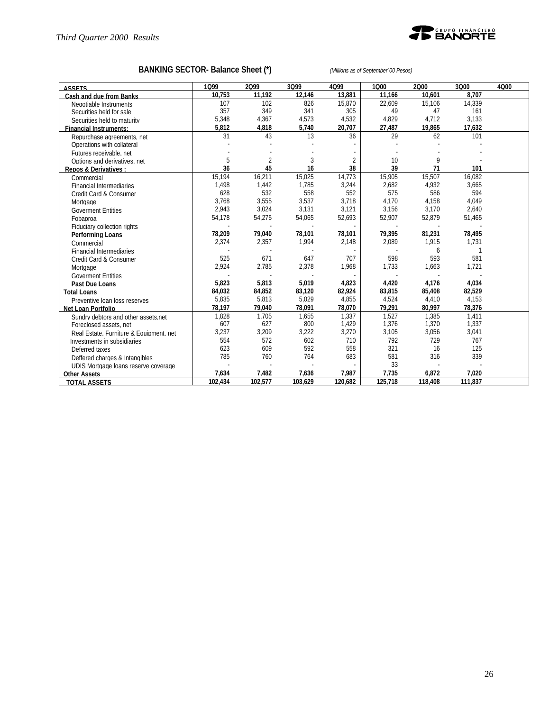

# **BANKING SECTOR- Balance Sheet (\*)** *(Millions as of September´00 Pesos)*

| <b>ASSETS</b>                           | 1099    | 2099           | 3099    | 4Q99           | 1000    | 2000    | 3Q00    | 4000 |
|-----------------------------------------|---------|----------------|---------|----------------|---------|---------|---------|------|
| Cash and due from Banks                 | 10.753  | 11.192         | 12.146  | 13,881         | 11.166  | 10.601  | 8.707   |      |
| Negotiable Instruments                  | 107     | 102            | 826     | 15,870         | 22,609  | 15.106  | 14,339  |      |
| Securities held for sale                | 357     | 349            | 341     | 305            | 49      | 47      | 161     |      |
| Securities held to maturity             | 5,348   | 4,367          | 4,573   | 4,532          | 4,829   | 4,712   | 3,133   |      |
| <b>Financial Instruments:</b>           | 5,812   | 4,818          | 5,740   | 20,707         | 27,487  | 19,865  | 17,632  |      |
| Repurchase agreements, net              | 31      | 43             | 13      | 36             | 29      | 62      | 101     |      |
| Operations with collateral              |         |                |         |                |         |         |         |      |
| Futures receivable, net                 |         |                |         |                |         |         |         |      |
| Options and derivatives, net            | 5       | $\overline{2}$ | 3       | $\overline{2}$ | 10      | 9       |         |      |
| Repos & Derivatives :                   | 36      | 45             | 16      | 38             | 39      | 71      | 101     |      |
| Commercial                              | 15,194  | 16,211         | 15,025  | 14,773         | 15,905  | 15,507  | 16,082  |      |
| <b>Financial Intermediaries</b>         | 1,498   | 1,442          | 1,785   | 3,244          | 2,682   | 4,932   | 3,665   |      |
| Credit Card & Consumer                  | 628     | 532            | 558     | 552            | 575     | 586     | 594     |      |
| Mortgage                                | 3,768   | 3,555          | 3,537   | 3,718          | 4,170   | 4,158   | 4,049   |      |
| <b>Goverment Entities</b>               | 2,943   | 3,024          | 3,131   | 3,121          | 3,156   | 3,170   | 2,640   |      |
| Fobaproa                                | 54,178  | 54,275         | 54,065  | 52,693         | 52,907  | 52,879  | 51,465  |      |
| Fiduciary collection rights             |         |                |         |                |         |         |         |      |
| Performing Loans                        | 78,209  | 79,040         | 78,101  | 78,101         | 79,395  | 81,231  | 78,495  |      |
| Commercial                              | 2,374   | 2,357          | 1,994   | 2,148          | 2,089   | 1,915   | 1,731   |      |
| <b>Financial Intermediaries</b>         |         |                |         |                |         | 6       |         |      |
| Credit Card & Consumer                  | 525     | 671            | 647     | 707            | 598     | 593     | 581     |      |
| Mortgage                                | 2,924   | 2,785          | 2,378   | 1,968          | 1,733   | 1,663   | 1,721   |      |
| <b>Goverment Entities</b>               |         |                |         |                |         |         |         |      |
| Past Due Loans                          | 5,823   | 5,813          | 5,019   | 4,823          | 4,420   | 4,176   | 4,034   |      |
| <b>Total Loans</b>                      | 84,032  | 84,852         | 83,120  | 82,924         | 83,815  | 85,408  | 82,529  |      |
| Preventive loan loss reserves           | 5,835   | 5,813          | 5,029   | 4,855          | 4,524   | 4,410   | 4,153   |      |
| Net Loan Portfolio                      | 78,197  | 79,040         | 78,091  | 78,070         | 79,291  | 80,997  | 78,376  |      |
| Sundry debtors and other assets net     | 1,828   | 1,705          | 1,655   | 1,337          | 1,527   | 1,385   | 1,411   |      |
| Foreclosed assets, net                  | 607     | 627            | 800     | 1,429          | 1,376   | 1,370   | 1,337   |      |
| Real Estate, Furniture & Equipment, net | 3,237   | 3,209          | 3,222   | 3,270          | 3,105   | 3,056   | 3,041   |      |
| Investments in subsidiaries             | 554     | 572            | 602     | 710            | 792     | 729     | 767     |      |
| Deferred taxes                          | 623     | 609            | 592     | 558            | 321     | 16      | 125     |      |
| Deffered charges & Intangibles          | 785     | 760            | 764     | 683            | 581     | 316     | 339     |      |
| UDIS Mortgage loans reserve coverage    |         |                |         |                | 33      |         |         |      |
| <b>Other Assets</b>                     | 7,634   | 7,482          | 7,636   | 7,987          | 7.735   | 6,872   | 7.020   |      |
| <b>TOTAL ASSETS</b>                     | 102.434 | 102,577        | 103.629 | 120.682        | 125.718 | 118,408 | 111.837 |      |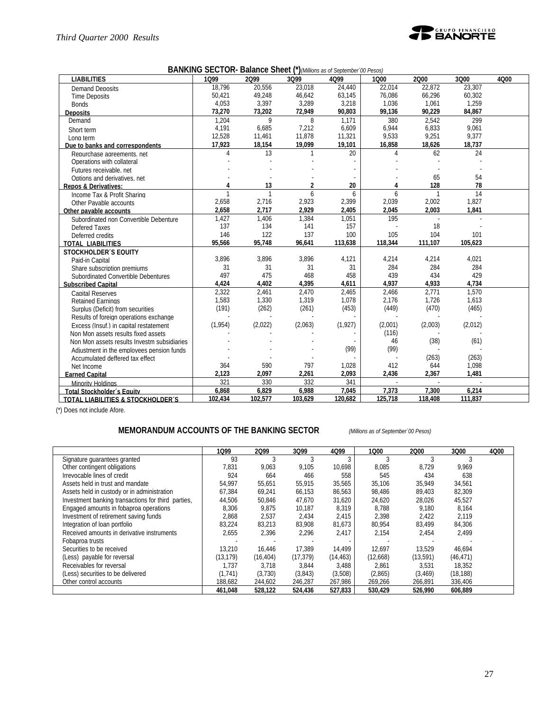

|  |  | <b>BANKING SECTOR- Balance Sheet (*)</b> (Millions as of September '00 Pesos) |
|--|--|-------------------------------------------------------------------------------|
|--|--|-------------------------------------------------------------------------------|

| <b>LIABILITIES</b>                          | 1099         | 2099         | 3Q99    | 4Q99    | 1000     | 2000           | 3Q00    | 4000 |
|---------------------------------------------|--------------|--------------|---------|---------|----------|----------------|---------|------|
| <b>Demand Deposits</b>                      | 18.796       | 20,556       | 23,018  | 24.440  | 22.014   | 22,872         | 23.307  |      |
| <b>Time Deposits</b>                        | 50,421       | 49,248       | 46,642  | 63,145  | 76,086   | 66,296         | 60,302  |      |
| <b>Bonds</b>                                | 4,053        | 3,397        | 3,289   | 3,218   | 1,036    | 1,061          | 1,259   |      |
| <b>Deposits</b>                             | 73,270       | 73,202       | 72,949  | 90,803  | 99,136   | 90,229         | 84,867  |      |
| Demand                                      | 1,204        | 9            | 8       | 1,171   | 380      | 2,542          | 299     |      |
| Short term                                  | 4,191        | 6,685        | 7,212   | 6,609   | 6,944    | 6,833          | 9,061   |      |
| Long term                                   | 12,528       | 11,461       | 11,878  | 11,321  | 9,533    | 9,251          | 9.377   |      |
| Due to banks and correspondents             | 17,923       | 18,154       | 19,099  | 19,101  | 16,858   | 18,626         | 18,737  |      |
| Repurchase agreements, net                  | 4            | 13           |         | 20      | $\Delta$ | 62             | 24      |      |
| Operations with collateral                  |              |              |         |         |          |                |         |      |
| Futures receivable, net                     |              |              |         |         |          |                |         |      |
| Options and derivatives, net                |              |              |         |         |          | 65             | 54      |      |
| <b>Repos &amp; Derivatives:</b>             | 4            | 13           | 2       | 20      | 4        | 128            | 78      |      |
| Income Tax & Profit Sharing                 | $\mathbf{1}$ | $\mathbf{1}$ | 6       | 6       | 6        | $\overline{1}$ | 14      |      |
| Other Pavable accounts                      | 2,658        | 2,716        | 2,923   | 2,399   | 2,039    | 2,002          | 1,827   |      |
| Other payable accounts                      | 2.658        | 2,717        | 2.929   | 2.405   | 2,045    | 2.003          | 1,841   |      |
| Subordinated non Convertible Debenture      | 1,427        | 1,406        | 1,384   | 1,051   | 195      |                |         |      |
| Defered Taxes                               | 137          | 134          | 141     | 157     |          | 18             |         |      |
| Deferred credits                            | 146          | 122          | 137     | 100     | 105      | 104            | 101     |      |
| <b>TOTAL LIABILITIES</b>                    | 95,566       | 95,748       | 96,641  | 113,638 | 118,344  | 111,107        | 105,623 |      |
| <b>STOCKHOLDER'S EQUITY</b>                 |              |              |         |         |          |                |         |      |
| Paid-in Capital                             | 3,896        | 3,896        | 3,896   | 4,121   | 4,214    | 4,214          | 4,021   |      |
| Share subscription premiums                 | 31           | 31           | 31      | 31      | 284      | 284            | 284     |      |
| Subordinated Convertible Debentures         | 497          | 475          | 468     | 458     | 439      | 434            | 429     |      |
| <b>Subscribed Capital</b>                   | 4.424        | 4.402        | 4,395   | 4,611   | 4.937    | 4,933          | 4.734   |      |
| <b>Capital Reserves</b>                     | 2,322        | 2,461        | 2,470   | 2,465   | 2,466    | 2,771          | 1,570   |      |
| <b>Retained Earnings</b>                    | 1,583        | 1,330        | 1,319   | 1,078   | 2,176    | 1,726          | 1,613   |      |
| Surplus (Deficit) from securities           | (191)        | (262)        | (261)   | (453)   | (449)    | (470)          | (465)   |      |
| Results of foreign operations exchange      |              |              |         |         |          |                |         |      |
| Excess (Insuf.) in capital restatement      | (1, 954)     | (2,022)      | (2,063) | (1,927) | (2,001)  | (2,003)        | (2,012) |      |
| Non Mon assets results fixed assets         |              |              |         |         | (116)    |                |         |      |
| Non Mon assets results Investm subsidiaries |              |              |         |         | 46       | (38)           | (61)    |      |
| Adjustment in the employees pension funds   |              |              |         | (99)    | (99)     |                |         |      |
| Accumulated deffered tax effect             |              |              |         |         |          | (263)          | (263)   |      |
| Net Income                                  | 364          | 590          | 797     | 1,028   | 412      | 644            | 1,098   |      |
| <b>Earned Capital</b>                       | 2,123        | 2,097        | 2,261   | 2,093   | 2,436    | 2,367          | 1,481   |      |
| Minority Holdings                           | 321          | 330          | 332     | 341     |          |                |         |      |
| Total Stockholder's Fquity                  | 6,868        | 6,829        | 6,988   | 7,045   | 7,373    | 7,300          | 6,214   |      |
| TOTAL LIABILITIES & STOCKHOLDER'S           | 102.434      | 102,577      | 103.629 | 120.682 | 125,718  | 118,408        | 111,837 |      |

(\*) Does not include Afore.

#### **MEMORANDUM ACCOUNTS OF THE BANKING SECTOR** *(Millions as of September´00 Pesos)*

|                                                    | 1099     | 2099      | 3Q99      | 4Q99      | 1000     | 2000     | 3000      | 4000 |
|----------------------------------------------------|----------|-----------|-----------|-----------|----------|----------|-----------|------|
| Signature guarantees granted                       | 93       |           |           |           |          |          |           |      |
| Other contingent obligations                       | 7,831    | 9,063     | 9,105     | 10,698    | 8,085    | 8,729    | 9,969     |      |
| Irrevocable lines of credit                        | 924      | 664       | 466       | 558       | 545      | 434      | 638       |      |
| Assets held in trust and mandate                   | 54.997   | 55,651    | 55,915    | 35,565    | 35.106   | 35.949   | 34.561    |      |
| Assets held in custody or in administration        | 67,384   | 69,241    | 66,153    | 86,563    | 98,486   | 89,403   | 82,309    |      |
| Investment banking transactions for third parties, | 44,506   | 50,846    | 47,670    | 31,620    | 24,620   | 28,026   | 45,527    |      |
| Engaged amounts in fobaproa operations             | 8,306    | 9,875     | 10,187    | 8,319     | 8,788    | 9.180    | 8,164     |      |
| Investment of retirement saving funds              | 2,868    | 2,537     | 2,434     | 2,415     | 2,398    | 2,422    | 2,119     |      |
| Integration of loan portfolio                      | 83,224   | 83,213    | 83.908    | 81,673    | 80.954   | 83.499   | 84.306    |      |
| Received amounts in derivative instruments         | 2,655    | 2,396     | 2.296     | 2,417     | 2,154    | 2,454    | 2,499     |      |
| Fobaproa trusts                                    |          |           |           |           |          |          |           |      |
| Securities to be received                          | 13.210   | 16.446    | 17.389    | 14.499    | 12.697   | 13.529   | 46.694    |      |
| (Less) payable for reversal                        | (13.179) | (16, 404) | (17, 379) | (14, 463) | (12,668) | (13,591) | (46, 471) |      |
| Receivables for reversal                           | 1.737    | 3.718     | 3.844     | 3,488     | 2.861    | 3.531    | 18,352    |      |
| (Less) securities to be delivered                  | (1.741)  | (3,730)   | (3,843)   | (3,508)   | (2,865)  | (3,469)  | (18, 188) |      |
| Other control accounts                             | 188,682  | 244,602   | 246,287   | 267,986   | 269,266  | 266,891  | 336,406   |      |
|                                                    | 461,048  | 528,122   | 524,436   | 527,833   | 530,429  | 526,990  | 606,889   |      |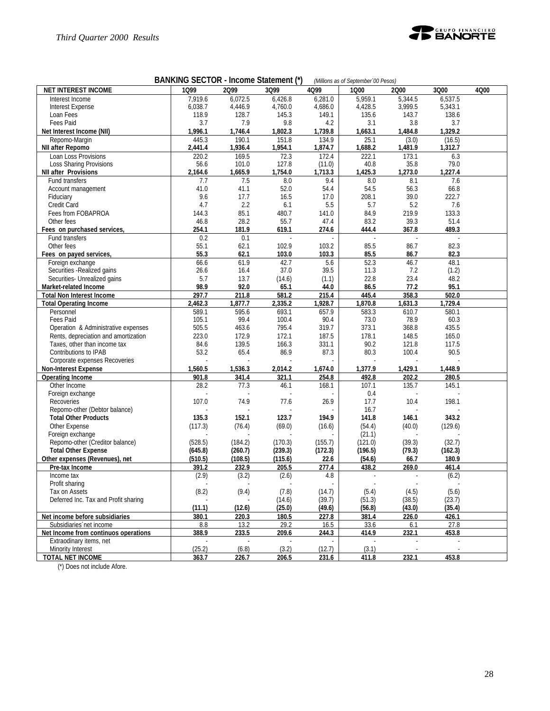

| <b>BANKING SECTOR - Income Statement (*)</b><br>(Millions as of September '00 Pesos) |                |               |                |                          |               |               |               |      |
|--------------------------------------------------------------------------------------|----------------|---------------|----------------|--------------------------|---------------|---------------|---------------|------|
| <b>NET INTEREST INCOME</b>                                                           | 1099           | 2099          | 3Q99           | 4Q99                     | 1000          | 2000          | 3Q00          | 4Q00 |
| Interest Income                                                                      | 7,919.6        | 6,072.5       | 6,426.8        | 6,281.0                  | 5,959.1       | 5,344.5       | 6,537.5       |      |
| <b>Interest Expense</b>                                                              | 6,038.7        | 4,446.9       | 4,760.0        | 4,686.0                  | 4,428.5       | 3,999.5       | 5,343.1       |      |
| Loan Fees                                                                            | 118.9          | 128.7         | 145.3          | 149.1                    | 135.6         | 143.7         | 138.6         |      |
| Fees Paid                                                                            | 3.7            | 7.9           | 9.8            | 4.2                      | 3.1           | 3.8           | 3.7           |      |
| Net Interest Income (NII)                                                            | 1,996.1        | 1,746.4       | 1,802.3        | 1,739.8                  | 1,663.1       | 1,484.8       | 1,329.2       |      |
| Repomo-Margin                                                                        | 445.3          | 190.1         | 151.8          | 134.9                    | 25.1          | (3.0)         | (16.5)        |      |
| NII after Repomo                                                                     | 2,441.4        | 1,936.4       | 1,954.1        | 1,874.7                  | 1,688.2       | 1,481.9       | 1,312.7       |      |
| Loan Loss Provisions                                                                 | 220.2          | 169.5         | 72.3           | 172.4                    | 222.1         | 173.1         | 6.3           |      |
| <b>Loss Sharing Provisions</b>                                                       | 56.6           | 101.0         | 127.8          | (11.0)                   | 40.8          | 35.8          | 79.0          |      |
| <b>NII after Provisions</b>                                                          | 2,164.6        | 1,665.9       | 1,754.0        | 1,713.3                  | 1,425.3       | 1,273.0       | 1,227.4       |      |
| Fund transfers                                                                       | 7.7            | 7.5           | 8.0            | 9.4                      | 8.0           | 8.1           | 7.6           |      |
| Account management                                                                   | 41.0           | 41.1          | 52.0           | 54.4                     | 54.5          | 56.3          | 66.8          |      |
| Fiduciary                                                                            | 9.6            | 17.7          | 16.5           | 17.0                     | 208.1         | 39.0          | 222.7         |      |
| Credit Card                                                                          | 4.7            | 2.2           | 6.1            | 5.5                      | 5.7           | 5.2           | 7.6           |      |
| Fees from FOBAPROA                                                                   | 144.3          | 85.1          | 480.7          | 141.0                    | 84.9          | 219.9         | 133.3         |      |
| Other fees                                                                           | 46.8           | 28.2          | 55.7           | 47.4                     | 83.2          | 39.3          | 51.4          |      |
| Fees on purchased services,                                                          | 254.1          | 181.9         | 619.1          | 274.6                    | 444.4         | 367.8         | 489.3         |      |
| Fund transfers                                                                       | 0.2            | 0.1           | ÷.             | ä,                       | $\sim$        | ÷.            | ÷,            |      |
| Other fees                                                                           | 55.1           | 62.1          | 102.9          | 103.2                    | 85.5          | 86.7          | 82.3          |      |
| Fees on payed services,                                                              | 55.3           | 62.1          | 103.0          | 103.3                    | 85.5          | 86.7          | 82.3          |      |
| Foreign exchange                                                                     | 66.6           | 61.9          | 42.7           | 5.6                      | 52.3          | 46.7          | 48.1          |      |
| Securities - Realized gains                                                          | 26.6           | 16.4          | 37.0           | 39.5                     | 11.3          | 7.2           | (1.2)         |      |
| Securities- Unrealized gains                                                         | 5.7            | 13.7          | (14.6)         | (1.1)                    | 22.8          | 23.4          | 48.2          |      |
| Market-related Income                                                                | 98.9           | 92.0          | 65.1           | 44.0                     | 86.5          | 77.2          | 95.1          |      |
| <b>Total Non Interest Income</b>                                                     | 297.7          | 211.8         | 581.2          | 215.4                    | 445.4         | 358.3         | 502.0         |      |
| <b>Total Operating Income</b>                                                        | 2,462.3        | 1,877.7       | 2,335.2        | 1,928.7                  | 1,870.8       | 1,631.3       | 1,729.4       |      |
| Personnel<br>Fees Paid                                                               | 589.1<br>105.1 | 595.6<br>99.4 | 693.1<br>100.4 | 657.9<br>90.4            | 583.3<br>73.0 | 610.7<br>78.9 | 580.1<br>60.3 |      |
| Operation & Administrative expenses                                                  | 505.5          | 463.6         | 795.4          | 319.7                    | 373.1         | 368.8         | 435.5         |      |
| Rents, depreciation and amortization                                                 | 223.0          | 172.9         | 172.1          | 187.5                    | 178.1         | 148.5         | 165.0         |      |
| Taxes, other than income tax                                                         | 84.6           | 139.5         | 166.3          | 331.1                    | 90.2          | 121.8         | 117.5         |      |
| Contributions to IPAB                                                                | 53.2           | 65.4          | 86.9           | 87.3                     | 80.3          | 100.4         | 90.5          |      |
| Corporate expenses Recoveries                                                        |                |               |                |                          |               |               |               |      |
| <b>Non-Interest Expense</b>                                                          | 1,560.5        | 1,536.3       | 2,014.2        | 1,674.0                  | 1,377.9       | 1,429.1       | 1,448.9       |      |
| <b>Operating Income</b>                                                              | 901.8          | 341.4         | 321.1          | 254.8                    | 492.8         | 202.2         | 280.5         |      |
| Other Income                                                                         | 28.2           | 77.3          | 46.1           | 168.1                    | 107.1         | 135.7         | 145.1         |      |
| Foreign exchange                                                                     |                |               |                |                          | 0.4           |               |               |      |
| Recoveries                                                                           | 107.0          | 74.9          | 77.6           | 26.9                     | 17.7          | 10.4          | 198.1         |      |
| Repomo-other (Debtor balance)                                                        |                |               |                |                          | 16.7          |               |               |      |
| <b>Total Other Products</b>                                                          | 135.3          | 152.1         | 123.7          | 194.9                    | 141.8         | 146.1         | 343.2         |      |
| Other Expense                                                                        | (117.3)        | (76.4)        | (69.0)         | (16.6)                   | (54.4)        | (40.0)        | (129.6)       |      |
| Foreign exchange                                                                     |                |               |                |                          | (21.1)        |               |               |      |
| Repomo-other (Creditor balance)                                                      | (528.5)        | (184.2)       | (170.3)        | (155.7)                  | (121.0)       | (39.3)        | (32.7)        |      |
| <b>Total Other Expense</b>                                                           | (645.8)        | (260.7)       | (239.3)        | (172.3)                  | (196.5)       | (79.3)        | (162.3)       |      |
| Other expenses (Revenues), net                                                       | (510.5)        | (108.5)       | (115.6)        | 22.6                     | (54.6)        | 66.7          | 180.9         |      |
| Pre-tax Income                                                                       | 391.2          | 232.9         | 205.5          | 277.4                    | 438.2         | 269.0         | 461.4         |      |
| Income tax                                                                           | (2.9)          | (3.2)         | (2.6)          | 4.8                      | $\bar{z}$     | $\bar{z}$     | (6.2)         |      |
| Profit sharing                                                                       |                |               |                | $\overline{\phantom{a}}$ |               |               |               |      |
| Tax on Assets                                                                        | (8.2)          | (9.4)         | (7.8)          | (14.7)                   | (5.4)         | (4.5)         | (5.6)         |      |
| Deferred Inc. Tax and Profit sharing                                                 |                |               | (14.6)         | (39.7)                   | (51.3)        | (38.5)        | (23.7)        |      |
|                                                                                      | (11.1)         | (12.6)        | (25.0)         | (49.6)                   | (56.8)        | (43.0)        | (35.4)        |      |
| Net income before subsidiaries                                                       | 380.1          | 220.3         | 180.5          | 227.8                    | 381.4         | 226.0         | 426.1         |      |
| Subsidiaries net income                                                              | 8.8            | 13.2          | 29.2           | 16.5                     | 33.6          | 6.1           | 27.8          |      |
| Net Income from continuos operations                                                 | 388.9          | 233.5         | 209.6          | 244.3                    | 414.9         | 232.1         | 453.8         |      |
| Extraodinary items, net                                                              |                |               |                |                          |               |               |               |      |
| Minority Interest                                                                    | (25.2)         | (6.8)         | (3.2)          | (12.7)                   | (3.1)         |               |               |      |
| TOTAL NET INCOME                                                                     | 363.7          | 226.7         | 206.5          | 231.6                    | 411.8         | 232.1         | 453.8         |      |

(\*) Does not include Afore.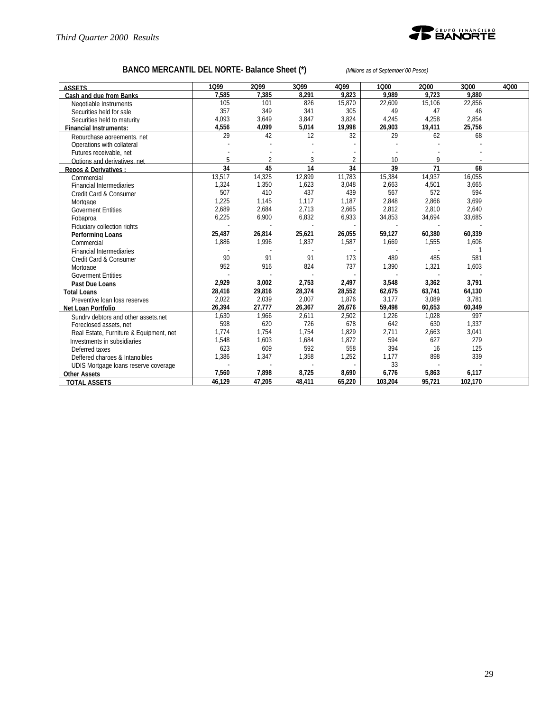

# **BANCO MERCANTIL DEL NORTE- Balance Sheet (\*)** *(Millions as of September´00 Pesos)*

| <b>ASSETS</b>                           | 1099   | 2099   | 3Q99   | 4Q99   | 1000    | 2000   | 3Q00    | 4Q00 |
|-----------------------------------------|--------|--------|--------|--------|---------|--------|---------|------|
| Cash and due from Banks                 | 7.585  | 7.385  | 8.291  | 9.823  | 9.989   | 9.723  | 9.880   |      |
| Negotiable Instruments                  | 105    | 101    | 826    | 15,870 | 22,609  | 15,106 | 22,856  |      |
| Securities held for sale                | 357    | 349    | 341    | 305    | 49      | 47     | 46      |      |
| Securities held to maturity             | 4,093  | 3,649  | 3,847  | 3,824  | 4,245   | 4,258  | 2,854   |      |
| <b>Financial Instruments:</b>           | 4,556  | 4,099  | 5,014  | 19,998 | 26,903  | 19,411 | 25,756  |      |
| Repurchase agreements, net              | 29     | 42     | 12     | 32     | 29      | 62     | 68      |      |
| Operations with collateral              |        |        |        |        |         |        |         |      |
| Futures receivable, net                 |        |        |        |        |         |        |         |      |
| Options and derivatives, net            | 5      |        | 3      |        | 10      | Q      |         |      |
| Repos & Derivatives:                    | 34     | 45     | 14     | 34     | 39      | 71     | 68      |      |
| Commercial                              | 13,517 | 14,325 | 12,899 | 11,783 | 15,384  | 14,937 | 16,055  |      |
| <b>Financial Intermediaries</b>         | 1,324  | 1,350  | 1,623  | 3,048  | 2,663   | 4,501  | 3,665   |      |
| Credit Card & Consumer                  | 507    | 410    | 437    | 439    | 567     | 572    | 594     |      |
| Mortgage                                | 1,225  | 1,145  | 1,117  | 1,187  | 2,848   | 2,866  | 3,699   |      |
| <b>Goverment Entities</b>               | 2,689  | 2,684  | 2,713  | 2,665  | 2,812   | 2,810  | 2,640   |      |
| Fobaproa                                | 6,225  | 6,900  | 6,832  | 6,933  | 34,853  | 34,694 | 33,685  |      |
| Fiduciary collection rights             |        |        |        |        |         |        |         |      |
| <b>Performing Loans</b>                 | 25,487 | 26,814 | 25,621 | 26,055 | 59,127  | 60,380 | 60,339  |      |
| Commercial                              | 1,886  | 1,996  | 1,837  | 1,587  | 1,669   | 1,555  | 1,606   |      |
| <b>Financial Intermediaries</b>         |        |        |        |        |         |        |         |      |
| Credit Card & Consumer                  | 90     | 91     | 91     | 173    | 489     | 485    | 581     |      |
| Mortgage                                | 952    | 916    | 824    | 737    | 1,390   | 1,321  | 1,603   |      |
| <b>Goverment Entities</b>               |        |        |        |        |         |        |         |      |
| Past Due Loans                          | 2,929  | 3,002  | 2,753  | 2,497  | 3,548   | 3,362  | 3,791   |      |
| <b>Total Loans</b>                      | 28,416 | 29,816 | 28,374 | 28,552 | 62,675  | 63,741 | 64,130  |      |
| Preventive Ioan loss reserves           | 2,022  | 2,039  | 2,007  | 1,876  | 3,177   | 3,089  | 3,781   |      |
| <b>Net Loan Portfolio</b>               | 26,394 | 27,777 | 26,367 | 26,676 | 59,498  | 60,653 | 60,349  |      |
| Sundry debtors and other assets.net     | 1,630  | 1,966  | 2,611  | 2,502  | 1,226   | 1,028  | 997     |      |
| Foreclosed assets, net                  | 598    | 620    | 726    | 678    | 642     | 630    | 1,337   |      |
| Real Estate, Furniture & Equipment, net | 1.774  | 1,754  | 1,754  | 1,829  | 2,711   | 2,663  | 3,041   |      |
| Investments in subsidiaries             | 1.548  | 1,603  | 1,684  | 1,872  | 594     | 627    | 279     |      |
| Deferred taxes                          | 623    | 609    | 592    | 558    | 394     | 16     | 125     |      |
| Deffered charges & Intangibles          | 1,386  | 1,347  | 1,358  | 1,252  | 1,177   | 898    | 339     |      |
| UDIS Mortgage loans reserve coverage    |        |        |        |        | 33      |        |         |      |
| <b>Other Assets</b>                     | 7,560  | 7,898  | 8,725  | 8,690  | 6,776   | 5,863  | 6,117   |      |
| <b>TOTAL ASSETS</b>                     | 46.129 | 47.205 | 48,411 | 65,220 | 103,204 | 95.721 | 102,170 |      |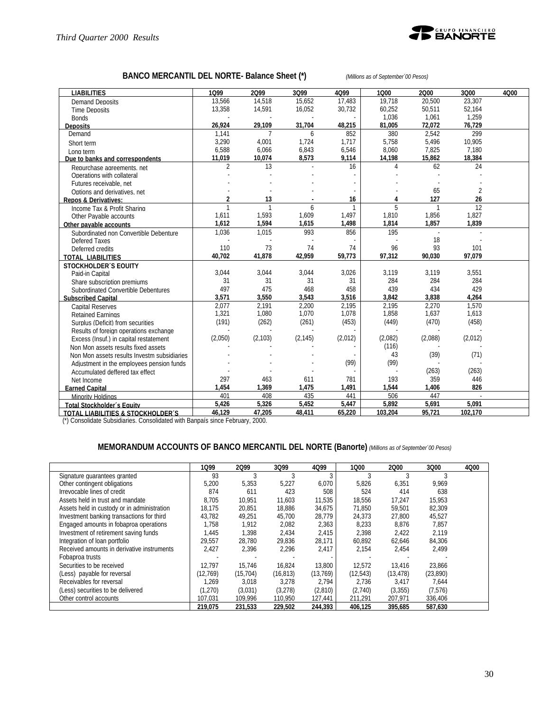

# **BANCO MERCANTIL DEL NORTE- Balance Sheet (\*)** *(Millions as of September´00 Pesos)*

| <b>LIABILITIES</b>                          | 1099           | 2099           | 3099     | 4Q99    | 1000    | 2000           | 3Q00    | 4Q00 |
|---------------------------------------------|----------------|----------------|----------|---------|---------|----------------|---------|------|
| <b>Demand Deposits</b>                      | 13.566         | 14.518         | 15.652   | 17.483  | 19.718  | 20,500         | 23.307  |      |
| <b>Time Deposits</b>                        | 13,358         | 14,591         | 16,052   | 30,732  | 60,252  | 50,511         | 52,164  |      |
| <b>Bonds</b>                                |                |                |          |         | 1,036   | 1,061          | 1,259   |      |
| <b>Deposits</b>                             | 26,924         | 29.109         | 31,704   | 48,215  | 81,005  | 72.072         | 76,729  |      |
| Demand                                      | 1.141          | 7              | 6        | 852     | 380     | 2.542          | 299     |      |
| Short term                                  | 3,290          | 4,001          | 1,724    | 1,717   | 5.758   | 5,496          | 10.905  |      |
| Long term                                   | 6,588          | 6,066          | 6,843    | 6,546   | 8,060   | 7,825          | 7,180   |      |
| Due to banks and correspondents             | 11,019         | 10,074         | 8,573    | 9,114   | 14,198  | 15,862         | 18,384  |      |
| Repurchase agreements, net                  | $\overline{2}$ | 13             |          | 16      | 4       | 62             | 24      |      |
| Operations with collateral                  |                |                |          |         |         |                |         |      |
| Futures receivable, net                     |                |                |          |         |         |                |         |      |
| Options and derivatives, net                |                |                |          |         |         | 65             | 2       |      |
| <b>Repos &amp; Derivatives:</b>             | $\overline{a}$ | 13             |          | 16      | 4       | 127            | 26      |      |
| Income Tax & Profit Sharing                 | $\overline{1}$ | $\overline{1}$ | 6        |         | 5       | $\overline{1}$ | 12      |      |
| Other Pavable accounts                      | 1,611          | 1,593          | 1,609    | 1,497   | 1,810   | 1,856          | 1,827   |      |
| Other pavable accounts                      | 1,612          | 1,594          | 1,615    | 1,498   | 1,814   | 1.857          | 1,839   |      |
| Subordinated non Convertible Debenture      | 1,036          | 1,015          | 993      | 856     | 195     |                |         |      |
| Defered Taxes                               |                |                |          |         |         | 18             |         |      |
| Deferred credits                            | 110            | 73             | 74       | 74      | 96      | 93             | 101     |      |
| <b>TOTAL LIABILITIES</b>                    | 40,702         | 41,878         | 42,959   | 59,773  | 97,312  | 90,030         | 97,079  |      |
| <b>STOCKHOLDER'S EQUITY</b>                 |                |                |          |         |         |                |         |      |
| Paid-in Capital                             | 3.044          | 3,044          | 3,044    | 3,026   | 3.119   | 3,119          | 3,551   |      |
| Share subscription premiums                 | 31             | 31             | 31       | 31      | 284     | 284            | 284     |      |
| Subordinated Convertible Debentures         | 497            | 475            | 468      | 458     | 439     | 434            | 429     |      |
| <b>Subscribed Capital</b>                   | 3,571          | 3,550          | 3,543    | 3,516   | 3,842   | 3,838          | 4.264   |      |
| <b>Capital Reserves</b>                     | 2,077          | 2.191          | 2,200    | 2,195   | 2,195   | 2,270          | 1,570   |      |
| <b>Retained Earnings</b>                    | 1,321          | 1,080          | 1,070    | 1,078   | 1,858   | 1,637          | 1,613   |      |
| Surplus (Deficit) from securities           | (191)          | (262)          | (261)    | (453)   | (449)   | (470)          | (458)   |      |
| Results of foreign operations exchange      |                |                |          |         |         |                |         |      |
| Excess (Insuf.) in capital restatement      | (2,050)        | (2, 103)       | (2, 145) | (2,012) | (2,082) | (2,088)        | (2,012) |      |
| Non Mon assets results fixed assets         |                |                |          |         | (116)   |                |         |      |
| Non Mon assets results Investm subsidiaries |                |                |          |         | 43      | (39)           | (71)    |      |
| Adjustment in the employees pension funds   |                |                |          | (99)    | (99)    |                |         |      |
| Accumulated deffered tax effect             |                |                |          |         |         | (263)          | (263)   |      |
| Net Income                                  | 297            | 463            | 611      | 781     | 193     | 359            | 446     |      |
| <b>Earned Capital</b>                       | 1,454          | 1,369          | 1,475    | 1,491   | 1,544   | 1,406          | 826     |      |
| Minority Holdings                           | 401            | 408            | 435      | 441     | 506     | 447            | ÷.      |      |
| Total Stockholder's Equity                  | 5.426          | 5.326          | 5.452    | 5.447   | 5.892   | 5.691          | 5.091   |      |
| TOTAL LIABILITIES & STOCKHOLDER'S           | 46,129         | 47,205         | 48,411   | 65,220  | 103,204 | 95.721         | 102,170 |      |

(\*) Consolidate Subsidiaries. Consolidated with Banpaís since February, 2000.

# **MEMORANDUM ACCOUNTS OF BANCO MERCANTIL DEL NORTE (Banorte)** *(Millions as of September´00 Pesos)*

|                                             | 1099      | 2099      | 3Q99      | 4Q99      | 1000      | 2000      | 3Q00     | 4000 |
|---------------------------------------------|-----------|-----------|-----------|-----------|-----------|-----------|----------|------|
| Signature guarantees granted                | 93        |           |           |           |           |           |          |      |
| Other contingent obligations                | 5.200     | 5.353     | 5.227     | 6.070     | 5.826     | 6.351     | 9.969    |      |
| Irrevocable lines of credit                 | 874       | 611       | 423       | 508       | 524       | 414       | 638      |      |
| Assets held in trust and mandate            | 8.705     | 10.951    | 11,603    | 11.535    | 18,556    | 17.247    | 15,953   |      |
| Assets held in custody or in administration | 18.175    | 20,851    | 18.886    | 34,675    | 71.850    | 59,501    | 82.309   |      |
| Investment banking transactions for third   | 43.782    | 49.251    | 45.700    | 28.779    | 24.373    | 27.800    | 45.527   |      |
| Engaged amounts in fobaproa operations      | 1.758     | 1.912     | 2,082     | 2,363     | 8,233     | 8.876     | 7.857    |      |
| Investment of retirement saving funds       | 1.445     | 1.398     | 2.434     | 2,415     | 2,398     | 2,422     | 2.119    |      |
| Integration of loan portfolio               | 29.557    | 28.780    | 29.836    | 28.171    | 60.892    | 62.646    | 84.306   |      |
| Received amounts in derivative instruments  | 2.427     | 2.396     | 2,296     | 2,417     | 2.154     | 2.454     | 2,499    |      |
| Fobaproa trusts                             |           |           |           |           |           |           |          |      |
| Securities to be received                   | 12.797    | 15.746    | 16.824    | 13.800    | 12.572    | 13.416    | 23.866   |      |
| (Less) payable for reversal                 | (12, 769) | (15, 704) | (16, 813) | (13, 769) | (12, 543) | (13, 478) | (23,890) |      |
| Receivables for reversal                    | .269      | 3.018     | 3.278     | 2.794     | 2.736     | 3,417     | 7.644    |      |
| (Less) securities to be delivered           | (1,270)   | (3,031)   | (3,278)   | (2.810)   | (2,740)   | (3,355)   | (7,576)  |      |
| Other control accounts                      | 107,031   | 109,996   | 110,950   | 127,441   | 211,291   | 207,971   | 336,406  |      |
|                                             | 219.075   | 231.533   | 229.502   | 244.393   | 406.125   | 395.685   | 587,630  |      |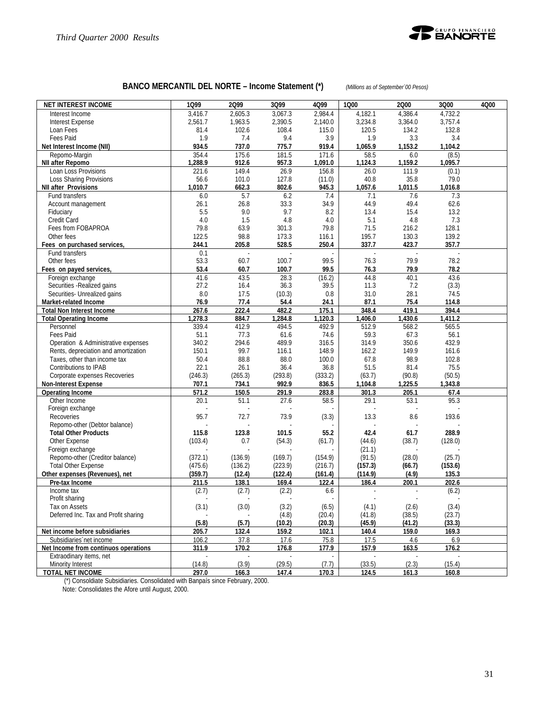

# **BANCO MERCANTIL DEL NORTE – Income Statement (\*)** *(Millions as of September´00 Pesos)*

| <b>NET INTEREST INCOME</b>                                                  | 1Q99            | 2Q99          | 3Q99            | 4Q99              | 1000             | 2000            | 3Q00             | 4Q00 |
|-----------------------------------------------------------------------------|-----------------|---------------|-----------------|-------------------|------------------|-----------------|------------------|------|
| Interest Income                                                             | 3,416.7         | 2,605.3       | 3,067.3         | 2,984.4           | 4,182.1          | 4,386.4         | 4,732.2          |      |
| <b>Interest Expense</b>                                                     | 2,561.7         | 1,963.5       | 2,390.5         | 2,140.0           | 3,234.8          | 3,364.0         | 3,757.4          |      |
| Loan Fees                                                                   | 81.4            | 102.6         | 108.4           | 115.0             | 120.5            | 134.2           | 132.8            |      |
| <b>Fees Paid</b>                                                            | 1.9             | 7.4           | 9.4             | 3.9               | 1.9              | 3.3             | 3.4              |      |
| Net Interest Income (NII)                                                   | 934.5           | 737.0         | 775.7           | 919.4             | 1,065.9          | 1,153.2         | 1,104.2          |      |
| Repomo-Margin                                                               | 354.4           | 175.6         | 181.5           | 171.6             | 58.5             | 6.0             | (8.5)            |      |
| <b>NII after Repomo</b>                                                     | 1,288.9         | 912.6         | 957.3           | 1,091.0           | 1,124.3          | 1,159.2         | 1,095.7          |      |
| Loan Loss Provisions                                                        | 221.6           | 149.4         | 26.9            | 156.8             | 26.0             | 111.9           | (0.1)            |      |
| <b>Loss Sharing Provisions</b>                                              | 56.6<br>1,010.7 | 101.0         | 127.8<br>802.6  | (11.0)            | 40.8<br>1,057.6  | 35.8<br>1,011.5 | 79.0             |      |
| <b>NII after Provisions</b><br>Fund transfers                               | 6.0             | 662.3<br>5.7  | 6.2             | 945.3<br>7.4      | 7.1              | 7.6             | 1,016.8<br>7.3   |      |
| Account management                                                          | 26.1            | 26.8          | 33.3            | 34.9              | 44.9             | 49.4            | 62.6             |      |
| Fiduciary                                                                   | 5.5             | 9.0           | 9.7             | 8.2               | 13.4             | 15.4            | 13.2             |      |
| Credit Card                                                                 | 4.0             | 1.5           | 4.8             | 4.0               | 5.1              | 4.8             | 7.3              |      |
| Fees from FOBAPROA                                                          | 79.8            | 63.9          | 301.3           | 79.8              | 71.5             | 216.2           | 128.1            |      |
| Other fees                                                                  | 122.5           | 98.8          | 173.3           | 116.1             | 195.7            | 130.3           | 139.2            |      |
| Fees on purchased services,                                                 | 244.1           | 205.8         | 528.5           | 250.4             | 337.7            | 423.7           | 357.7            |      |
| Fund transfers                                                              | 0.1             | ÷,            | L.              |                   | L,               | $\mathcal{L}$   | L.               |      |
| Other fees                                                                  | 53.3            | 60.7          | 100.7           | 99.5              | 76.3             | 79.9            | 78.2             |      |
| Fees on payed services,                                                     | 53.4            | 60.7          | 100.7           | 99.5              | 76.3             | 79.9            | 78.2             |      |
| Foreign exchange                                                            | 41.6            | 43.5          | 28.3            | (16.2)            | 44.8             | 40.1            | 43.6             |      |
| Securities - Realized gains                                                 | 27.2            | 16.4          | 36.3            | 39.5              | 11.3             | 7.2             | (3.3)            |      |
| Securities- Unrealized gains                                                | 8.0             | 17.5          | (10.3)          | 0.8               | 31.0             | 28.1            | 74.5             |      |
| Market-related Income                                                       | 76.9            | 77.4          | 54.4            | 24.1              | 87.1             | 75.4            | 114.8            |      |
| <b>Total Non Interest Income</b>                                            | 267.6           | 222.4         | 482.2           | 175.1             | 348.4            | 419.1           | 394.4            |      |
| <b>Total Operating Income</b>                                               | 1,278.3         | 884.7         | 1,284.8         | 1,120.3           | 1,406.0          | 1,430.6         | 1,411.2          |      |
| Personnel                                                                   | 339.4           | 412.9         | 494.5           | 492.9             | 512.9            | 568.2           | 565.5            |      |
| Fees Paid                                                                   | 51.1            | 77.3          | 61.6            | 74.6              | 59.3             | 67.3            | 56.1             |      |
| Operation & Administrative expenses<br>Rents, depreciation and amortization | 340.2<br>150.1  | 294.6<br>99.7 | 489.9<br>116.1  | 316.5<br>148.9    | 314.9<br>162.2   | 350.6<br>149.9  | 432.9<br>161.6   |      |
| Taxes, other than income tax                                                | 50.4            | 88.8          | 88.0            | 100.0             | 67.8             | 98.9            | 102.8            |      |
| Contributions to IPAB                                                       | 22.1            | 26.1          | 36.4            | 36.8              | 51.5             | 81.4            | 75.5             |      |
| Corporate expenses Recoveries                                               | (246.3)         | (265.3)       | (293.8)         | (333.2)           | (63.7)           | (90.8)          | (50.5)           |      |
| <b>Non-Interest Expense</b>                                                 | 707.1           | 734.1         | 992.9           | 836.5             | 1,104.8          | 1,225.5         | 1,343.8          |      |
| <b>Operating Income</b>                                                     | 571.2           | 150.5         | 291.9           | 283.8             | 301.3            | 205.1           | 67.4             |      |
| Other Income                                                                | 20.1            | 51.1          | 27.6            | 58.5              | 29.1             | 53.1            | 95.3             |      |
| Foreign exchange                                                            |                 |               |                 |                   |                  |                 |                  |      |
| Recoveries                                                                  | 95.7            | 72.7          | 73.9            | (3.3)             | 13.3             | 8.6             | 193.6            |      |
| Repomo-other (Debtor balance)                                               |                 |               |                 |                   |                  |                 |                  |      |
| <b>Total Other Products</b>                                                 | 115.8           | 123.8         | 101.5           | 55.2              | 42.4             | 61.7            | 288.9            |      |
| Other Expense                                                               | (103.4)         | 0.7           | (54.3)          | (61.7)            | (44.6)           | (38.7)          | (128.0)          |      |
| Foreign exchange                                                            |                 |               |                 |                   | (21.1)           |                 |                  |      |
| Repomo-other (Creditor balance)                                             | (372.1)         | (136.9)       | (169.7)         | (154.9)           | (91.5)           | (28.0)          | (25.7)           |      |
| <b>Total Other Expense</b>                                                  | (475.6)         | (136.2)       | (223.9)         | (216.7)           | (157.3)          | (66.7)          | (153.6)          |      |
| Other expenses (Revenues), net                                              | (359.7)         | (12.4)        | (122.4)         | (161.4)           | (114.9)          | (4.9)           | 135.3            |      |
| Pre-tax Income                                                              | 211.5           | 138.1         | 169.4           | 122.4             | 186.4            | 200.1           | 202.6            |      |
| Income tax                                                                  | (2.7)           | (2.7)         | (2.2)           | 6.6               |                  | ÷,              | (6.2)            |      |
| Profit sharing<br>Tax on Assets                                             |                 |               |                 | ÷,                |                  | ÷.              |                  |      |
| Deferred Inc. Tax and Profit sharing                                        | (3.1)           | (3.0)         | (3.2)           | (6.5)             | (4.1)            | (2.6)<br>(38.5) | (3.4)            |      |
|                                                                             | (5.8)           | (5.7)         | (4.8)<br>(10.2) | (20.4)<br>(20.3)  | (41.8)<br>(45.9) | (41.2)          | (23.7)<br>(33.3) |      |
| Net income before subsidiaries                                              | 205.7           | 132.4         | 159.2           | 102.1             | 140.4            | 159.0           | 169.3            |      |
| Subsidiaries net income                                                     | 106.2           | 37.8          | 17.6            | 75.8              | 17.5             | 4.6             | 6.9              |      |
| Net Income from continuos operations                                        | 311.9           | 170.2         | 176.8           | 177.9             | 157.9            | 163.5           | 176.2            |      |
| Extraodinary items, net                                                     |                 |               |                 |                   |                  |                 |                  |      |
| Minority Interest                                                           | (14.8)          | (3.9)         | (29.5)          | (7.7)             | (33.5)           | (2.3)           | (15.4)           |      |
| <b>TOTAL NET INCOME</b>                                                     | 297.0           | 166.3         | 147.4           | $\frac{1}{120.3}$ | 124.5            | 161.3           | 160.8            |      |

(\*) Consoldiate Subsidiaries. Consolidated with Banpaís since February, 2000.

Note: Consolidates the Afore until August, 2000.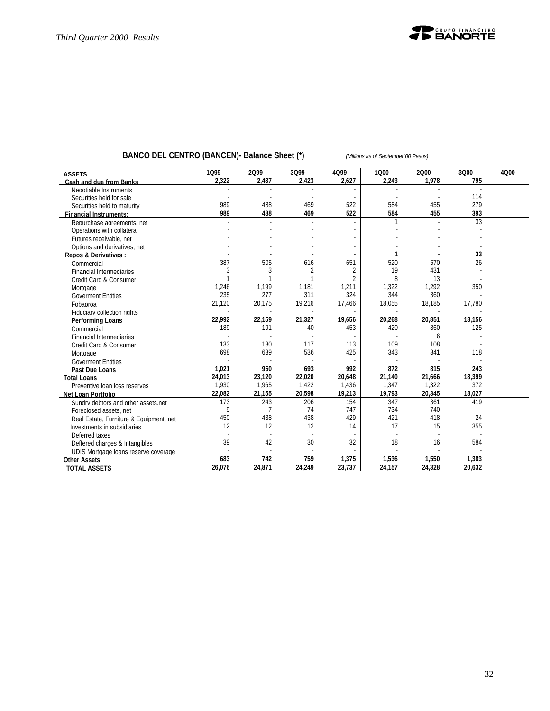

# **BANCO DEL CENTRO (BANCEN)- Balance Sheet (\*)** *(Millions as of September´00 Pesos)*

| <b>ASSETS</b>                           | 1Q99   | 2099           | 3Q99   | 4Q99           | 1Q00   | 2Q00   | 3Q00   | 4Q00 |
|-----------------------------------------|--------|----------------|--------|----------------|--------|--------|--------|------|
| <b>Cash and due from Banks</b>          | 2,322  | 2,487          | 2,423  | 2,627          | 2.243  | 1,978  | 795    |      |
| Negotiable Instruments                  |        |                |        |                |        |        | $\sim$ |      |
| Securities held for sale                |        |                |        |                |        |        | 114    |      |
| Securities held to maturity             | 989    | 488            | 469    | 522            | 584    | 455    | 279    |      |
| <b>Financial Instruments:</b>           | 989    | 488            | 469    | 522            | 584    | 455    | 393    |      |
| Repurchase agreements, net              |        |                |        |                |        |        | 33     |      |
| Operations with collateral              |        |                |        |                |        |        |        |      |
| Futures receivable, net                 |        |                |        |                |        |        |        |      |
| Options and derivatives, net            |        |                |        |                |        |        |        |      |
| <b>Repos &amp; Derivatives:</b>         |        |                |        |                |        |        | 33     |      |
| Commercial                              | 387    | 505            | 616    | 651            | 520    | 570    | 26     |      |
| <b>Financial Intermediaries</b>         | 3      | 3              | 2      | 2              | 19     | 431    |        |      |
| Credit Card & Consumer                  |        |                |        | $\overline{2}$ | 8      | 13     |        |      |
| Mortgage                                | 1,246  | 1,199          | 1,181  | 1,211          | 1,322  | 1,292  | 350    |      |
| <b>Goverment Entities</b>               | 235    | 277            | 311    | 324            | 344    | 360    |        |      |
| Fobaproa                                | 21,120 | 20,175         | 19,216 | 17,466         | 18,055 | 18,185 | 17,780 |      |
| Fiduciary collection rights             |        |                |        |                |        |        |        |      |
| <b>Performing Loans</b>                 | 22,992 | 22,159         | 21,327 | 19,656         | 20,268 | 20,851 | 18,156 |      |
| Commercial                              | 189    | 191            | 40     | 453            | 420    | 360    | 125    |      |
| <b>Financial Intermediaries</b>         |        |                |        |                |        | 6      |        |      |
| Credit Card & Consumer                  | 133    | 130            | 117    | 113            | 109    | 108    |        |      |
| Mortgage                                | 698    | 639            | 536    | 425            | 343    | 341    | 118    |      |
| <b>Goverment Entities</b>               |        |                |        |                |        |        |        |      |
| Past Due Loans                          | 1,021  | 960            | 693    | 992            | 872    | 815    | 243    |      |
| <b>Total Loans</b>                      | 24,013 | 23,120         | 22,020 | 20,648         | 21.140 | 21,666 | 18,399 |      |
| Preventive loan loss reserves           | 1,930  | 1,965          | 1,422  | 1,436          | 1,347  | 1,322  | 372    |      |
| <b>Net Loan Portfolio</b>               | 22,082 | 21,155         | 20,598 | 19,213         | 19,793 | 20,345 | 18,027 |      |
| Sundry debtors and other assets.net     | 173    | 243            | 206    | 154            | 347    | 361    | 419    |      |
| Foreclosed assets, net                  | 9      | $\overline{7}$ | 74     | 747            | 734    | 740    |        |      |
| Real Estate, Furniture & Equipment, net | 450    | 438            | 438    | 429            | 421    | 418    | 24     |      |
| Investments in subsidiaries             | 12     | 12             | 12     | 14             | 17     | 15     | 355    |      |
| Deferred taxes                          |        |                |        |                |        |        |        |      |
| Deffered charges & Intangibles          | 39     | 42             | 30     | 32             | 18     | 16     | 584    |      |
| UDIS Mortgage loans reserve coverage    |        |                |        |                |        |        |        |      |
| <b>Other Assets</b>                     | 683    | 742            | 759    | 1,375          | 1,536  | 1,550  | 1,383  |      |
| <b>TOTAL ASSETS</b>                     | 26.076 | 24,871         | 24,249 | 23,737         | 24,157 | 24.328 | 20.632 |      |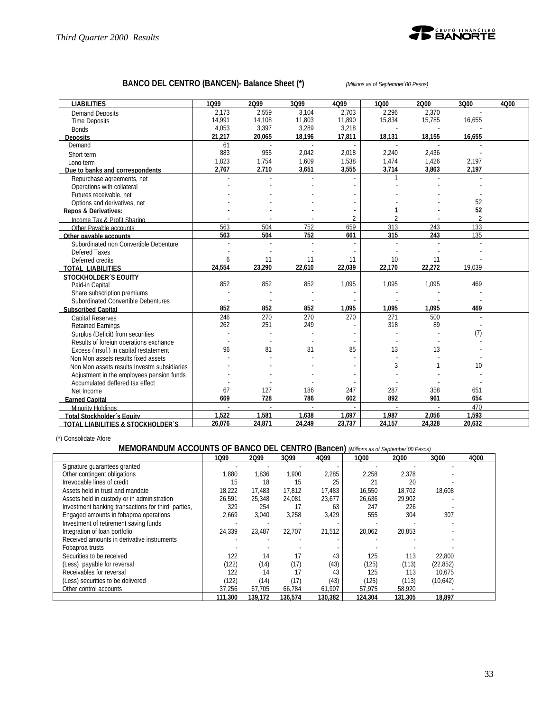

# **BANCO DEL CENTRO (BANCEN)- Balance Sheet (\*)** *(Millions as of September´00 Pesos)*

| <b>LIABILITIES</b>                           | 1099   | 2099   | 3Q99   | 4Q99           | 1000           | 2000   | 3Q00           | 4000 |
|----------------------------------------------|--------|--------|--------|----------------|----------------|--------|----------------|------|
| Demand Deposits                              | 2.173  | 2.559  | 3.104  | 2.703          | 2.296          | 2.370  |                |      |
| <b>Time Deposits</b>                         | 14.991 | 14,108 | 11,803 | 11,890         | 15,834         | 15,785 | 16,655         |      |
| <b>Bonds</b>                                 | 4,053  | 3,397  | 3,289  | 3,218          |                |        |                |      |
| <b>Deposits</b>                              | 21,217 | 20,065 | 18.196 | 17,811         | 18,131         | 18.155 | 16,655         |      |
| Demand                                       | 61     |        | ×.     |                |                |        |                |      |
| Short term                                   | 883    | 955    | 2,042  | 2,018          | 2,240          | 2,436  |                |      |
| Long term                                    | 1,823  | 1,754  | 1,609  | 1,538          | 1,474          | 1,426  | 2,197          |      |
| Due to banks and correspondents              | 2,767  | 2,710  | 3.651  | 3,555          | 3,714          | 3.863  | 2,197          |      |
| Repurchase agreements, net                   |        |        |        |                |                |        |                |      |
| Operations with collateral                   |        |        |        |                |                |        |                |      |
| Futures receivable, net                      |        |        |        |                |                |        |                |      |
| Options and derivatives, net                 |        |        |        |                |                |        | 52             |      |
| <b>Repos &amp; Derivatives:</b>              |        |        |        |                |                |        | 52             |      |
| Income Tax & Profit Sharing                  |        |        |        | $\overline{2}$ | $\mathfrak{D}$ |        | $\mathfrak{D}$ |      |
| Other Pavable accounts                       | 563    | 504    | 752    | 659            | 313            | 243    | 133            |      |
| Other pavable accounts                       | 563    | 504    | 752    | 661            | 315            | 243    | 135            |      |
| Subordinated non Convertible Debenture       |        |        | ÷.     |                |                |        |                |      |
| Defered Taxes                                |        |        |        |                |                |        |                |      |
| Deferred credits                             | 6      | 11     | 11     | 11             | 10             | 11     |                |      |
| <b>TOTAL LIABILITIES</b>                     | 24.554 | 23,290 | 22,610 | 22,039         | 22.170         | 22,272 | 19.039         |      |
| <b>STOCKHOLDER'S EQUITY</b>                  |        |        |        |                |                |        |                |      |
| Paid-in Capital                              | 852    | 852    | 852    | 1,095          | 1,095          | 1,095  | 469            |      |
| Share subscription premiums                  |        |        |        |                |                |        |                |      |
| Subordinated Convertible Debentures          |        |        |        |                |                |        |                |      |
| <b>Subscribed Capital</b>                    | 852    | 852    | 852    | 1,095          | 1,095          | 1,095  | 469            |      |
| <b>Capital Reserves</b>                      | 246    | 270    | 270    | 270            | 271            | 500    |                |      |
| <b>Retained Earnings</b>                     | 262    | 251    | 249    |                | 318            | 89     |                |      |
| Surplus (Deficit) from securities            |        |        |        |                |                |        | (7)            |      |
| Results of foreign operations exchange       |        |        |        |                |                |        |                |      |
| Excess (Insuf.) in capital restatement       | 96     | 81     | 81     | 85             | 13             | 13     |                |      |
| Non Mon assets results fixed assets          |        |        |        |                |                |        |                |      |
| Non Mon assets results Investm subsidiaries  |        |        |        |                | 3              |        | 10             |      |
| Adjustment in the employees pension funds    |        |        |        |                |                |        |                |      |
| Accumulated deffered tax effect              |        |        |        |                |                |        |                |      |
| Net Income                                   | 67     | 127    | 186    | 247            | 287            | 358    | 651            |      |
| <b>Earned Capital</b>                        | 669    | 728    | 786    | 602            | 892            | 961    | 654            |      |
| Minority Holdings                            |        |        |        |                |                |        | 470            |      |
| <b>Total Stockholder's Equity</b>            | 1.522  | 1.581  | 1.638  | 1,697          | 1.987          | 2.056  | 1.593          |      |
| <b>TOTAL LIABILITIES &amp; STOCKHOLDER'S</b> | 26,076 | 24,871 | 24,249 | 23,737         | 24,157         | 24,328 | 20,632         |      |

(\*) Consolidate Afore

# **MEMORANDUM ACCOUNTS OF BANCO DEL CENTRO (Bancen)** *(Millions as of September´00 Pesos)*

|                                                    | 1099    | 2099    | 3Q99    | 4Q99    | 1000    | 2000    | 3Q00      | 4Q00 |
|----------------------------------------------------|---------|---------|---------|---------|---------|---------|-----------|------|
| Signature guarantees granted                       |         |         |         |         |         |         |           |      |
| Other contingent obligations                       | .880    | 1,836   | .900    | 2,285   | 2,258   | 2.378   |           |      |
| Irrevocable lines of credit                        | 15      | 18      | 15      | 25      | 21      | 20      |           |      |
| Assets held in trust and mandate                   | 18.222  | 17.483  | 17.812  | 17,483  | 16.550  | 18.702  | 18.608    |      |
| Assets held in custody or in administration        | 26.591  | 25.348  | 24.081  | 23,677  | 26,636  | 29.902  |           |      |
| Investment banking transactions for third parties, | 329     | 254     | 17      | 63      | 247     | 226     |           |      |
| Engaged amounts in fobaproa operations             | 2,669   | 3,040   | 3,258   | 3,429   | 555     | 304     | 307       |      |
| Investment of retirement saving funds              |         |         |         |         |         |         |           |      |
| Integration of loan portfolio                      | 24.339  | 23.487  | 22.707  | 21.512  | 20.062  | 20.853  |           |      |
| Received amounts in derivative instruments         |         |         |         |         |         |         |           |      |
| Fobaproa trusts                                    |         |         |         |         |         |         |           |      |
| Securities to be received                          | 122     | 14      |         | 43      | 125     | 113     | 22.800    |      |
| (Less) payable for reversal                        | (122)   | (14)    | (17)    | (43)    | (125)   | (113)   | (22, 852) |      |
| Receivables for reversal                           | 122     | 14      |         | 43      | 125     | 113     | 10.675    |      |
| (Less) securities to be delivered                  | (122)   | (14)    | (17)    | (43)    | (125)   | (113)   | (10,642)  |      |
| Other control accounts                             | 37.256  | 67,705  | 66.784  | 61,907  | 57,975  | 58,920  |           |      |
|                                                    | 111.300 | 139.172 | 136,574 | 130,382 | 124,304 | 131,305 | 18,897    |      |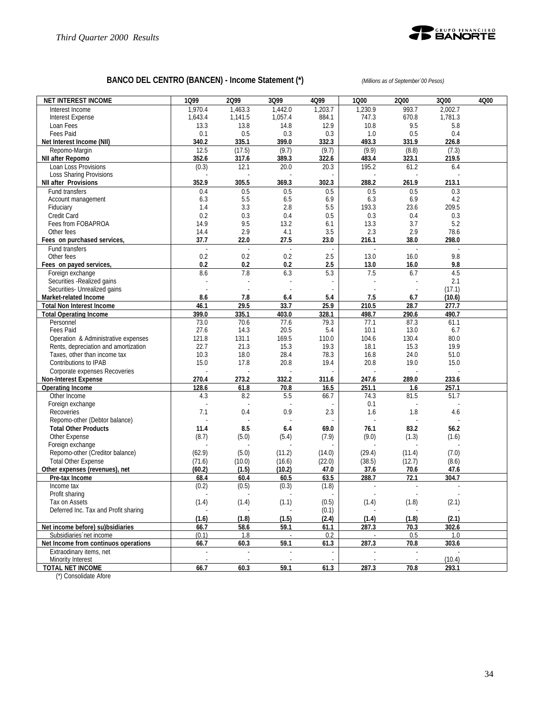

# **BANCO DEL CENTRO (BANCEN) - Income Statement (\*)** *(Millions as of September´00 Pesos)*

| <b>NET INTEREST INCOME</b>           | 1Q99                     | 2Q99       | 3Q99       | 4Q99                     | 1Q00       | 2000           | 3Q00           | 4Q00 |
|--------------------------------------|--------------------------|------------|------------|--------------------------|------------|----------------|----------------|------|
| Interest Income                      | 1,970.4                  | 1,463.3    | 1,442.0    | 1,203.7                  | 1,230.9    | 993.7          | 2,002.7        |      |
| <b>Interest Expense</b>              | 1,643.4                  | 1,141.5    | 1,057.4    | 884.1                    | 747.3      | 670.8          | 1,781.3        |      |
| Loan Fees                            | 13.3                     | 13.8       | 14.8       | 12.9                     | 10.8       | 9.5            | 5.8            |      |
| <b>Fees Paid</b>                     | 0.1                      | 0.5        | 0.3        | 0.3                      | 1.0        | 0.5            | 0.4            |      |
| Net Interest Income (NII)            | 340.2                    | 335.1      | 399.0      | 332.3                    | 493.3      | 331.9          | 226.8          |      |
| Repomo-Margin                        | 12.5                     | (17.5)     | (9.7)      | (9.7)                    | (9.9)      | (8.8)          | (7.3)          |      |
| NII after Repomo                     | 352.6                    | 317.6      | 389.3      | 322.6                    | 483.4      | 323.1          | 219.5          |      |
| Loan Loss Provisions                 | (0.3)                    | 12.1       | 20.0       | 20.3                     | 195.2      | 61.2           | 6.4            |      |
| <b>Loss Sharing Provisions</b>       |                          |            |            |                          |            |                |                |      |
| <b>NII after Provisions</b>          | 352.9                    | 305.5      | 369.3      | 302.3                    | 288.2      | 261.9          | 213.1          |      |
| Fund transfers                       | 0.4                      | 0.5<br>5.5 | 0.5<br>6.5 | 0.5<br>6.9               | 0.5<br>6.3 | 0.5<br>6.9     | 0.3            |      |
| Account management<br>Fiduciary      | 6.3<br>1.4               | 3.3        | 2.8        | 5.5                      | 193.3      | 23.6           | 4.2<br>209.5   |      |
| Credit Card                          | 0.2                      | 0.3        | 0.4        | 0.5                      | 0.3        | 0.4            | 0.3            |      |
| Fees from FOBAPROA                   | 14.9                     | 9.5        | 13.2       | 6.1                      | 13.3       | 3.7            | 5.2            |      |
| Other fees                           | 14.4                     | 2.9        | 4.1        | 3.5                      | 2.3        | 2.9            | 78.6           |      |
| Fees on purchased services,          | 37.7                     | 22.0       | 27.5       | 23.0                     | 216.1      | 38.0           | 298.0          |      |
| Fund transfers                       | L.                       | ÷,         | L.         | ä,                       | L.         | $\overline{a}$ | $\overline{a}$ |      |
| Other fees                           | 0.2                      | 0.2        | 0.2        | 2.5                      | 13.0       | 16.0           | 9.8            |      |
| Fees on payed services,              | 0.2                      | 0.2        | 0.2        | 2.5                      | 13.0       | 16.0           | 9.8            |      |
| Foreign exchange                     | 8.6                      | 7.8        | 6.3        | 5.3                      | 7.5        | 6.7            | 4.5            |      |
| Securities - Realized gains          |                          |            |            |                          |            |                | 2.1            |      |
| Securities- Unrealized gains         |                          |            |            |                          |            |                | (17.1)         |      |
| Market-related Income                | 8.6                      | 7.8        | 6.4        | 5.4                      | 7.5        | 6.7            | (10.6)         |      |
| <b>Total Non Interest Income</b>     | 46.1                     | 29.5       | 33.7       | 25.9                     | 210.5      | 28.7           | 277.7          |      |
| <b>Total Operating Income</b>        | 399.0                    | 335.1      | 403.0      | 328.1                    | 498.7      | 290.6          | 490.7          |      |
| Personnel                            | 73.0                     | 70.6       | 77.6       | 79.3                     | 77.1       | 87.3           | 61.1           |      |
| Fees Paid                            | 27.6                     | 14.3       | 20.5       | 5.4                      | 10.1       | 13.0           | 6.7            |      |
| Operation & Administrative expenses  | 121.8                    | 131.1      | 169.5      | 110.0                    | 104.6      | 130.4          | 80.0           |      |
| Rents, depreciation and amortization | 22.7                     | 21.3       | 15.3       | 19.3                     | 18.1       | 15.3           | 19.9           |      |
| Taxes, other than income tax         | 10.3                     | 18.0       | 28.4       | 78.3                     | 16.8       | 24.0           | 51.0           |      |
| Contributions to IPAB                | 15.0                     | 17.8       | 20.8       | 19.4                     | 20.8       | 19.0           | 15.0           |      |
| Corporate expenses Recoveries        |                          |            |            |                          |            |                |                |      |
| <b>Non-Interest Expense</b>          | 270.4                    | 273.2      | 332.2      | 311.6                    | 247.6      | 289.0          | 233.6          |      |
| <b>Operating Income</b>              | 128.6                    | 61.8       | 70.8       | 16.5                     | 251.1      | 1.6            | 257.1          |      |
| Other Income                         | 4.3                      | 8.2        | 5.5        | 66.7                     | 74.3       | 81.5           | 51.7           |      |
| Foreign exchange                     |                          |            |            |                          | 0.1        |                |                |      |
| Recoveries                           | 7.1                      | 0.4        | 0.9        | 2.3                      | 1.6        | 1.8            | 4.6            |      |
| Repomo-other (Debtor balance)        |                          |            |            |                          |            |                |                |      |
| <b>Total Other Products</b>          | 11.4                     | 8.5        | 6.4        | 69.0                     | 76.1       | 83.2           | 56.2           |      |
| Other Expense                        | (8.7)                    | (5.0)      | (5.4)      | (7.9)                    | (9.0)      | (1.3)          | (1.6)          |      |
| Foreign exchange                     |                          |            |            |                          |            |                |                |      |
| Repomo-other (Creditor balance)      | (62.9)                   | (5.0)      | (11.2)     | (14.0)                   | (29.4)     | (11.4)         | (7.0)          |      |
| <b>Total Other Expense</b>           | (71.6)                   | (10.0)     | (16.6)     | (22.0)                   | (38.5)     | (12.7)         | (8.6)          |      |
| Other expenses (revenues), net       | (60.2)                   | (1.5)      | (10.2)     | 47.0                     | 37.6       | 70.6           | 47.6           |      |
| Pre-tax Income                       | 68.4                     | 60.4       | 60.5       | 63.5                     | 288.7      | 72.1           | 304.7          |      |
| Income tax                           | (0.2)                    | (0.5)      | (0.3)      | (1.8)                    | ÷,<br>J.   |                |                |      |
| Profit sharing<br>Tax on Assets      |                          |            | (1.1)      | $\omega$<br>(0.5)        |            |                |                |      |
| Deferred Inc. Tax and Profit sharing | (1.4)                    | (1.4)      |            | (0.1)                    | (1.4)      | (1.8)          | (2.1)          |      |
|                                      | (1.6)                    | (1.8)      | (1.5)      | (2.4)                    | (1.4)      | (1.8)          | (2.1)          |      |
| Net income before) su)bsidiaries     | 66.7                     | 58.6       | 59.1       | 61.1                     | 287.3      | 70.3           | 302.6          |      |
| Subsidiaries net income              | (0.1)                    | 1.8        |            | 0.2                      |            | 0.5            | 1.0            |      |
| Net Income from continuos operations | 66.7                     | 60.3       | 59.1       | 61.3                     | 287.3      | 70.8           | 303.6          |      |
| Extraodinary items, net              | $\overline{\phantom{a}}$ |            |            | $\overline{\phantom{a}}$ |            |                |                |      |
| Minority Interest                    | $\overline{\phantom{a}}$ |            |            | ä,                       |            |                | (10.4)         |      |
| <b>TOTAL NET INCOME</b>              | 66.7                     | 60.3       | 59.1       | 61.3                     | 287.3      | 70.8           | 293.1          |      |

(\*) Consolidate Afore